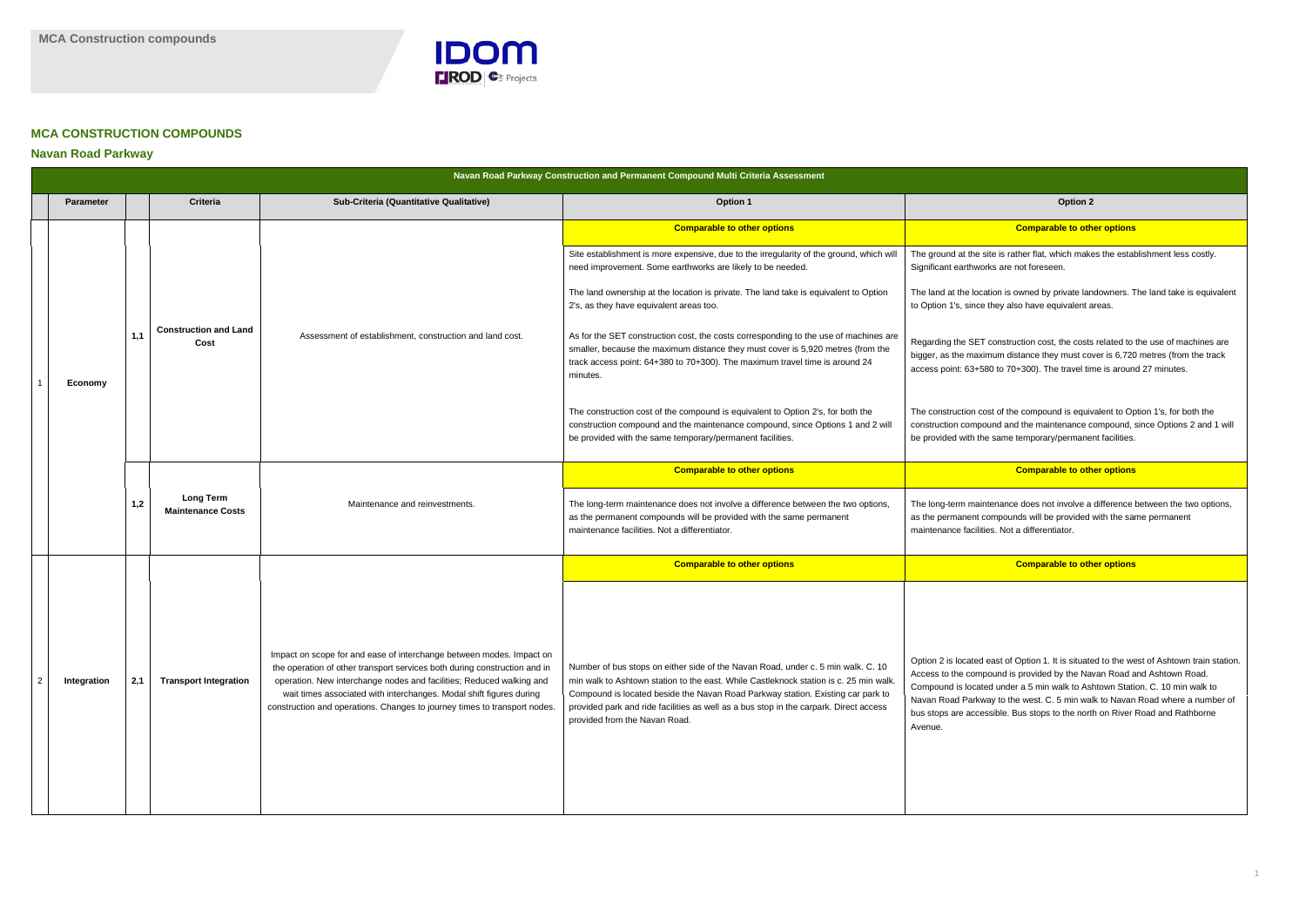

### **MCA CONSTRUCTION COMPOUNDS**

### **Navan Road Parkway**

## **Comparable to other options Comparable to other options** site is rather flat, which makes the establishment less costly. rks are not foreseen. ation is owned by private landowners. The land take is equivalent they also have equivalent areas. construction cost, the costs related to the use of machines are mum distance they must cover is 6,720 metres (from the track 80 to 70+300). The travel time is around 27 minutes. ost of the compound is equivalent to Option 1's, for both the ound and the maintenance compound, since Options 2 and 1 will be same temporary/permanent facilities. **Comparable to other options** Itenance does not involve a difference between the two options, ompounds will be provided with the same permanent es. Not a differentiator. **Comparable to other options Comparable to other options** east of Option 1. It is situated to the west of Ashtown train station. bound is provided by the Navan Road and Ashtown Road. ed under a 5 min walk to Ashtown Station. C. 10 min walk to ray to the west. C. 5 min walk to Navan Road where a number of ssible. Bus stops to the north on River Road and Rathborne

| Navan Road Parkway Construction and Permanent Compound Multi Criteria Assessment |                  |     |                                                                                |                                                                                                                                                                                                                                                                                                                                                                               |                                                                                                                                                                                                                                                                                                                                                                                        |                                                                                                                                                                                                                                                                  |  |  |
|----------------------------------------------------------------------------------|------------------|-----|--------------------------------------------------------------------------------|-------------------------------------------------------------------------------------------------------------------------------------------------------------------------------------------------------------------------------------------------------------------------------------------------------------------------------------------------------------------------------|----------------------------------------------------------------------------------------------------------------------------------------------------------------------------------------------------------------------------------------------------------------------------------------------------------------------------------------------------------------------------------------|------------------------------------------------------------------------------------------------------------------------------------------------------------------------------------------------------------------------------------------------------------------|--|--|
|                                                                                  | <b>Parameter</b> |     | <b>Criteria</b>                                                                | Sub-Criteria (Quantitative Qualitative)                                                                                                                                                                                                                                                                                                                                       | <b>Option 1</b>                                                                                                                                                                                                                                                                                                                                                                        | Option 2                                                                                                                                                                                                                                                         |  |  |
|                                                                                  |                  |     |                                                                                |                                                                                                                                                                                                                                                                                                                                                                               | <b>Comparable to other options</b>                                                                                                                                                                                                                                                                                                                                                     | <b>Comparable to oth</b>                                                                                                                                                                                                                                         |  |  |
|                                                                                  |                  |     |                                                                                | Assessment of establishment, construction and land cost.<br>Cost                                                                                                                                                                                                                                                                                                              | Site establishment is more expensive, due to the irregularity of the ground, which will<br>need improvement. Some earthworks are likely to be needed.                                                                                                                                                                                                                                  | The ground at the site is rather flat, which make<br>Significant earthworks are not foreseen.                                                                                                                                                                    |  |  |
|                                                                                  |                  | 1,1 |                                                                                |                                                                                                                                                                                                                                                                                                                                                                               | The land ownership at the location is private. The land take is equivalent to Option<br>2's, as they have equivalent areas too.                                                                                                                                                                                                                                                        | The land at the location is owned by private lar<br>to Option 1's, since they also have equivalent a                                                                                                                                                             |  |  |
|                                                                                  | Economy          |     | <b>Construction and Land</b>                                                   |                                                                                                                                                                                                                                                                                                                                                                               | As for the SET construction cost, the costs corresponding to the use of machines are<br>smaller, because the maximum distance they must cover is 5,920 metres (from the<br>track access point: 64+380 to 70+300). The maximum travel time is around 24<br>minutes.                                                                                                                     | Regarding the SET construction cost, the costs<br>bigger, as the maximum distance they must co<br>access point: 63+580 to 70+300). The travel tir                                                                                                                |  |  |
|                                                                                  |                  |     |                                                                                |                                                                                                                                                                                                                                                                                                                                                                               | The construction cost of the compound is equivalent to Option 2's, for both the<br>construction compound and the maintenance compound, since Options 1 and 2 will<br>be provided with the same temporary/permanent facilities.                                                                                                                                                         | The construction cost of the compound is equiv<br>construction compound and the maintenance o<br>be provided with the same temporary/permane                                                                                                                     |  |  |
|                                                                                  |                  | 1,2 |                                                                                |                                                                                                                                                                                                                                                                                                                                                                               | <b>Comparable to other options</b>                                                                                                                                                                                                                                                                                                                                                     | <b>Comparable to oth</b>                                                                                                                                                                                                                                         |  |  |
|                                                                                  |                  |     | <b>Long Term</b><br>Maintenance and reinvestments.<br><b>Maintenance Costs</b> | The long-term maintenance does not involve a difference between the two options,<br>as the permanent compounds will be provided with the same permanent<br>maintenance facilities. Not a differentiator.                                                                                                                                                                      | The long-term maintenance does not involve a<br>as the permanent compounds will be provided<br>maintenance facilities. Not a differentiator.                                                                                                                                                                                                                                           |                                                                                                                                                                                                                                                                  |  |  |
|                                                                                  |                  |     |                                                                                |                                                                                                                                                                                                                                                                                                                                                                               | <b>Comparable to other options</b>                                                                                                                                                                                                                                                                                                                                                     | <b>Comparable to oth</b>                                                                                                                                                                                                                                         |  |  |
| $\overline{2}$                                                                   | Integration      | 2,1 | <b>Transport Integration</b>                                                   | Impact on scope for and ease of interchange between modes. Impact on<br>the operation of other transport services both during construction and in<br>operation. New interchange nodes and facilities; Reduced walking and<br>wait times associated with interchanges. Modal shift figures during<br>construction and operations. Changes to journey times to transport nodes. | Number of bus stops on either side of the Navan Road, under c. 5 min walk. C. 10<br>min walk to Ashtown station to the east. While Castleknock station is c. 25 min walk.<br>Compound is located beside the Navan Road Parkway station. Existing car park to<br>provided park and ride facilities as well as a bus stop in the carpark. Direct access<br>provided from the Navan Road. | Option 2 is located east of Option 1. It is situate<br>Access to the compound is provided by the Na<br>Compound is located under a 5 min walk to As<br>Navan Road Parkway to the west. C. 5 min wa<br>bus stops are accessible. Bus stops to the nort<br>Avenue. |  |  |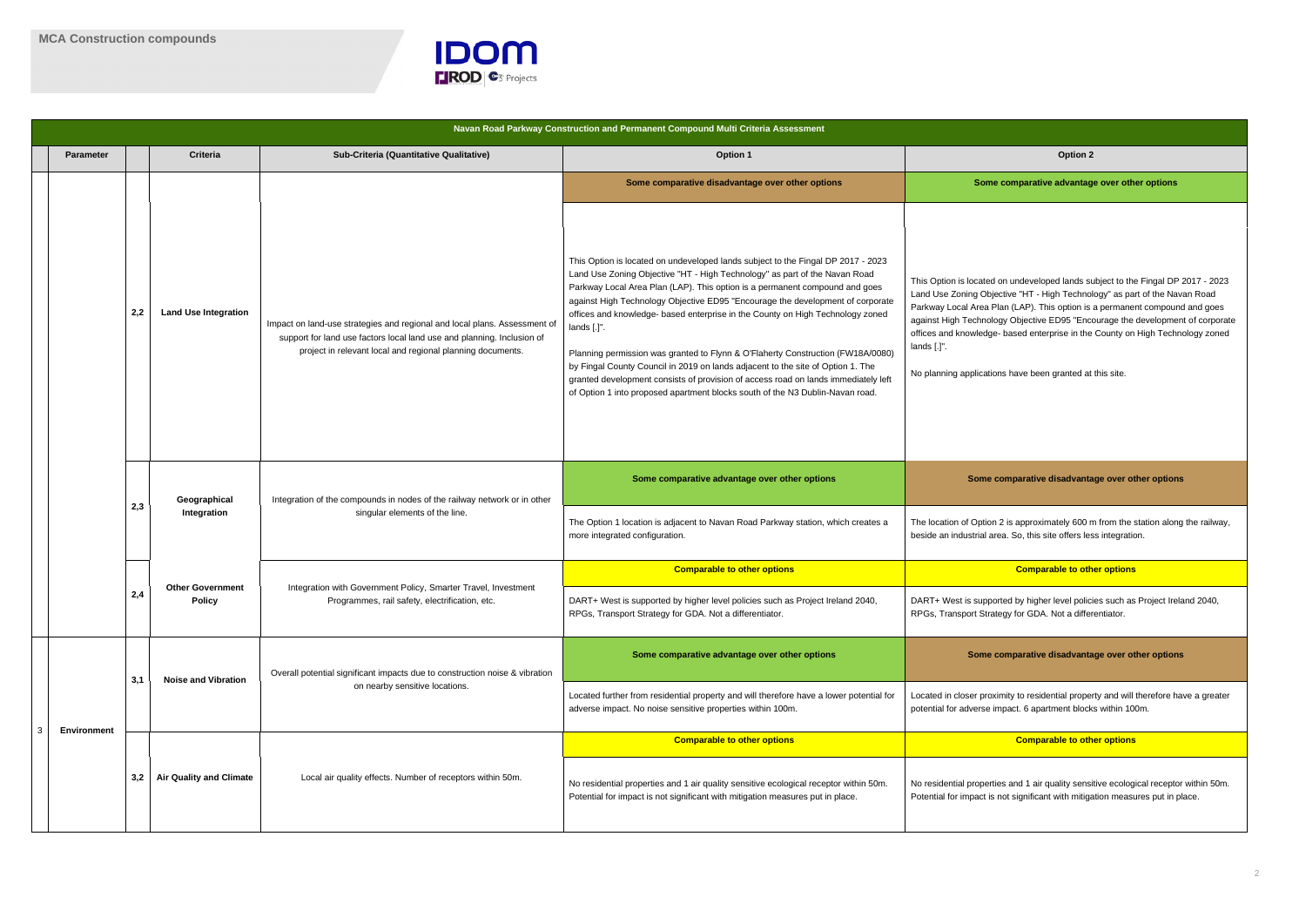

| Navan Road Parkway Construction and Permanent Compound Multi Criteria Assessment |                  |     |                                    |                                                                                                            |                                                                                                                                                                                                                   |                                                                                                                                                                                                                                                                                                                                                                                                                                                                                                                                                                                                                                                                                                                                                                               |                                                                                                                                                                                                                                                                                                                 |  |  |
|----------------------------------------------------------------------------------|------------------|-----|------------------------------------|------------------------------------------------------------------------------------------------------------|-------------------------------------------------------------------------------------------------------------------------------------------------------------------------------------------------------------------|-------------------------------------------------------------------------------------------------------------------------------------------------------------------------------------------------------------------------------------------------------------------------------------------------------------------------------------------------------------------------------------------------------------------------------------------------------------------------------------------------------------------------------------------------------------------------------------------------------------------------------------------------------------------------------------------------------------------------------------------------------------------------------|-----------------------------------------------------------------------------------------------------------------------------------------------------------------------------------------------------------------------------------------------------------------------------------------------------------------|--|--|
|                                                                                  | <b>Parameter</b> |     | <b>Criteria</b>                    | Sub-Criteria (Quantitative Qualitative)                                                                    | <b>Option 1</b>                                                                                                                                                                                                   | Option 2                                                                                                                                                                                                                                                                                                                                                                                                                                                                                                                                                                                                                                                                                                                                                                      |                                                                                                                                                                                                                                                                                                                 |  |  |
|                                                                                  |                  |     |                                    |                                                                                                            | Some comparative disadvantage over other options                                                                                                                                                                  | Some comparative advantag                                                                                                                                                                                                                                                                                                                                                                                                                                                                                                                                                                                                                                                                                                                                                     |                                                                                                                                                                                                                                                                                                                 |  |  |
|                                                                                  |                  | 2,2 |                                    | <b>Land Use Integration</b>                                                                                | Impact on land-use strategies and regional and local plans. Assessment of<br>support for land use factors local land use and planning. Inclusion of<br>project in relevant local and regional planning documents. | This Option is located on undeveloped lands subject to the Fingal DP 2017 - 2023<br>Land Use Zoning Objective "HT - High Technology" as part of the Navan Road<br>Parkway Local Area Plan (LAP). This option is a permanent compound and goes<br>against High Technology Objective ED95 "Encourage the development of corporate<br>offices and knowledge- based enterprise in the County on High Technology zoned<br>lands [.]".<br>Planning permission was granted to Flynn & O'Flaherty Construction (FW18A/0080)<br>by Fingal County Council in 2019 on lands adjacent to the site of Option 1. The<br>granted development consists of provision of access road on lands immediately left<br>of Option 1 into proposed apartment blocks south of the N3 Dublin-Navan road. | This Option is located on undeveloped lands so<br>Land Use Zoning Objective "HT - High Techno<br>Parkway Local Area Plan (LAP). This option is<br>against High Technology Objective ED95 "Enc<br>offices and knowledge- based enterprise in the<br>lands [.]".<br>No planning applications have been granted at |  |  |
|                                                                                  |                  |     | Geographical<br>2,3<br>Integration | Integration of the compounds in nodes of the railway network or in other<br>singular elements of the line. | Some comparative advantage over other options                                                                                                                                                                     | Some comparative disadvanta                                                                                                                                                                                                                                                                                                                                                                                                                                                                                                                                                                                                                                                                                                                                                   |                                                                                                                                                                                                                                                                                                                 |  |  |
|                                                                                  |                  |     |                                    |                                                                                                            | The Option 1 location is adjacent to Navan Road Parkway station, which creates a<br>more integrated configuration.                                                                                                | The location of Option 2 is approximately 600 r<br>beside an industrial area. So, this site offers les                                                                                                                                                                                                                                                                                                                                                                                                                                                                                                                                                                                                                                                                        |                                                                                                                                                                                                                                                                                                                 |  |  |
|                                                                                  |                  |     |                                    |                                                                                                            | <b>Comparable to other options</b>                                                                                                                                                                                | <b>Comparable to oth</b>                                                                                                                                                                                                                                                                                                                                                                                                                                                                                                                                                                                                                                                                                                                                                      |                                                                                                                                                                                                                                                                                                                 |  |  |
|                                                                                  |                  | 2,4 |                                    | <b>Other Government</b><br><b>Policy</b>                                                                   | Integration with Government Policy, Smarter Travel, Investment<br>Programmes, rail safety, electrification, etc.                                                                                                  | DART+ West is supported by higher level policies such as Project Ireland 2040,<br>RPGs, Transport Strategy for GDA. Not a differentiator.                                                                                                                                                                                                                                                                                                                                                                                                                                                                                                                                                                                                                                     | DART+ West is supported by higher level polic<br>RPGs, Transport Strategy for GDA. Not a differ                                                                                                                                                                                                                 |  |  |
|                                                                                  |                  | 3,1 | <b>Noise and Vibration</b>         | Overall potential significant impacts due to construction noise & vibration                                | Some comparative advantage over other options                                                                                                                                                                     | Some comparative disadvanta                                                                                                                                                                                                                                                                                                                                                                                                                                                                                                                                                                                                                                                                                                                                                   |                                                                                                                                                                                                                                                                                                                 |  |  |
| 3                                                                                | Environment      |     |                                    | on nearby sensitive locations.                                                                             | Located further from residential property and will therefore have a lower potential for<br>adverse impact. No noise sensitive properties within 100m.                                                             | Located in closer proximity to residential prope<br>potential for adverse impact. 6 apartment block                                                                                                                                                                                                                                                                                                                                                                                                                                                                                                                                                                                                                                                                           |                                                                                                                                                                                                                                                                                                                 |  |  |
|                                                                                  |                  |     |                                    |                                                                                                            | <b>Comparable to other options</b>                                                                                                                                                                                | <b>Comparable to oth</b>                                                                                                                                                                                                                                                                                                                                                                                                                                                                                                                                                                                                                                                                                                                                                      |                                                                                                                                                                                                                                                                                                                 |  |  |
|                                                                                  |                  | 3,2 | <b>Air Quality and Climate</b>     | Local air quality effects. Number of receptors within 50m.                                                 | No residential properties and 1 air quality sensitive ecological receptor within 50m.<br>Potential for impact is not significant with mitigation measures put in place.                                           | No residential properties and 1 air quality sensi<br>Potential for impact is not significant with mitiga                                                                                                                                                                                                                                                                                                                                                                                                                                                                                                                                                                                                                                                                      |                                                                                                                                                                                                                                                                                                                 |  |  |

# **Somarative advantage over other options** ed on undeveloped lands subject to the Fingal DP 2017 - 2023 bjective "HT - High Technology" as part of the Navan Road Plan (LAP). This option is a permanent compound and goes ology Objective ED95 "Encourage the development of corporate dge- based enterprise in the County on High Technology zoned ations have been granted at this site. **comparative disadvantage over other options** ion 2 is approximately 600 m from the station along the railway, l area. So, this site offers less integration. **Comparable to other options** ported by higher level policies such as Project Ireland 2040, rategy for GDA. Not a differentiator. **comparative disadvantage over other options** oximity to residential property and will therefore have a greater impact. 6 apartment blocks within 100m. **Comparable to other options Comparable to other options** erties and 1 air quality sensitive ecological receptor within 50m. is not significant with mitigation measures put in place.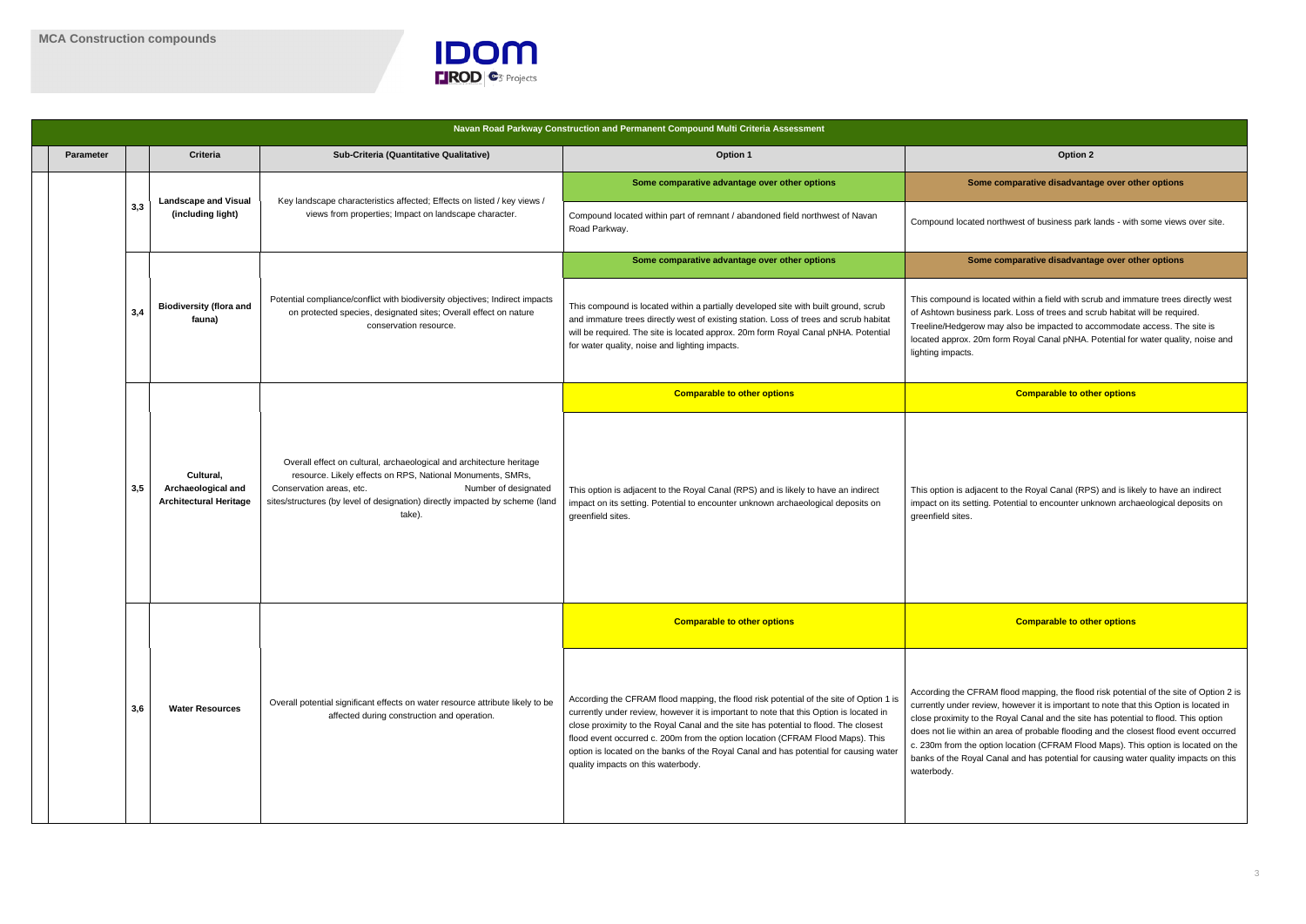



ew, however it is important to note that this Option is located in ne Royal Canal and the site has potential to flood. This option an area of probable flooding and the closest flood event occurred ption location (CFRAM Flood Maps). This option is located on the Canal and has potential for causing water quality impacts on this

|                  |     |                                                                  |                                                                                                                                                                                                                                                                                  | Navan Road Parkway Construction and Permanent Compound Multi Criteria Assessment                                                                                                                                                                                                                                                                                                                                                                                                         |                                                                                                                                                                                                                                                                                                                        |  |
|------------------|-----|------------------------------------------------------------------|----------------------------------------------------------------------------------------------------------------------------------------------------------------------------------------------------------------------------------------------------------------------------------|------------------------------------------------------------------------------------------------------------------------------------------------------------------------------------------------------------------------------------------------------------------------------------------------------------------------------------------------------------------------------------------------------------------------------------------------------------------------------------------|------------------------------------------------------------------------------------------------------------------------------------------------------------------------------------------------------------------------------------------------------------------------------------------------------------------------|--|
| <b>Parameter</b> |     | <b>Criteria</b>                                                  | Sub-Criteria (Quantitative Qualitative)                                                                                                                                                                                                                                          | Option 1                                                                                                                                                                                                                                                                                                                                                                                                                                                                                 | Option 2                                                                                                                                                                                                                                                                                                               |  |
|                  |     | <b>Landscape and Visual</b>                                      | Key landscape characteristics affected; Effects on listed / key views /                                                                                                                                                                                                          | Some comparative advantage over other options                                                                                                                                                                                                                                                                                                                                                                                                                                            | Some comparative disadvanta                                                                                                                                                                                                                                                                                            |  |
|                  | 3,3 | (including light)                                                | views from properties; Impact on landscape character.                                                                                                                                                                                                                            | Compound located within part of remnant / abandoned field northwest of Navan<br>Road Parkway.                                                                                                                                                                                                                                                                                                                                                                                            | Compound located northwest of business park                                                                                                                                                                                                                                                                            |  |
|                  |     |                                                                  |                                                                                                                                                                                                                                                                                  | Some comparative advantage over other options                                                                                                                                                                                                                                                                                                                                                                                                                                            | Some comparative disadvanta                                                                                                                                                                                                                                                                                            |  |
|                  | 3,4 | <b>Biodiversity (flora and</b><br>fauna)                         | Potential compliance/conflict with biodiversity objectives; Indirect impacts<br>on protected species, designated sites; Overall effect on nature<br>conservation resource.                                                                                                       | This compound is located within a partially developed site with built ground, scrub<br>and immature trees directly west of existing station. Loss of trees and scrub habitat<br>will be required. The site is located approx. 20m form Royal Canal pNHA. Potential<br>for water quality, noise and lighting impacts.                                                                                                                                                                     | This compound is located within a field with scr<br>of Ashtown business park. Loss of trees and so<br>Treeline/Hedgerow may also be impacted to a<br>located approx. 20m form Royal Canal pNHA.<br>lighting impacts.                                                                                                   |  |
|                  | 3,5 |                                                                  |                                                                                                                                                                                                                                                                                  | <b>Comparable to other options</b>                                                                                                                                                                                                                                                                                                                                                                                                                                                       | <b>Comparable to oth</b>                                                                                                                                                                                                                                                                                               |  |
|                  |     | Cultural,<br>Archaeological and<br><b>Architectural Heritage</b> | Overall effect on cultural, archaeological and architecture heritage<br>resource. Likely effects on RPS, National Monuments, SMRs,<br>Conservation areas, etc.<br>Number of designated<br>sites/structures (by level of designation) directly impacted by scheme (land<br>take). | This option is adjacent to the Royal Canal (RPS) and is likely to have an indirect<br>impact on its setting. Potential to encounter unknown archaeological deposits on<br>greenfield sites.                                                                                                                                                                                                                                                                                              | This option is adjacent to the Royal Canal (RP)<br>impact on its setting. Potential to encounter unl<br>greenfield sites.                                                                                                                                                                                              |  |
|                  |     |                                                                  |                                                                                                                                                                                                                                                                                  | <b>Comparable to other options</b>                                                                                                                                                                                                                                                                                                                                                                                                                                                       | <b>Comparable to oth</b>                                                                                                                                                                                                                                                                                               |  |
|                  | 3,6 | <b>Water Resources</b>                                           | Overall potential significant effects on water resource attribute likely to be<br>affected during construction and operation.                                                                                                                                                    | According the CFRAM flood mapping, the flood risk potential of the site of Option 1 is<br>currently under review, however it is important to note that this Option is located in<br>close proximity to the Royal Canal and the site has potential to flood. The closest<br>flood event occurred c. 200m from the option location (CFRAM Flood Maps). This<br>option is located on the banks of the Royal Canal and has potential for causing water<br>quality impacts on this waterbody. | According the CFRAM flood mapping, the flood<br>currently under review, however it is important<br>close proximity to the Royal Canal and the site<br>does not lie within an area of probable flooding<br>c. 230m from the option location (CFRAM Floo<br>banks of the Royal Canal and has potential for<br>waterbody. |  |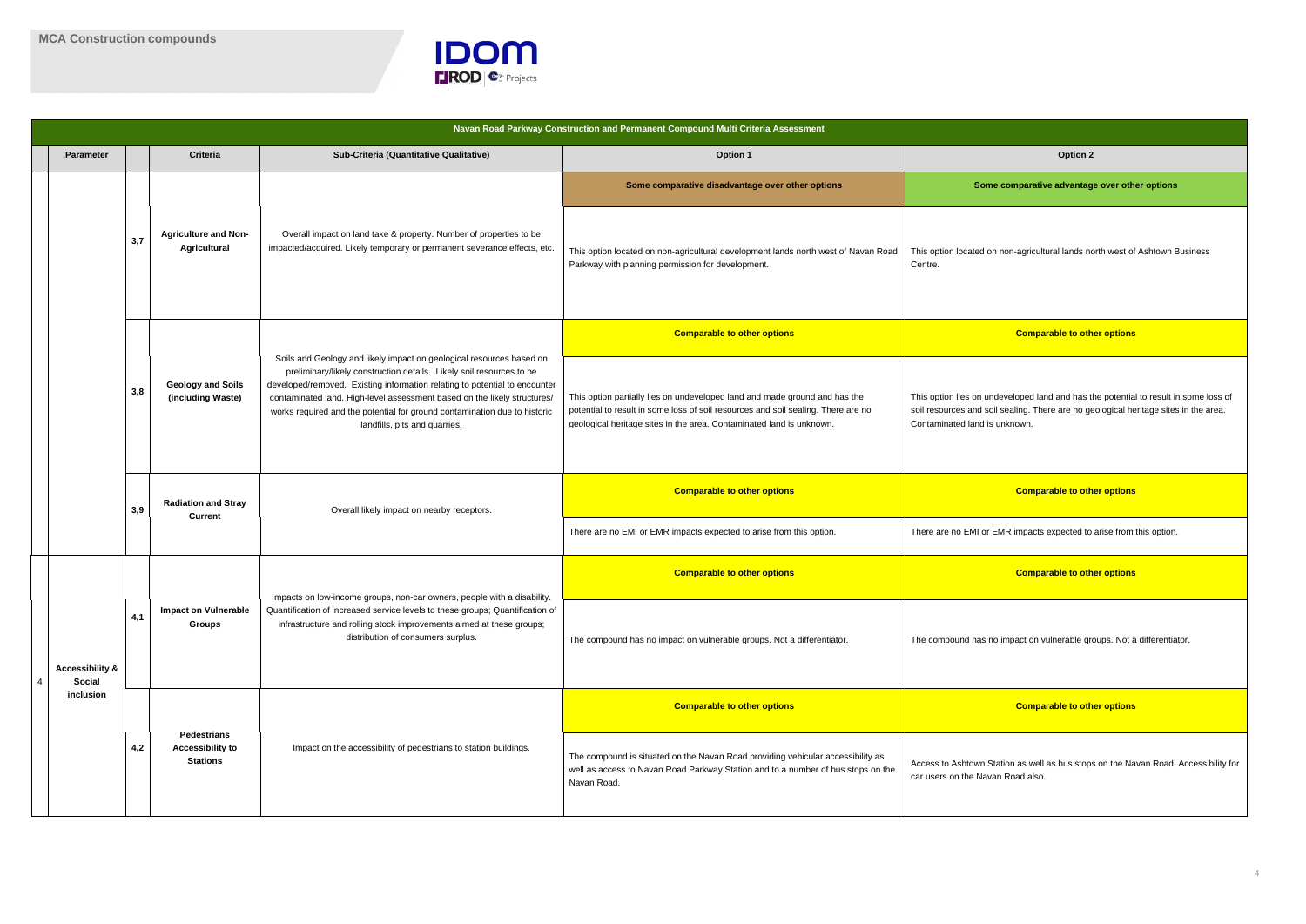

|   | <b>Parameter</b>                     |     | <b>Criteria</b>                               | Sub-Criteria (Quantitative Qualitative)                                                                                                                                                                                                                                                                                                                                                                              | Option 1                                                                                                                                                                                                                                | Option 2                                                                                                                            |  |                                                                  |                                                                  |                                                                                                                                                                                    |
|---|--------------------------------------|-----|-----------------------------------------------|----------------------------------------------------------------------------------------------------------------------------------------------------------------------------------------------------------------------------------------------------------------------------------------------------------------------------------------------------------------------------------------------------------------------|-----------------------------------------------------------------------------------------------------------------------------------------------------------------------------------------------------------------------------------------|-------------------------------------------------------------------------------------------------------------------------------------|--|------------------------------------------------------------------|------------------------------------------------------------------|------------------------------------------------------------------------------------------------------------------------------------------------------------------------------------|
|   |                                      |     |                                               |                                                                                                                                                                                                                                                                                                                                                                                                                      | Some comparative disadvantage over other options                                                                                                                                                                                        | Some comparative advantag                                                                                                           |  |                                                                  |                                                                  |                                                                                                                                                                                    |
|   |                                      | 3,7 | <b>Agriculture and Non-</b><br>Agricultural   | Overall impact on land take & property. Number of properties to be<br>impacted/acquired. Likely temporary or permanent severance effects, etc.                                                                                                                                                                                                                                                                       | This option located on non-agricultural development lands north west of Navan Road<br>Parkway with planning permission for development.                                                                                                 | This option located on non-agricultural lands no<br>Centre.                                                                         |  |                                                                  |                                                                  |                                                                                                                                                                                    |
|   |                                      |     |                                               |                                                                                                                                                                                                                                                                                                                                                                                                                      | <b>Comparable to other options</b>                                                                                                                                                                                                      | <b>Comparable to oth</b>                                                                                                            |  |                                                                  |                                                                  |                                                                                                                                                                                    |
|   |                                      | 3,8 | <b>Geology and Soils</b><br>(including Waste) | Soils and Geology and likely impact on geological resources based on<br>preliminary/likely construction details. Likely soil resources to be<br>developed/removed. Existing information relating to potential to encounter<br>contaminated land. High-level assessment based on the likely structures/<br>works required and the potential for ground contamination due to historic<br>landfills, pits and quarries. | This option partially lies on undeveloped land and made ground and has the<br>potential to result in some loss of soil resources and soil sealing. There are no<br>geological heritage sites in the area. Contaminated land is unknown. | This option lies on undeveloped land and has t<br>soil resources and soil sealing. There are no go<br>Contaminated land is unknown. |  |                                                                  |                                                                  |                                                                                                                                                                                    |
|   |                                      | 3,9 | <b>Radiation and Stray</b><br><b>Current</b>  | Overall likely impact on nearby receptors.                                                                                                                                                                                                                                                                                                                                                                           | <b>Comparable to other options</b>                                                                                                                                                                                                      | <b>Comparable to oth</b>                                                                                                            |  |                                                                  |                                                                  |                                                                                                                                                                                    |
|   |                                      |     |                                               |                                                                                                                                                                                                                                                                                                                                                                                                                      | There are no EMI or EMR impacts expected to arise from this option.                                                                                                                                                                     | There are no EMI or EMR impacts expected to                                                                                         |  |                                                                  |                                                                  |                                                                                                                                                                                    |
|   |                                      |     |                                               |                                                                                                                                                                                                                                                                                                                                                                                                                      | <b>Comparable to other options</b>                                                                                                                                                                                                      | <b>Comparable to oth</b>                                                                                                            |  |                                                                  |                                                                  |                                                                                                                                                                                    |
| 4 | <b>Accessibility &amp;</b><br>Social | 4,1 | <b>Impact on Vulnerable</b><br><b>Groups</b>  | Impacts on low-income groups, non-car owners, people with a disability.<br>Quantification of increased service levels to these groups; Quantification of<br>infrastructure and rolling stock improvements aimed at these groups;<br>distribution of consumers surplus.                                                                                                                                               | The compound has no impact on vulnerable groups. Not a differentiator.                                                                                                                                                                  | The compound has no impact on vulnerable gr                                                                                         |  |                                                                  |                                                                  |                                                                                                                                                                                    |
|   | inclusion                            | 4,2 |                                               |                                                                                                                                                                                                                                                                                                                                                                                                                      | <b>Comparable to other options</b>                                                                                                                                                                                                      | <b>Comparable to oth</b>                                                                                                            |  |                                                                  |                                                                  |                                                                                                                                                                                    |
|   |                                      |     |                                               |                                                                                                                                                                                                                                                                                                                                                                                                                      |                                                                                                                                                                                                                                         |                                                                                                                                     |  | <b>Pedestrians</b><br><b>Accessibility to</b><br><b>Stations</b> | Impact on the accessibility of pedestrians to station buildings. | The compound is situated on the Navan Road providing vehicular accessibility as<br>well as access to Navan Road Parkway Station and to a number of bus stops on the<br>Navan Road. |
|   |                                      |     |                                               |                                                                                                                                                                                                                                                                                                                                                                                                                      |                                                                                                                                                                                                                                         |                                                                                                                                     |  |                                                                  |                                                                  |                                                                                                                                                                                    |

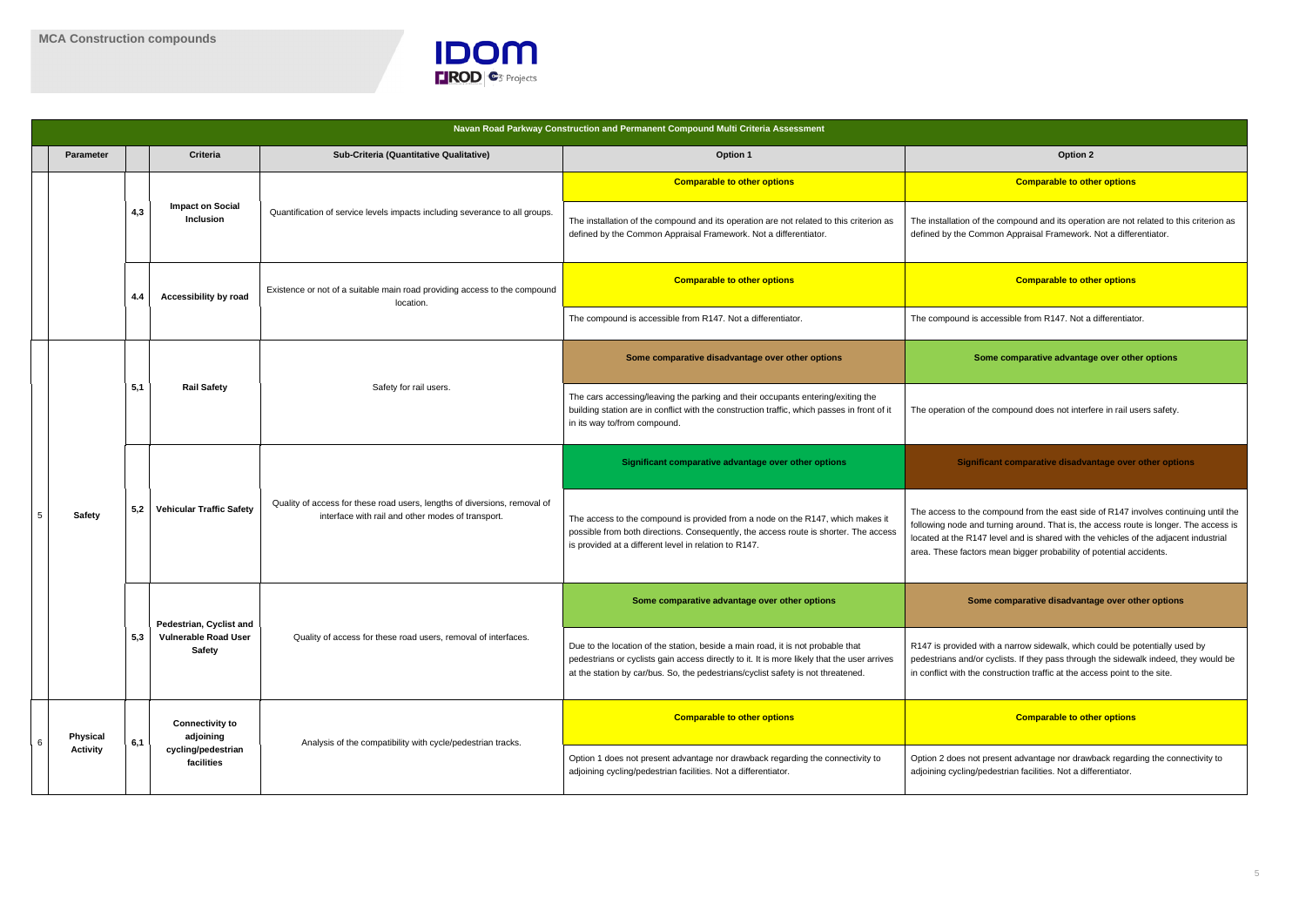

he compound and its operation are not related to this criterion as mon Appraisal Framework. Not a differentiator.

#### **Comparable to other options Comparable to other options**

ccessible from R147. Not a differentiator.

**Somarative advantage over other options** 

e compound does not interfere in rail users safety.

#### **Significant comparative disadvantage over other options**

compound from the east side of R147 involves continuing until the turning around. That is, the access route is longer. The access is level and is shared with the vehicles of the adjacent industrial mean bigger probability of potential accidents.

#### **Somparative disadvantage over other options**

ith a narrow sidewalk, which could be potentially used by cyclists. If they pass through the sidewalk indeed, they would be construction traffic at the access point to the site.

| Navan Road Parkway Construction and Permanent Compound Multi Criteria Assessment |                  |     |                                             |                                                                                        |                                                                                                                                                                                                                |                                                                                                                                                                                                                                                                    |                                                                                                                                                                                                       |  |
|----------------------------------------------------------------------------------|------------------|-----|---------------------------------------------|----------------------------------------------------------------------------------------|----------------------------------------------------------------------------------------------------------------------------------------------------------------------------------------------------------------|--------------------------------------------------------------------------------------------------------------------------------------------------------------------------------------------------------------------------------------------------------------------|-------------------------------------------------------------------------------------------------------------------------------------------------------------------------------------------------------|--|
|                                                                                  | <b>Parameter</b> |     | <b>Criteria</b>                             | Sub-Criteria (Quantitative Qualitative)                                                | Option 1                                                                                                                                                                                                       | Option 2                                                                                                                                                                                                                                                           |                                                                                                                                                                                                       |  |
|                                                                                  |                  |     |                                             |                                                                                        | <b>Comparable to other options</b>                                                                                                                                                                             | <b>Comparable to oth</b>                                                                                                                                                                                                                                           |                                                                                                                                                                                                       |  |
|                                                                                  |                  | 4,3 | <b>Impact on Social</b><br><b>Inclusion</b> | Quantification of service levels impacts including severance to all groups.            | The installation of the compound and its operation are not related to this criterion as<br>defined by the Common Appraisal Framework. Not a differentiator.                                                    | The installation of the compound and its operat<br>defined by the Common Appraisal Framework.                                                                                                                                                                      |                                                                                                                                                                                                       |  |
|                                                                                  |                  | 4.4 | <b>Accessibility by road</b>                | Existence or not of a suitable main road providing access to the compound<br>location. | <b>Comparable to other options</b>                                                                                                                                                                             | <b>Comparable to oth</b>                                                                                                                                                                                                                                           |                                                                                                                                                                                                       |  |
|                                                                                  |                  |     |                                             |                                                                                        | The compound is accessible from R147. Not a differentiator.                                                                                                                                                    | The compound is accessible from R147. Not a                                                                                                                                                                                                                        |                                                                                                                                                                                                       |  |
|                                                                                  |                  |     |                                             |                                                                                        | Some comparative disadvantage over other options                                                                                                                                                               | Some comparative advantag                                                                                                                                                                                                                                          |                                                                                                                                                                                                       |  |
|                                                                                  |                  | 5,1 | <b>Rail Safety</b>                          | Safety for rail users.                                                                 | The cars accessing/leaving the parking and their occupants entering/exiting the<br>building station are in conflict with the construction traffic, which passes in front of it<br>in its way to/from compound. | The operation of the compound does not interf                                                                                                                                                                                                                      |                                                                                                                                                                                                       |  |
|                                                                                  |                  |     |                                             |                                                                                        | Significant comparative advantage over other options                                                                                                                                                           | <b>Significant comparative disadva</b>                                                                                                                                                                                                                             |                                                                                                                                                                                                       |  |
| -5                                                                               | <b>Safety</b>    | 5,2 |                                             | <b>Vehicular Traffic Safety</b>                                                        | Quality of access for these road users, lengths of diversions, removal of<br>interface with rail and other modes of transport.                                                                                 | The access to the compound is provided from a node on the R147, which makes it<br>possible from both directions. Consequently, the access route is shorter. The access<br>is provided at a different level in relation to R147.                                    | The access to the compound from the east sid<br>following node and turning around. That is, the<br>located at the R147 level and is shared with the<br>area. These factors mean bigger probability of |  |
|                                                                                  |                  |     | Pedestrian, Cyclist and                     |                                                                                        | Some comparative advantage over other options                                                                                                                                                                  | Some comparative disadvanta                                                                                                                                                                                                                                        |                                                                                                                                                                                                       |  |
|                                                                                  |                  | 5,3 |                                             | <b>Vulnerable Road User</b><br><b>Safety</b>                                           | Quality of access for these road users, removal of interfaces.                                                                                                                                                 | Due to the location of the station, beside a main road, it is not probable that<br>pedestrians or cyclists gain access directly to it. It is more likely that the user arrives<br>at the station by car/bus. So, the pedestrians/cyclist safety is not threatened. | R147 is provided with a narrow sidewalk, which<br>pedestrians and/or cyclists. If they pass througl<br>in conflict with the construction traffic at the acc                                           |  |
|                                                                                  | Physical         | 6,1 | <b>Connectivity to</b><br>adjoining         |                                                                                        | <b>Comparable to other options</b>                                                                                                                                                                             | <b>Comparable to oth</b>                                                                                                                                                                                                                                           |                                                                                                                                                                                                       |  |
|                                                                                  | <b>Activity</b>  |     |                                             | cycling/pedestrian<br>facilities                                                       | Analysis of the compatibility with cycle/pedestrian tracks.                                                                                                                                                    | Option 1 does not present advantage nor drawback regarding the connectivity to<br>adjoining cycling/pedestrian facilities. Not a differentiator.                                                                                                                   | Option 2 does not present advantage nor draw<br>adjoining cycling/pedestrian facilities. Not a diff                                                                                                   |  |
|                                                                                  |                  |     |                                             |                                                                                        |                                                                                                                                                                                                                |                                                                                                                                                                                                                                                                    |                                                                                                                                                                                                       |  |

#### **Comparable to other options Comparable to other options**

resent advantage nor drawback regarding the connectivity to edestrian facilities. Not a differentiator.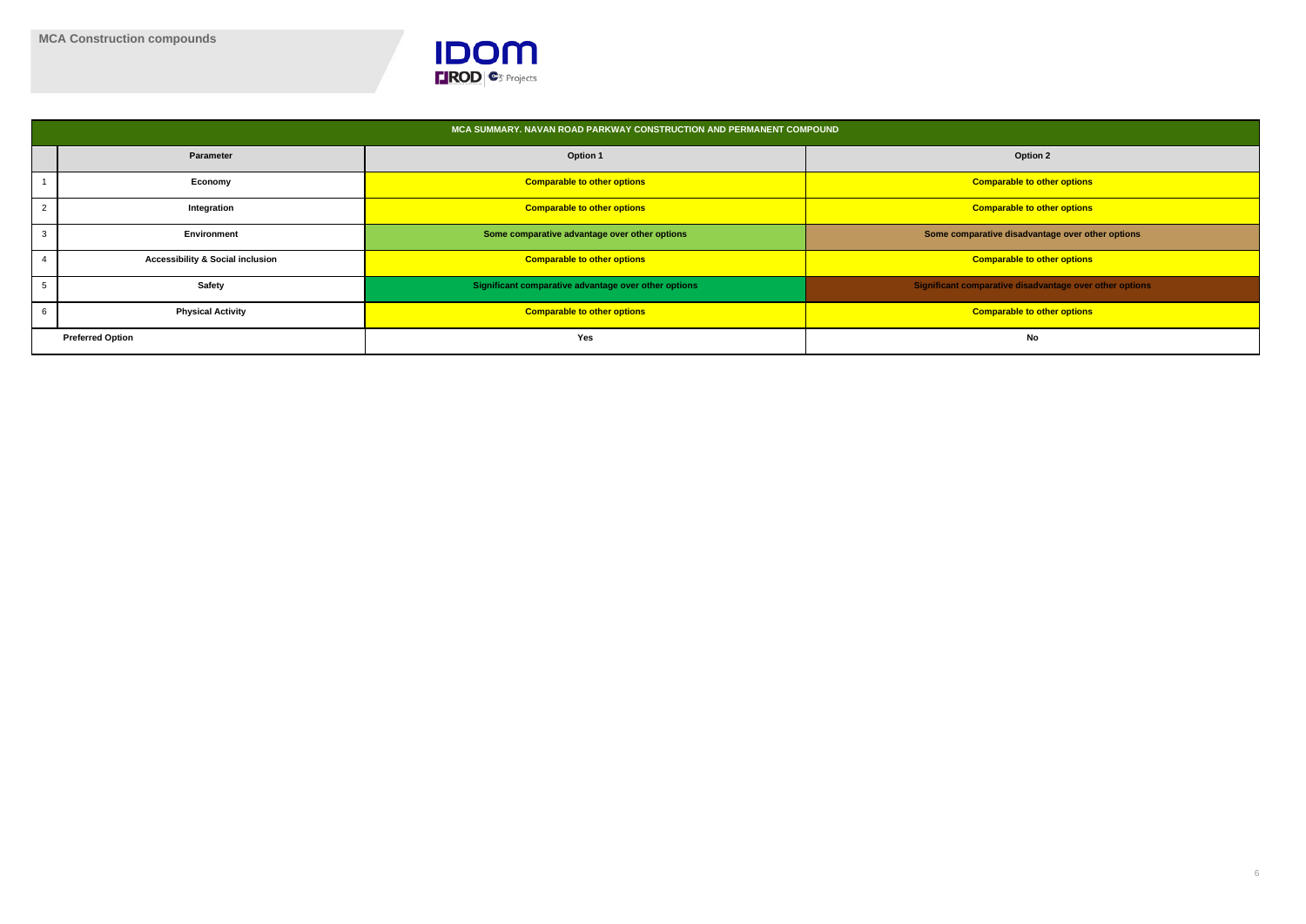

|                         |                                             | MCA SUMMARY. NAVAN ROAD PARKWAY CONSTRUCTION AND PERMANENT COMPOUND |                                                         |
|-------------------------|---------------------------------------------|---------------------------------------------------------------------|---------------------------------------------------------|
|                         | <b>Parameter</b>                            | <b>Option 1</b>                                                     | <b>Option 2</b>                                         |
|                         | Economy                                     | <b>Comparable to other options</b>                                  | <b>Comparable to other options</b>                      |
| 2                       | Integration                                 | <b>Comparable to other options</b>                                  | <b>Comparable to other options</b>                      |
|                         | Environment                                 | Some comparative advantage over other options                       | Some comparative disadvantage over other options        |
|                         | <b>Accessibility &amp; Social inclusion</b> | <b>Comparable to other options</b>                                  | <b>Comparable to other options</b>                      |
|                         | Safety                                      | Significant comparative advantage over other options                | Significant comparative disadvantage over other options |
|                         | <b>Physical Activity</b>                    | <b>Comparable to other options</b>                                  | <b>Comparable to other options</b>                      |
| <b>Preferred Option</b> |                                             | Yes                                                                 | No                                                      |

| <b>Option 2</b>                         |
|-----------------------------------------|
| nparable to other options               |
| nparable to other options               |
| tive disadvantage over other options    |
| nparable to other options               |
| arative disadvantage over other options |
| nparable to other options               |
| <b>No</b>                               |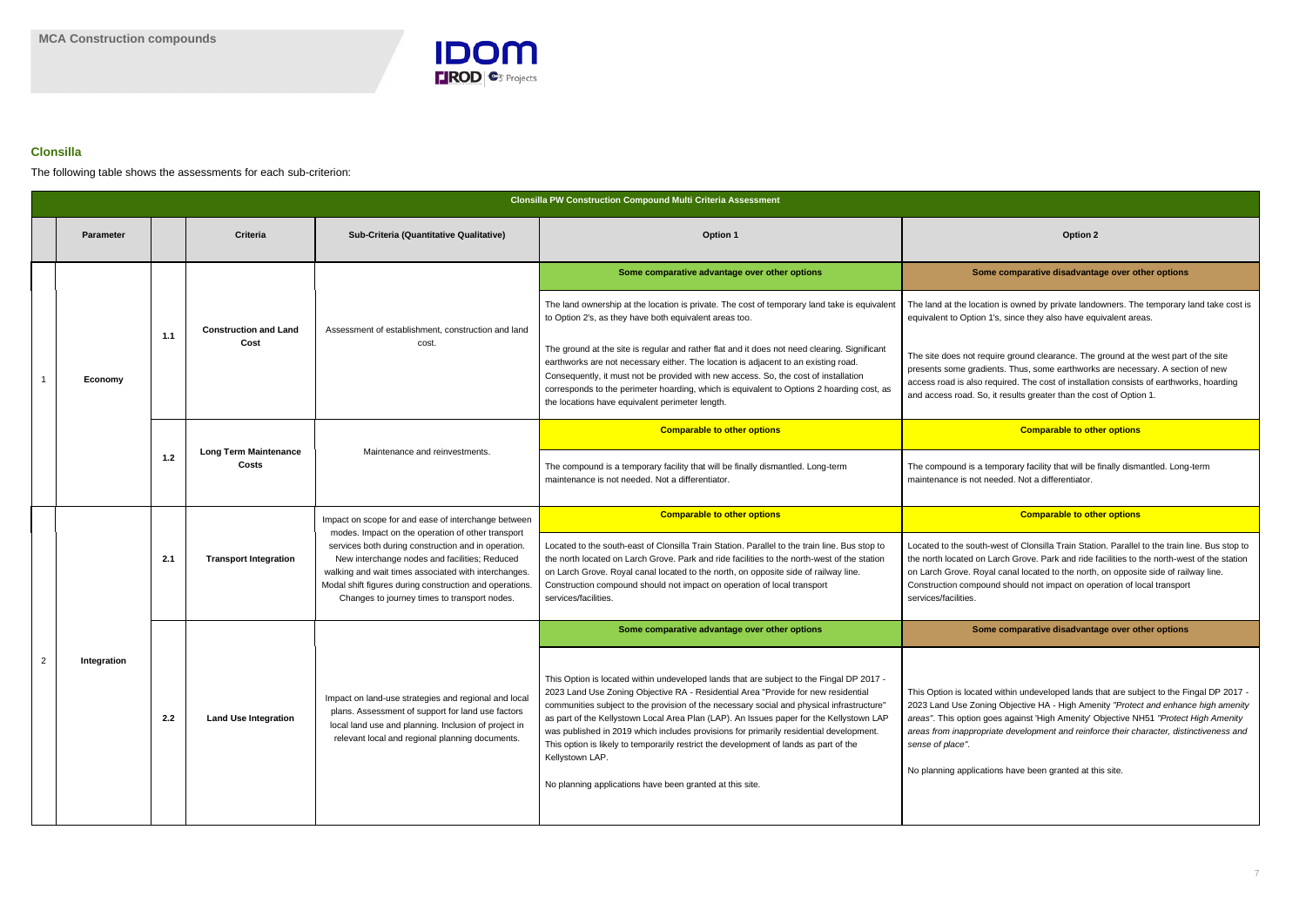

### **Clonsilla**

The following table shows the assessments for each sub-criterion:

#### **Some comparative advantage over other options Some comparative disadvantage over other options**

tion is owned by private landowners. The temporary land take cost is 1's, since they also have equivalent areas.

quire ground clearance. The ground at the west part of the site dients. Thus, some earthworks are necessary. A section of new required. The cost of installation consists of earthworks, hoarding b, it results greater than the cost of Option 1.

### **Comparable to other options Comparable to other options**

temporary facility that will be finally dismantled. Long-term needed. Not a differentiator.

### **Comparable to other options**

n-west of Clonsilla Train Station. Parallel to the train line. Bus stop to I Larch Grove. Park and ride facilities to the north-west of the station yal canal located to the north, on opposite side of railway line. ound should not impact on operation of local transport

|                |                  |       |                                       |                                                                                                                                                                                                                                                                                                                              | <b>Clonsilla PW Construction Compound Multi Criteria Assessment</b>                                                                                                                                                                                                                                                                                                                                                                                                                                                                                                                                                                     |                                                                                                                                                                                                                                                                                   |
|----------------|------------------|-------|---------------------------------------|------------------------------------------------------------------------------------------------------------------------------------------------------------------------------------------------------------------------------------------------------------------------------------------------------------------------------|-----------------------------------------------------------------------------------------------------------------------------------------------------------------------------------------------------------------------------------------------------------------------------------------------------------------------------------------------------------------------------------------------------------------------------------------------------------------------------------------------------------------------------------------------------------------------------------------------------------------------------------------|-----------------------------------------------------------------------------------------------------------------------------------------------------------------------------------------------------------------------------------------------------------------------------------|
|                | <b>Parameter</b> |       | <b>Criteria</b>                       | Sub-Criteria (Quantitative Qualitative)                                                                                                                                                                                                                                                                                      | <b>Option 1</b>                                                                                                                                                                                                                                                                                                                                                                                                                                                                                                                                                                                                                         | Option 2                                                                                                                                                                                                                                                                          |
|                |                  |       |                                       | Assessment of establishment, construction and land<br>cost.                                                                                                                                                                                                                                                                  | Some comparative advantage over other options                                                                                                                                                                                                                                                                                                                                                                                                                                                                                                                                                                                           | Some comparative disadvanta                                                                                                                                                                                                                                                       |
|                |                  | 1.1   | <b>Construction and Land</b>          |                                                                                                                                                                                                                                                                                                                              | The land ownership at the location is private. The cost of temporary land take is equivalent<br>to Option 2's, as they have both equivalent areas too.                                                                                                                                                                                                                                                                                                                                                                                                                                                                                  | The land at the location is owned by private land<br>equivalent to Option 1's, since they also have eq                                                                                                                                                                            |
|                | Economy          |       | Cost                                  |                                                                                                                                                                                                                                                                                                                              | The ground at the site is regular and rather flat and it does not need clearing. Significant<br>earthworks are not necessary either. The location is adjacent to an existing road.<br>Consequently, it must not be provided with new access. So, the cost of installation<br>corresponds to the perimeter hoarding, which is equivalent to Options 2 hoarding cost, as<br>the locations have equivalent perimeter length.                                                                                                                                                                                                               | The site does not require ground clearance. The<br>presents some gradients. Thus, some earthwork<br>access road is also required. The cost of installat<br>and access road. So, it results greater than the c                                                                     |
|                |                  |       |                                       | Maintenance and reinvestments.                                                                                                                                                                                                                                                                                               | <b>Comparable to other options</b>                                                                                                                                                                                                                                                                                                                                                                                                                                                                                                                                                                                                      | <b>Comparable to oth</b>                                                                                                                                                                                                                                                          |
|                |                  | $1.2$ | <b>Long Term Maintenance</b><br>Costs |                                                                                                                                                                                                                                                                                                                              | The compound is a temporary facility that will be finally dismantled. Long-term<br>maintenance is not needed. Not a differentiator.                                                                                                                                                                                                                                                                                                                                                                                                                                                                                                     | The compound is a temporary facility that will be<br>maintenance is not needed. Not a differentiator.                                                                                                                                                                             |
|                |                  | 2.1   |                                       | Impact on scope for and ease of interchange between                                                                                                                                                                                                                                                                          | <b>Comparable to other options</b>                                                                                                                                                                                                                                                                                                                                                                                                                                                                                                                                                                                                      | <b>Comparable to oth</b>                                                                                                                                                                                                                                                          |
|                |                  |       | <b>Transport Integration</b>          | modes. Impact on the operation of other transport<br>services both during construction and in operation.<br>New interchange nodes and facilities; Reduced<br>walking and wait times associated with interchanges.<br>Modal shift figures during construction and operations.<br>Changes to journey times to transport nodes. | Located to the south-east of Clonsilla Train Station. Parallel to the train line. Bus stop to<br>the north located on Larch Grove. Park and ride facilities to the north-west of the station<br>on Larch Grove. Royal canal located to the north, on opposite side of railway line.<br>Construction compound should not impact on operation of local transport<br>services/facilities.                                                                                                                                                                                                                                                  | Located to the south-west of Clonsilla Train Stati<br>the north located on Larch Grove. Park and ride t<br>on Larch Grove. Royal canal located to the north<br>Construction compound should not impact on op<br>services/facilities.                                              |
|                |                  |       |                                       |                                                                                                                                                                                                                                                                                                                              | Some comparative advantage over other options                                                                                                                                                                                                                                                                                                                                                                                                                                                                                                                                                                                           | Some comparative disadvanta                                                                                                                                                                                                                                                       |
| $\overline{2}$ | Integration      | 2.2   | <b>Land Use Integration</b>           | Impact on land-use strategies and regional and local<br>plans. Assessment of support for land use factors<br>local land use and planning. Inclusion of project in<br>relevant local and regional planning documents.                                                                                                         | This Option is located within undeveloped lands that are subject to the Fingal DP 2017 -<br>2023 Land Use Zoning Objective RA - Residential Area "Provide for new residential<br>communities subject to the provision of the necessary social and physical infrastructure'<br>as part of the Kellystown Local Area Plan (LAP). An Issues paper for the Kellystown LAP<br>was published in 2019 which includes provisions for primarily residential development.<br>This option is likely to temporarily restrict the development of lands as part of the<br>Kellystown LAP.<br>No planning applications have been granted at this site. | This Option is located within undeveloped lands t<br>2023 Land Use Zoning Objective HA - High Ame<br>areas". This option goes against 'High Amenity' O<br>areas from inappropriate development and reinfo<br>sense of place".<br>No planning applications have been granted at th |

### **Some comparative advantage over other options Some comparative disadvantage over other options**

ed within undeveloped lands that are subject to the Fingal DP 2017 -2023 Land Poligective HA - High Amenity *"Protect and enhance high amenity areas"*. This option goes against 'High Amenity' Objective NH51 *"Protect High Amenity ariate development and reinforce their character, distinctiveness and* 

tions have been granted at this site.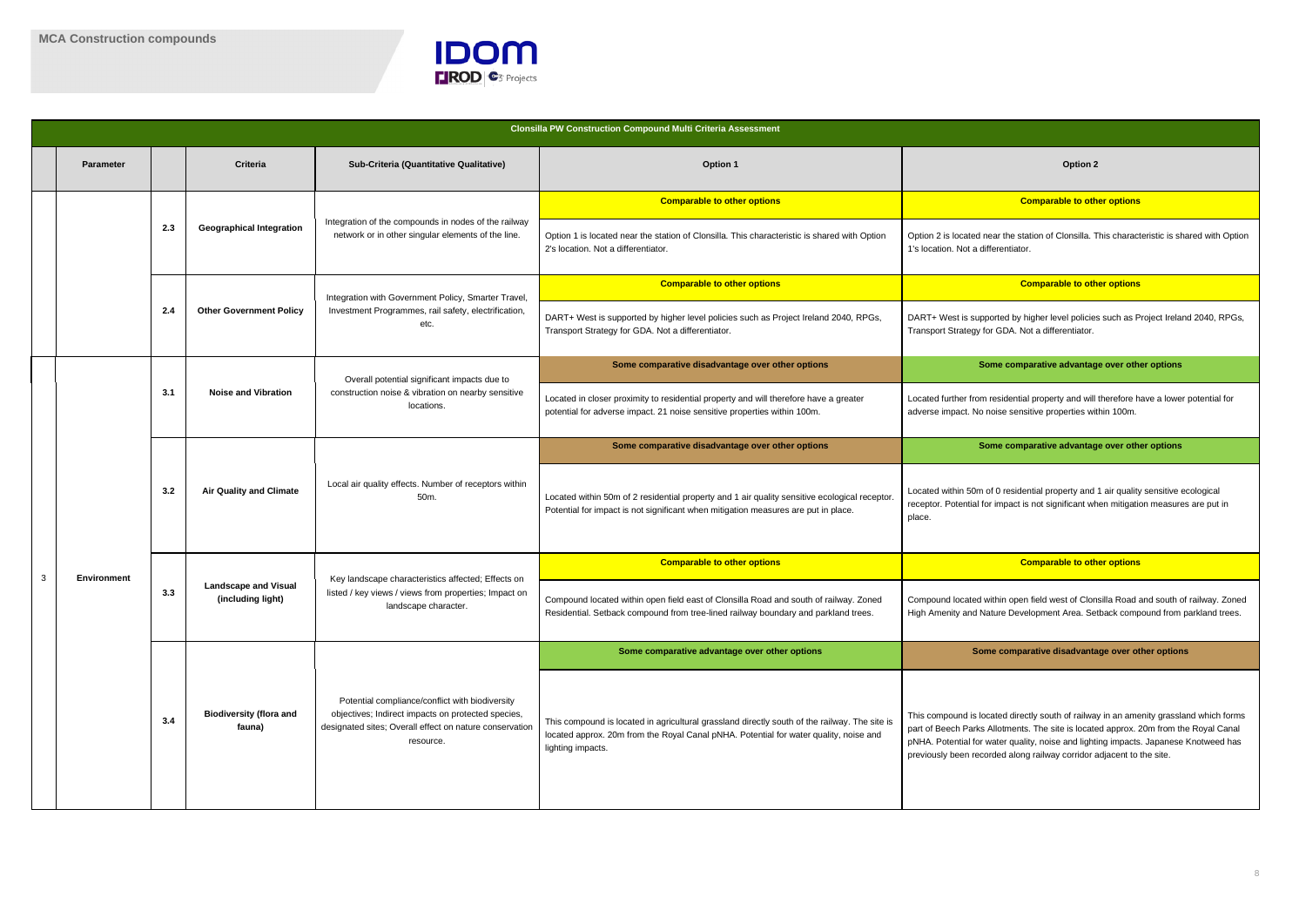

near the station of Clonsilla. This characteristic is shared with Option ifferentiator.

#### **Comparable to other options**

ported by higher level policies such as Project Ireland 2040, RPGs, or GDA. Not a differentiator.

**Some comparative advantage over other options** 

residential property and will therefore have a lower potential for noise sensitive properties within 100m.

**Some comparative advantage over other options** 

of 0 residential property and 1 air quality sensitive ecological or impact is not significant when mitigation measures are put in

|   |                    |     |                                                  |                                                                                                                                                                               | <b>Clonsilla PW Construction Compound Multi Criteria Assessment</b>                                                                                                                                         |                                                                                                                                                                                                                    |  |
|---|--------------------|-----|--------------------------------------------------|-------------------------------------------------------------------------------------------------------------------------------------------------------------------------------|-------------------------------------------------------------------------------------------------------------------------------------------------------------------------------------------------------------|--------------------------------------------------------------------------------------------------------------------------------------------------------------------------------------------------------------------|--|
|   | <b>Parameter</b>   |     | <b>Criteria</b>                                  | Sub-Criteria (Quantitative Qualitative)                                                                                                                                       | Option 1                                                                                                                                                                                                    | Option 2                                                                                                                                                                                                           |  |
|   |                    |     |                                                  | Integration of the compounds in nodes of the railway<br>network or in other singular elements of the line.                                                                    | <b>Comparable to other options</b>                                                                                                                                                                          | <b>Comparable to oth</b>                                                                                                                                                                                           |  |
|   |                    | 2.3 | <b>Geographical Integration</b>                  |                                                                                                                                                                               | Option 1 is located near the station of Clonsilla. This characteristic is shared with Option<br>2's location. Not a differentiator.                                                                         | Option 2 is located near the station of Clonsilla. T<br>1's location. Not a differentiator.                                                                                                                        |  |
|   |                    |     |                                                  | Integration with Government Policy, Smarter Travel,                                                                                                                           | <b>Comparable to other options</b>                                                                                                                                                                          | <b>Comparable to oth</b>                                                                                                                                                                                           |  |
|   |                    | 2.4 | <b>Other Government Policy</b>                   | Investment Programmes, rail safety, electrification,<br>etc.                                                                                                                  | DART+ West is supported by higher level policies such as Project Ireland 2040, RPGs,<br>Transport Strategy for GDA. Not a differentiator.                                                                   | DART+ West is supported by higher level policie<br>Transport Strategy for GDA. Not a differentiator.                                                                                                               |  |
|   |                    |     |                                                  | Overall potential significant impacts due to                                                                                                                                  | Some comparative disadvantage over other options                                                                                                                                                            | Some comparative advantag                                                                                                                                                                                          |  |
|   |                    | 3.1 | <b>Noise and Vibration</b>                       | construction noise & vibration on nearby sensitive<br>locations.                                                                                                              | Located in closer proximity to residential property and will therefore have a greater<br>potential for adverse impact. 21 noise sensitive properties within 100m.                                           | Located further from residential property and will<br>adverse impact. No noise sensitive properties wit                                                                                                            |  |
|   |                    |     |                                                  | Local air quality effects. Number of receptors within<br>50m.                                                                                                                 | Some comparative disadvantage over other options                                                                                                                                                            | Some comparative advantag                                                                                                                                                                                          |  |
|   |                    | 3.2 | <b>Air Quality and Climate</b>                   |                                                                                                                                                                               | Located within 50m of 2 residential property and 1 air quality sensitive ecological receptor.<br>Potential for impact is not significant when mitigation measures are put in place.                         | Located within 50m of 0 residential property and<br>receptor. Potential for impact is not significant wh<br>place.                                                                                                 |  |
|   |                    |     |                                                  |                                                                                                                                                                               | <b>Comparable to other options</b>                                                                                                                                                                          | <b>Comparable to oth</b>                                                                                                                                                                                           |  |
| 3 | <b>Environment</b> | 3.3 | <b>Landscape and Visual</b><br>(including light) | Key landscape characteristics affected; Effects on<br>listed / key views / views from properties; Impact on<br>landscape character.                                           | Compound located within open field east of Clonsilla Road and south of railway. Zoned<br>Residential. Setback compound from tree-lined railway boundary and parkland trees.                                 | Compound located within open field west of Clon<br>High Amenity and Nature Development Area. Se                                                                                                                    |  |
|   |                    |     |                                                  |                                                                                                                                                                               | Some comparative advantage over other options                                                                                                                                                               | Some comparative disadvanta                                                                                                                                                                                        |  |
|   |                    | 3.4 | <b>Biodiversity (flora and</b><br>fauna)         | Potential compliance/conflict with biodiversity<br>objectives; Indirect impacts on protected species,<br>designated sites; Overall effect on nature conservation<br>resource. | This compound is located in agricultural grassland directly south of the railway. The site is<br>located approx. 20m from the Royal Canal pNHA. Potential for water quality, noise and<br>lighting impacts. | This compound is located directly south of railwa<br>part of Beech Parks Allotments. The site is locate<br>pNHA. Potential for water quality, noise and light<br>previously been recorded along railway corridor a |  |

#### **Comparable to other options Comparable to other options**

within open field west of Clonsilla Road and south of railway. Zoned lature Development Area. Setback compound from parkland trees.

**Some comparative advantage over other options Some comparative disadvantage over other options**

cated directly south of railway in an amenity grassland which forms Allotments. The site is located approx. 20m from the Royal Canal water quality, noise and lighting impacts. Japanese Knotweed has prded along railway corridor adjacent to the site.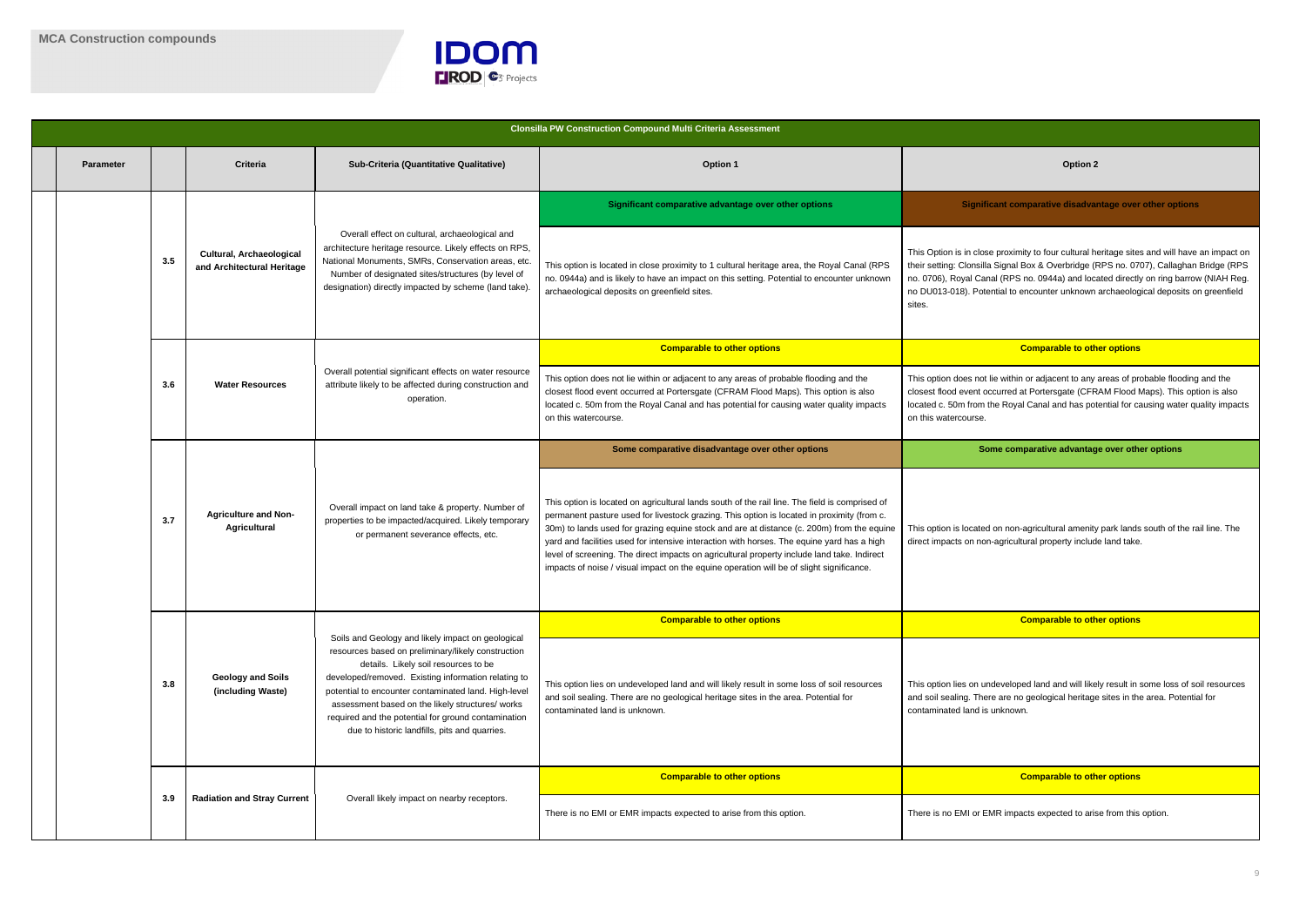

t lie within or adjacent to any areas of probable flooding and the occurred at Portersgate (CFRAM Flood Maps). This option is also the Royal Canal and has potential for causing water quality impacts

**Some comparative advantage over other options** 

I on non-agricultural amenity park lands south of the rail line. The n-agricultural property include land take.

| <b>Parameter</b> |     | <b>Criteria</b>                                        | Sub-Criteria (Quantitative Qualitative)                                                                                                                                                                                                                                                                                                                                                                                    | <b>Option 1</b>                                                                                                                                                                                                                                                                                                                                                                                                                                                                                                                                                                    | <b>Option 2</b>                                                                                                                                                                                                          |
|------------------|-----|--------------------------------------------------------|----------------------------------------------------------------------------------------------------------------------------------------------------------------------------------------------------------------------------------------------------------------------------------------------------------------------------------------------------------------------------------------------------------------------------|------------------------------------------------------------------------------------------------------------------------------------------------------------------------------------------------------------------------------------------------------------------------------------------------------------------------------------------------------------------------------------------------------------------------------------------------------------------------------------------------------------------------------------------------------------------------------------|--------------------------------------------------------------------------------------------------------------------------------------------------------------------------------------------------------------------------|
|                  |     |                                                        |                                                                                                                                                                                                                                                                                                                                                                                                                            | Significant comparative advantage over other options                                                                                                                                                                                                                                                                                                                                                                                                                                                                                                                               | <b>Significant comparative disadva</b>                                                                                                                                                                                   |
|                  | 3.5 | Cultural, Archaeological<br>and Architectural Heritage | Overall effect on cultural, archaeological and<br>architecture heritage resource. Likely effects on RPS,<br>National Monuments, SMRs, Conservation areas, etc.<br>Number of designated sites/structures (by level of<br>designation) directly impacted by scheme (land take).                                                                                                                                              | This option is located in close proximity to 1 cultural heritage area, the Royal Canal (RPS<br>no. 0944a) and is likely to have an impact on this setting. Potential to encounter unknown<br>archaeological deposits on greenfield sites.                                                                                                                                                                                                                                                                                                                                          | This Option is in close proximity to four cultural h<br>their setting: Clonsilla Signal Box & Overbridge (I<br>no. 0706), Royal Canal (RPS no. 0944a) and loc<br>no DU013-018). Potential to encounter unknown<br>sites. |
|                  |     |                                                        |                                                                                                                                                                                                                                                                                                                                                                                                                            | <b>Comparable to other options</b>                                                                                                                                                                                                                                                                                                                                                                                                                                                                                                                                                 | <b>Comparable to oth</b>                                                                                                                                                                                                 |
|                  | 3.6 | <b>Water Resources</b>                                 | Overall potential significant effects on water resource<br>attribute likely to be affected during construction and<br>operation.                                                                                                                                                                                                                                                                                           | This option does not lie within or adjacent to any areas of probable flooding and the<br>closest flood event occurred at Portersgate (CFRAM Flood Maps). This option is also<br>located c. 50m from the Royal Canal and has potential for causing water quality impacts<br>on this watercourse.                                                                                                                                                                                                                                                                                    | This option does not lie within or adjacent to any<br>closest flood event occurred at Portersgate (CFR<br>located c. 50m from the Royal Canal and has pot<br>on this watercourse.                                        |
|                  |     |                                                        |                                                                                                                                                                                                                                                                                                                                                                                                                            | Some comparative disadvantage over other options                                                                                                                                                                                                                                                                                                                                                                                                                                                                                                                                   | Some comparative advantag                                                                                                                                                                                                |
|                  | 3.7 | <b>Agriculture and Non-</b><br>Agricultural            | Overall impact on land take & property. Number of<br>properties to be impacted/acquired. Likely temporary<br>or permanent severance effects, etc.                                                                                                                                                                                                                                                                          | This option is located on agricultural lands south of the rail line. The field is comprised of<br>permanent pasture used for livestock grazing. This option is located in proximity (from c.<br>30m) to lands used for grazing equine stock and are at distance (c. 200m) from the equine<br>yard and facilities used for intensive interaction with horses. The equine yard has a high<br>level of screening. The direct impacts on agricultural property include land take. Indirect<br>impacts of noise / visual impact on the equine operation will be of slight significance. | This option is located on non-agricultural amenity<br>direct impacts on non-agricultural property includ                                                                                                                 |
|                  |     |                                                        |                                                                                                                                                                                                                                                                                                                                                                                                                            | <b>Comparable to other options</b>                                                                                                                                                                                                                                                                                                                                                                                                                                                                                                                                                 | <b>Comparable to oth</b>                                                                                                                                                                                                 |
|                  | 3.8 | <b>Geology and Soils</b><br>(including Waste)          | Soils and Geology and likely impact on geological<br>resources based on preliminary/likely construction<br>details. Likely soil resources to be<br>developed/removed. Existing information relating to<br>potential to encounter contaminated land. High-level<br>assessment based on the likely structures/ works<br>required and the potential for ground contamination<br>due to historic landfills, pits and quarries. | This option lies on undeveloped land and will likely result in some loss of soil resources<br>and soil sealing. There are no geological heritage sites in the area. Potential for<br>contaminated land is unknown.                                                                                                                                                                                                                                                                                                                                                                 | This option lies on undeveloped land and will like<br>and soil sealing. There are no geological heritage<br>contaminated land is unknown.                                                                                |
|                  |     |                                                        |                                                                                                                                                                                                                                                                                                                                                                                                                            | <b>Comparable to other options</b>                                                                                                                                                                                                                                                                                                                                                                                                                                                                                                                                                 | <b>Comparable to oth</b>                                                                                                                                                                                                 |
|                  | 3.9 | <b>Radiation and Stray Current</b>                     | Overall likely impact on nearby receptors.                                                                                                                                                                                                                                                                                                                                                                                 | There is no EMI or EMR impacts expected to arise from this option.                                                                                                                                                                                                                                                                                                                                                                                                                                                                                                                 | There is no EMI or EMR impacts expected to aris                                                                                                                                                                          |
|                  |     |                                                        |                                                                                                                                                                                                                                                                                                                                                                                                                            |                                                                                                                                                                                                                                                                                                                                                                                                                                                                                                                                                                                    |                                                                                                                                                                                                                          |

#### **Significant comparative disadvantage over other options**

se proximity to four cultural heritage sites and will have an impact on la Signal Box & Overbridge (RPS no. 0707), Callaghan Bridge (RPS nal (RPS no. 0944a) and located directly on ring barrow (NIAH Reg. ential to encounter unknown archaeological deposits on greenfield

#### **Comparable to other options Comparable to other options**

ndeveloped land and will likely result in some loss of soil resources ere are no geological heritage sites in the area. Potential for s unknown.

### **Comparable to other options Comparable to other options**

EMR impacts expected to arise from this option.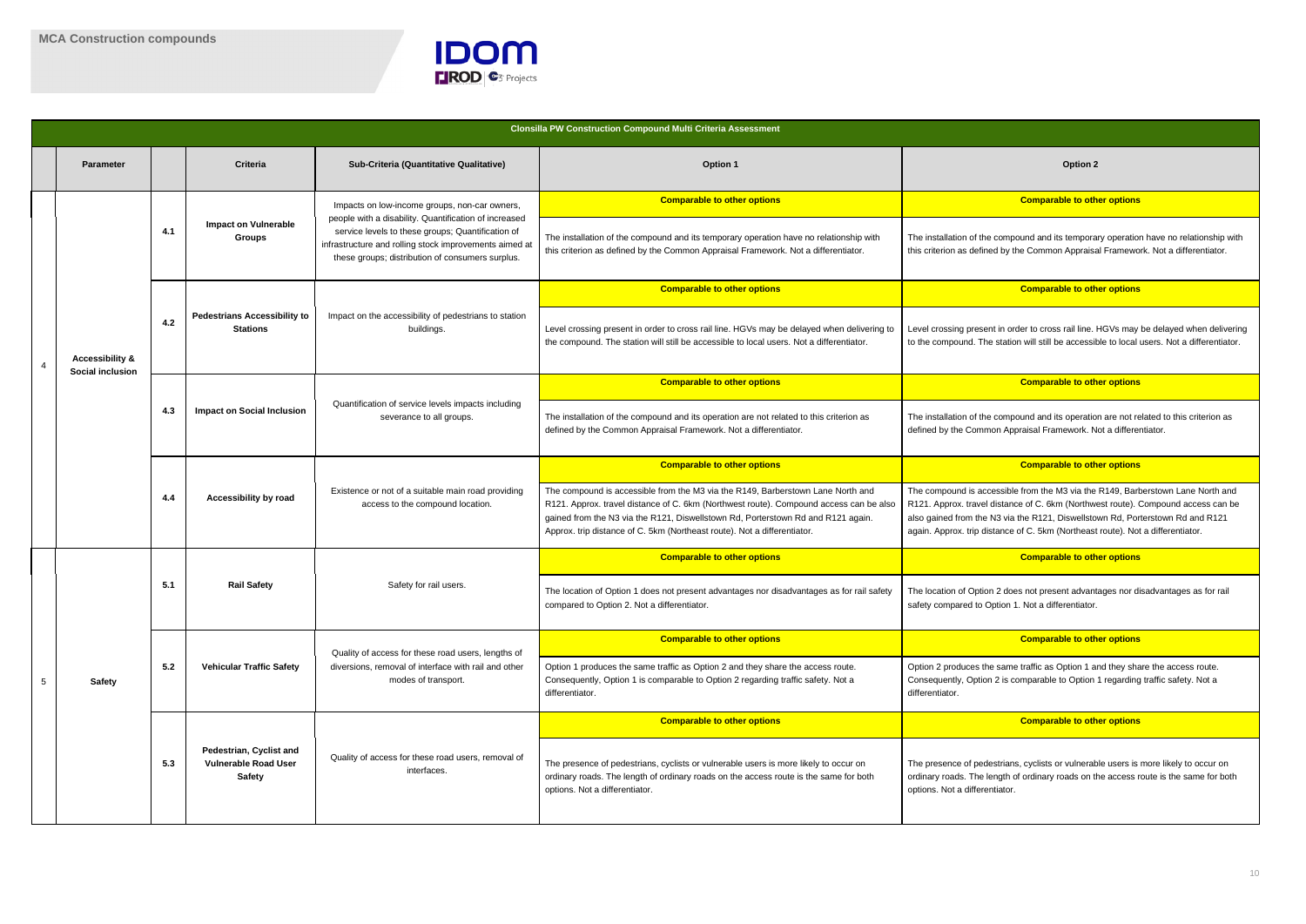

e compound and its temporary operation have no relationship with hed by the Common Appraisal Framework. Not a differentiator.

#### **Comparable to other options**

ent in order to cross rail line. HGVs may be delayed when delivering he station will still be accessible to local users. Not a differentiator.

#### **Comparable to other options**

e compound and its operation are not related to this criterion as mon Appraisal Framework. Not a differentiator.

|   |                                                |     |                                                                         |                                                                                                                                                                                                                          | <b>Clonsilla PW Construction Compound Multi Criteria Assessment</b>                                                                                                                                                                                                                                                                       |                                                                                                                                                                                                            |  |
|---|------------------------------------------------|-----|-------------------------------------------------------------------------|--------------------------------------------------------------------------------------------------------------------------------------------------------------------------------------------------------------------------|-------------------------------------------------------------------------------------------------------------------------------------------------------------------------------------------------------------------------------------------------------------------------------------------------------------------------------------------|------------------------------------------------------------------------------------------------------------------------------------------------------------------------------------------------------------|--|
|   | <b>Parameter</b>                               |     | Criteria                                                                | Sub-Criteria (Quantitative Qualitative)                                                                                                                                                                                  | <b>Option 1</b>                                                                                                                                                                                                                                                                                                                           | <b>Option 2</b>                                                                                                                                                                                            |  |
|   |                                                |     |                                                                         | Impacts on low-income groups, non-car owners,                                                                                                                                                                            | <b>Comparable to other options</b>                                                                                                                                                                                                                                                                                                        | <b>Comparable to oth</b>                                                                                                                                                                                   |  |
|   |                                                | 4.1 | <b>Impact on Vulnerable</b><br><b>Groups</b>                            | people with a disability. Quantification of increased<br>service levels to these groups; Quantification of<br>infrastructure and rolling stock improvements aimed at<br>these groups; distribution of consumers surplus. | The installation of the compound and its temporary operation have no relationship with<br>this criterion as defined by the Common Appraisal Framework. Not a differentiator.                                                                                                                                                              | The installation of the compound and its tempora<br>this criterion as defined by the Common Appraisa                                                                                                       |  |
|   |                                                |     |                                                                         |                                                                                                                                                                                                                          | <b>Comparable to other options</b>                                                                                                                                                                                                                                                                                                        | <b>Comparable to oth</b>                                                                                                                                                                                   |  |
|   | <b>Accessibility &amp;</b><br>Social inclusion | 4.2 | <b>Pedestrians Accessibility to</b><br><b>Stations</b>                  | Impact on the accessibility of pedestrians to station<br>buildings.                                                                                                                                                      | Level crossing present in order to cross rail line. HGVs may be delayed when delivering to<br>the compound. The station will still be accessible to local users. Not a differentiator.                                                                                                                                                    | Level crossing present in order to cross rail line.<br>to the compound. The station will still be accessil                                                                                                 |  |
|   |                                                |     |                                                                         |                                                                                                                                                                                                                          | <b>Comparable to other options</b>                                                                                                                                                                                                                                                                                                        | <b>Comparable to oth</b>                                                                                                                                                                                   |  |
|   |                                                | 4.3 | <b>Impact on Social Inclusion</b>                                       | Quantification of service levels impacts including<br>severance to all groups.                                                                                                                                           | The installation of the compound and its operation are not related to this criterion as<br>defined by the Common Appraisal Framework. Not a differentiator.                                                                                                                                                                               | The installation of the compound and its operatio<br>defined by the Common Appraisal Framework. N                                                                                                          |  |
|   |                                                |     |                                                                         | Existence or not of a suitable main road providing<br>access to the compound location.                                                                                                                                   | <b>Comparable to other options</b>                                                                                                                                                                                                                                                                                                        | <b>Comparable to oth</b>                                                                                                                                                                                   |  |
|   |                                                | 4.4 | Accessibility by road                                                   |                                                                                                                                                                                                                          | The compound is accessible from the M3 via the R149, Barberstown Lane North and<br>R121. Approx. travel distance of C. 6km (Northwest route). Compound access can be also<br>gained from the N3 via the R121, Diswellstown Rd, Porterstown Rd and R121 again.<br>Approx. trip distance of C. 5km (Northeast route). Not a differentiator. | The compound is accessible from the M3 via the<br>R121. Approx. travel distance of C. 6km (Northw<br>also gained from the N3 via the R121, Diswellsto<br>again. Approx. trip distance of C. 5km (Northeast |  |
|   |                                                |     |                                                                         |                                                                                                                                                                                                                          | <b>Comparable to other options</b>                                                                                                                                                                                                                                                                                                        | <b>Comparable to oth</b>                                                                                                                                                                                   |  |
|   |                                                | 5.1 | <b>Rail Safety</b>                                                      | Safety for rail users.                                                                                                                                                                                                   | The location of Option 1 does not present advantages nor disadvantages as for rail safety<br>compared to Option 2. Not a differentiator.                                                                                                                                                                                                  | The location of Option 2 does not present advant<br>safety compared to Option 1. Not a differentiator.                                                                                                     |  |
|   |                                                |     |                                                                         | Quality of access for these road users, lengths of                                                                                                                                                                       | <b>Comparable to other options</b>                                                                                                                                                                                                                                                                                                        | <b>Comparable to oth</b>                                                                                                                                                                                   |  |
| 5 | <b>Safety</b>                                  | 5.2 | <b>Vehicular Traffic Safety</b>                                         | diversions, removal of interface with rail and other<br>modes of transport.                                                                                                                                              | Option 1 produces the same traffic as Option 2 and they share the access route.<br>Consequently, Option 1 is comparable to Option 2 regarding traffic safety. Not a<br>differentiator.                                                                                                                                                    | Option 2 produces the same traffic as Option 1 a<br>Consequently, Option 2 is comparable to Option<br>differentiator.                                                                                      |  |
|   |                                                |     |                                                                         |                                                                                                                                                                                                                          | <b>Comparable to other options</b>                                                                                                                                                                                                                                                                                                        | <b>Comparable to oth</b>                                                                                                                                                                                   |  |
|   |                                                | 5.3 | Pedestrian, Cyclist and<br><b>Vulnerable Road User</b><br><b>Safety</b> | Quality of access for these road users, removal of<br>interfaces.                                                                                                                                                        | The presence of pedestrians, cyclists or vulnerable users is more likely to occur on<br>ordinary roads. The length of ordinary roads on the access route is the same for both<br>options. Not a differentiator.                                                                                                                           | The presence of pedestrians, cyclists or vulnerab<br>ordinary roads. The length of ordinary roads on tl<br>options. Not a differentiator.                                                                  |  |

#### **Comparable to other options Comparable to other options**

cessible from the M3 via the R149, Barberstown Lane North and I distance of C. 6km (Northwest route). Compound access can be also N3 via the R121, Diswellstown Rd, Porterstown Rd and R121 listance of C. 5km (Northeast route). Not a differentiator.

#### **Comparable to other options Comparable to other options**

on 2 does not present advantages nor disadvantages as for rail Option 1. Not a differentiator.

#### **Comparable to other options Comparable to other options**

he same traffic as Option 1 and they share the access route. on 2 is comparable to Option 1 regarding traffic safety. Not a

#### **Comparable to other options Comparable to other options**

destrians, cyclists or vulnerable users is more likely to occur on length of ordinary roads on the access route is the same for both entiator.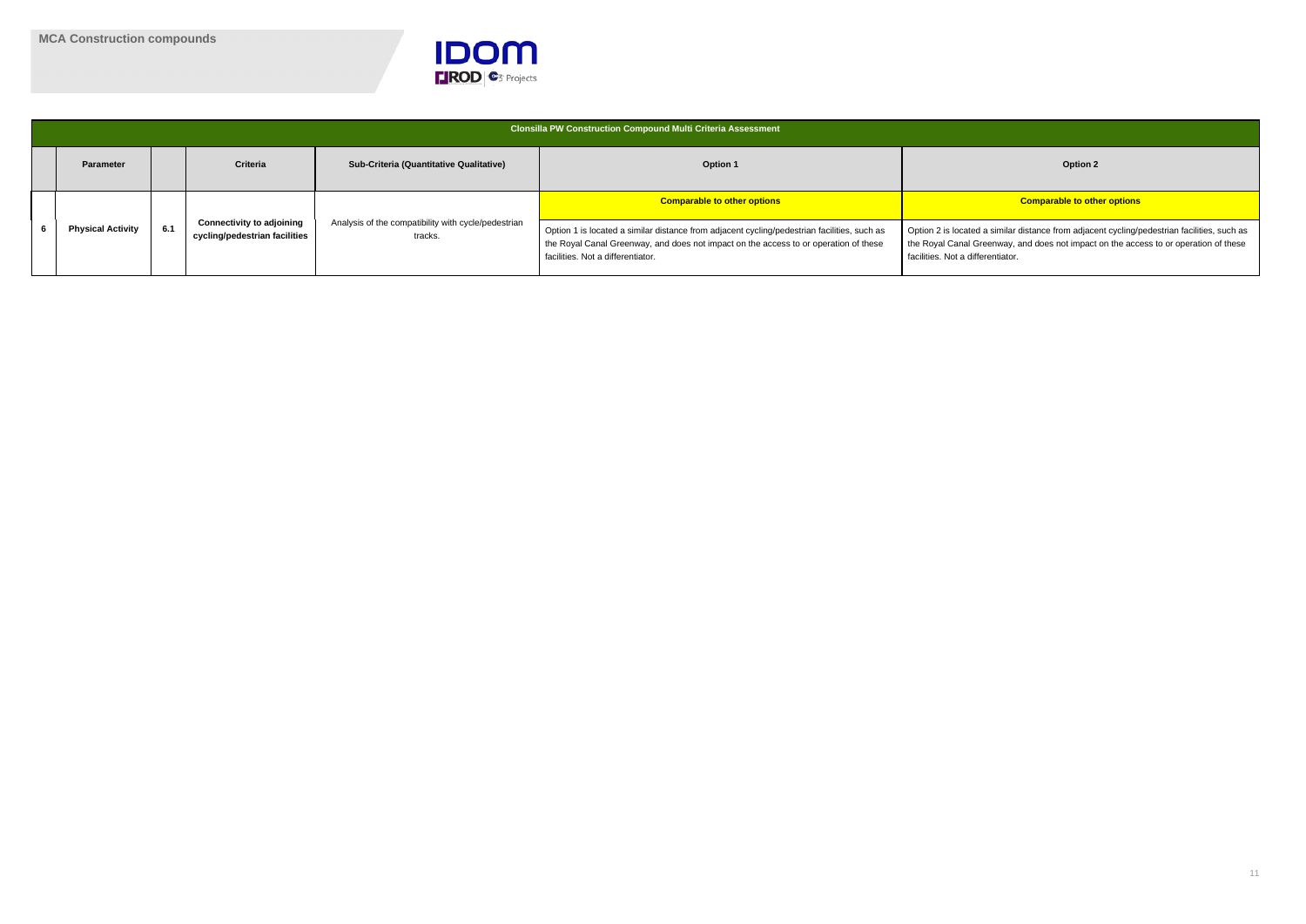

|  |                          |     |                                                                   |                                                                | Clonsilla PW Construction Compound Multi Criteria Assessment                                                                                                                                                             |                                                                                                                                          |
|--|--------------------------|-----|-------------------------------------------------------------------|----------------------------------------------------------------|--------------------------------------------------------------------------------------------------------------------------------------------------------------------------------------------------------------------------|------------------------------------------------------------------------------------------------------------------------------------------|
|  | <b>Parameter</b>         |     | <b>Criteria</b>                                                   | <b>Sub-Criteria (Quantitative Qualitative)</b>                 | <b>Option 1</b>                                                                                                                                                                                                          | Option 2                                                                                                                                 |
|  | <b>Physical Activity</b> |     |                                                                   |                                                                | <b>Comparable to other options</b>                                                                                                                                                                                       | <b>Comparable to oth</b>                                                                                                                 |
|  |                          | 6.1 | <b>Connectivity to adjoining</b><br>cycling/pedestrian facilities | Analysis of the compatibility with cycle/pedestrian<br>tracks. | Option 1 is located a similar distance from adjacent cycling/pedestrian facilities, such as<br>the Royal Canal Greenway, and does not impact on the access to or operation of these<br>facilities. Not a differentiator. | Option 2 is located a similar distance from adjace<br>the Royal Canal Greenway, and does not impact<br>facilities. Not a differentiator. |

a similar distance from adjacent cycling/pedestrian facilities, such as eenway, and does not impact on the access to or operation of these rentiator.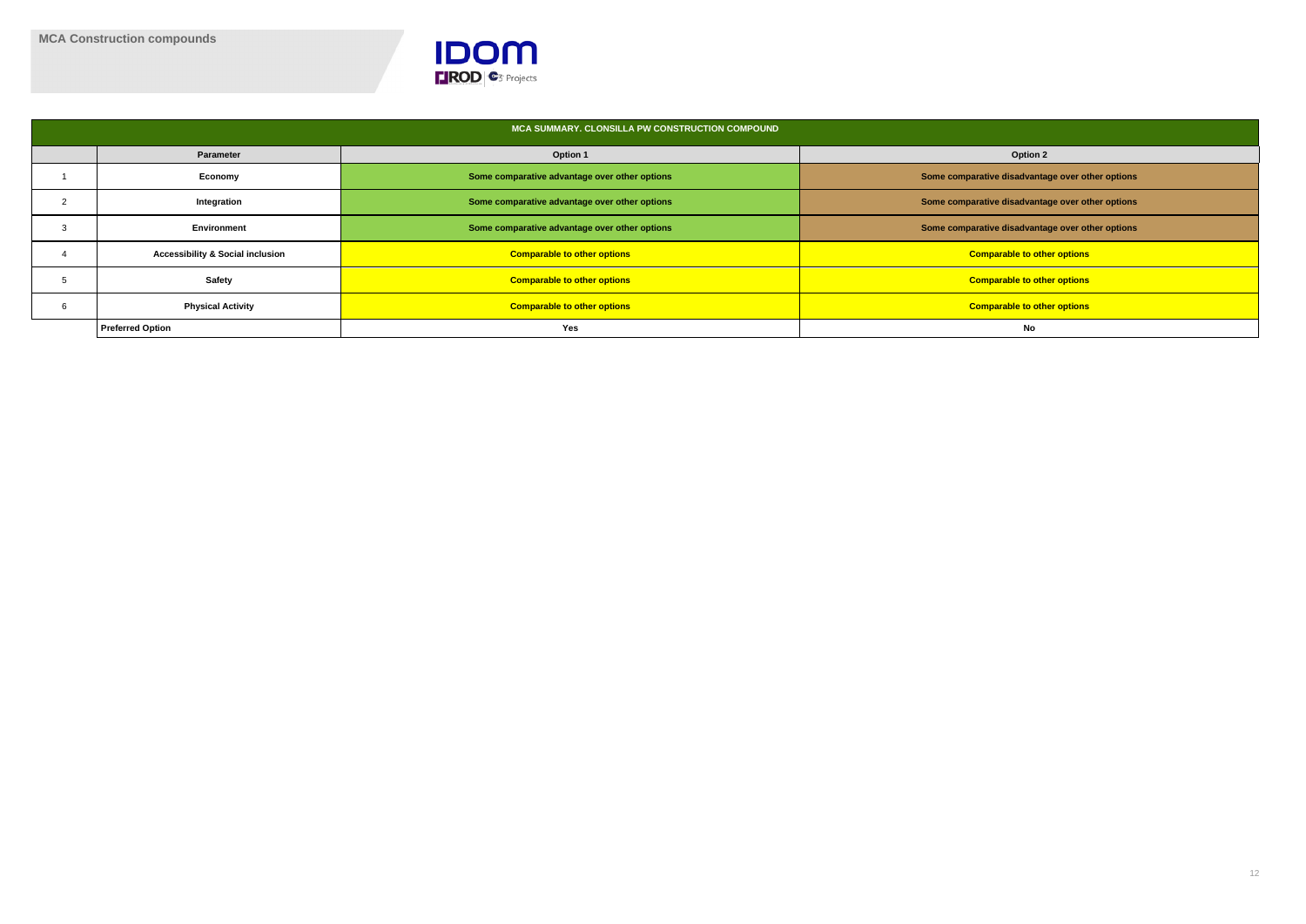

|                                             | MCA SUMMARY. CLONSILLA PW CONSTRUCTION COMPOUND |                                                  |
|---------------------------------------------|-------------------------------------------------|--------------------------------------------------|
| <b>Parameter</b>                            | <b>Option 1</b>                                 | <b>Option 2</b>                                  |
| Economy                                     | Some comparative advantage over other options   | Some comparative disadvantage over other options |
| Integration                                 | Some comparative advantage over other options   | Some comparative disadvantage over other options |
| Environment                                 | Some comparative advantage over other options   | Some comparative disadvantage over other options |
| <b>Accessibility &amp; Social inclusion</b> | <b>Comparable to other options</b>              | <b>Comparable to other options</b>               |
| <b>Safety</b>                               | <b>Comparable to other options</b>              | <b>Comparable to other options</b>               |
| <b>Physical Activity</b>                    | <b>Comparable to other options</b>              | <b>Comparable to other options</b>               |
| <b>Preferred Option</b>                     | Yes                                             | No                                               |

| <b>Option 2</b>                     |
|-------------------------------------|
| ive disadvantage over other options |
| ive disadvantage over other options |
| ive disadvantage over other options |
| parable to other options            |
| parable to other options            |
| parable to other options            |
| No                                  |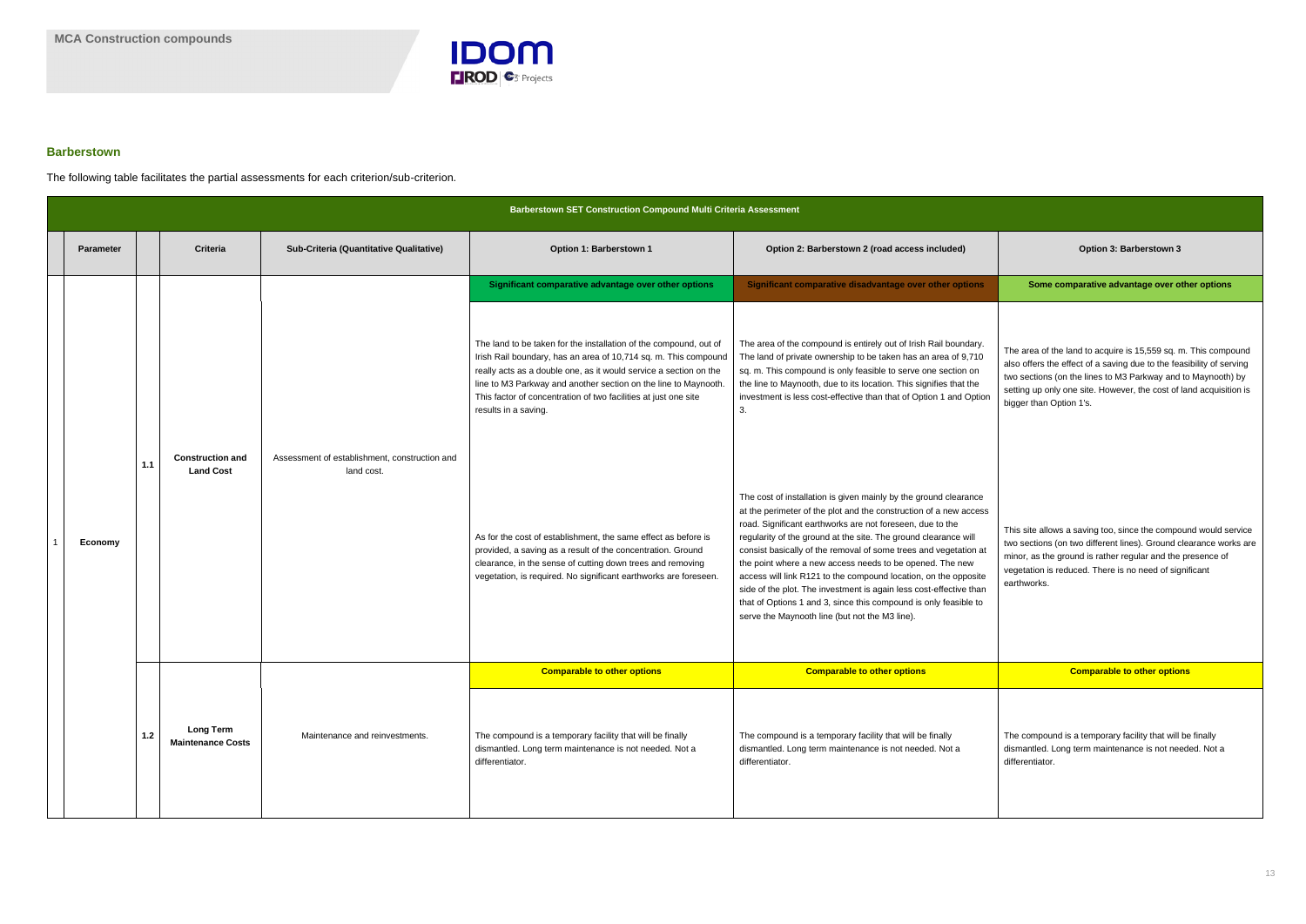

### **Barberstown**

The following table facilitates the partial assessments for each criterion/sub-criterion.

| <b>Barberstown SET Construction Compound Multi Criteria Assessment</b> |     |                                              |                                                             |                                                                                                                                                                                                                                                                                                                                                                         |                                                                                                                                                                                                                                                                                                                                                                                                                                                                                                                                                                                                                                                                      |                                                                                                                                                                                                                                                                                                         |  |  |
|------------------------------------------------------------------------|-----|----------------------------------------------|-------------------------------------------------------------|-------------------------------------------------------------------------------------------------------------------------------------------------------------------------------------------------------------------------------------------------------------------------------------------------------------------------------------------------------------------------|----------------------------------------------------------------------------------------------------------------------------------------------------------------------------------------------------------------------------------------------------------------------------------------------------------------------------------------------------------------------------------------------------------------------------------------------------------------------------------------------------------------------------------------------------------------------------------------------------------------------------------------------------------------------|---------------------------------------------------------------------------------------------------------------------------------------------------------------------------------------------------------------------------------------------------------------------------------------------------------|--|--|
| <b>Parameter</b>                                                       |     | <b>Criteria</b>                              | Sub-Criteria (Quantitative Qualitative)                     | Option 1: Barberstown 1                                                                                                                                                                                                                                                                                                                                                 | Option 2: Barberstown 2 (road access included)                                                                                                                                                                                                                                                                                                                                                                                                                                                                                                                                                                                                                       | Option 3: Barberstown 3                                                                                                                                                                                                                                                                                 |  |  |
|                                                                        |     |                                              |                                                             | Significant comparative advantage over other options                                                                                                                                                                                                                                                                                                                    | Significant comparative disadvantage over other options                                                                                                                                                                                                                                                                                                                                                                                                                                                                                                                                                                                                              | Some comparative advantage over other options                                                                                                                                                                                                                                                           |  |  |
|                                                                        |     |                                              |                                                             | The land to be taken for the installation of the compound, out of<br>Irish Rail boundary, has an area of 10,714 sq. m. This compound<br>really acts as a double one, as it would service a section on the<br>line to M3 Parkway and another section on the line to Maynooth.<br>This factor of concentration of two facilities at just one site<br>results in a saving. | The area of the compound is entirely out of Irish Rail boundary.<br>The land of private ownership to be taken has an area of 9,710<br>sq. m. This compound is only feasible to serve one section on<br>the line to Maynooth, due to its location. This signifies that the<br>investment is less cost-effective than that of Option 1 and Option<br>3.                                                                                                                                                                                                                                                                                                                | The area of the land to acquire is 15,559 sq. m. This compound<br>also offers the effect of a saving due to the feasibility of serving<br>two sections (on the lines to M3 Parkway and to Maynooth) by<br>setting up only one site. However, the cost of land acquisition is<br>bigger than Option 1's. |  |  |
| Economy                                                                | 1.1 | <b>Construction and</b><br><b>Land Cost</b>  | Assessment of establishment, construction and<br>land cost. | As for the cost of establishment, the same effect as before is<br>provided, a saving as a result of the concentration. Ground<br>clearance, in the sense of cutting down trees and removing<br>vegetation, is required. No significant earthworks are foreseen.                                                                                                         | The cost of installation is given mainly by the ground clearance<br>at the perimeter of the plot and the construction of a new access<br>road. Significant earthworks are not foreseen, due to the<br>regularity of the ground at the site. The ground clearance will<br>consist basically of the removal of some trees and vegetation at<br>the point where a new access needs to be opened. The new<br>access will link R121 to the compound location, on the opposite<br>side of the plot. The investment is again less cost-effective than<br>that of Options 1 and 3, since this compound is only feasible to<br>serve the Maynooth line (but not the M3 line). | This site allows a saving too, since the compound would service<br>two sections (on two different lines). Ground clearance works are<br>minor, as the ground is rather regular and the presence of<br>vegetation is reduced. There is no need of significant<br>earthworks.                             |  |  |
|                                                                        |     |                                              |                                                             | <b>Comparable to other options</b>                                                                                                                                                                                                                                                                                                                                      | <b>Comparable to other options</b>                                                                                                                                                                                                                                                                                                                                                                                                                                                                                                                                                                                                                                   | <b>Comparable to other options</b>                                                                                                                                                                                                                                                                      |  |  |
|                                                                        | 1.2 | <b>Long Term</b><br><b>Maintenance Costs</b> | Maintenance and reinvestments.                              | The compound is a temporary facility that will be finally<br>dismantled. Long term maintenance is not needed. Not a<br>differentiator.                                                                                                                                                                                                                                  | The compound is a temporary facility that will be finally<br>dismantled. Long term maintenance is not needed. Not a<br>differentiator.                                                                                                                                                                                                                                                                                                                                                                                                                                                                                                                               | The compound is a temporary facility that will be finally<br>dismantled. Long term maintenance is not needed. Not a<br>differentiator.                                                                                                                                                                  |  |  |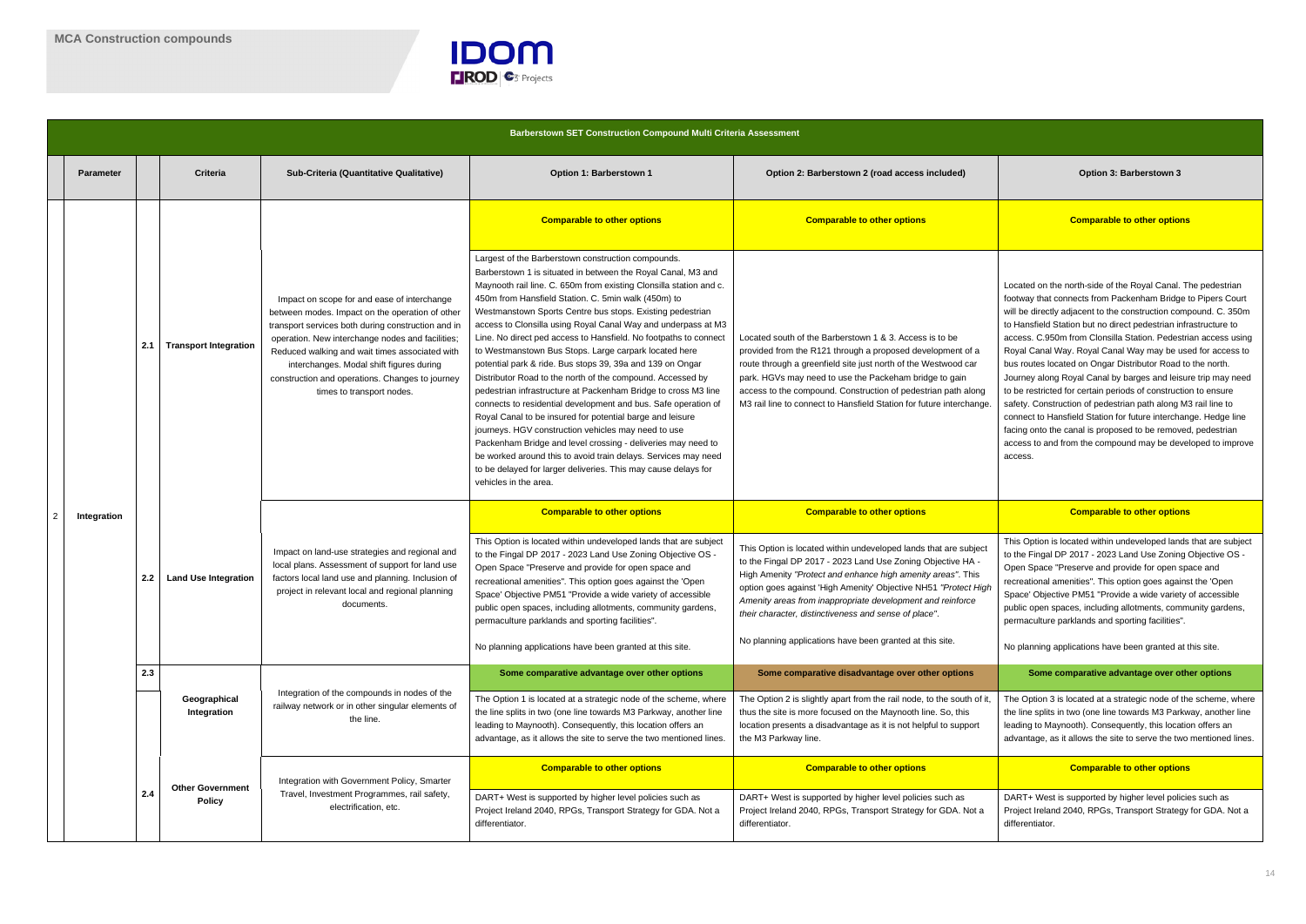

|   |                  |     |                                          |                                                                                                                                                                                                                                                                                                                                                                                        | <b>Barberstown SET Construction Compound Multi Criteria Assessment</b>                                                                                                                                                                                                                                                                                                                                                                                                                                                                                                                                                                                                                                                                                                                                                                                                                                                                                                                                                                                                                                                     |                                                                                                                                                                                                                                                                                                                                                                                            |                                                                                                                                                                                                                                                                                                                                                                                                                                                                                                                                                                                                                                                                                                                                                                                                                                         |
|---|------------------|-----|------------------------------------------|----------------------------------------------------------------------------------------------------------------------------------------------------------------------------------------------------------------------------------------------------------------------------------------------------------------------------------------------------------------------------------------|----------------------------------------------------------------------------------------------------------------------------------------------------------------------------------------------------------------------------------------------------------------------------------------------------------------------------------------------------------------------------------------------------------------------------------------------------------------------------------------------------------------------------------------------------------------------------------------------------------------------------------------------------------------------------------------------------------------------------------------------------------------------------------------------------------------------------------------------------------------------------------------------------------------------------------------------------------------------------------------------------------------------------------------------------------------------------------------------------------------------------|--------------------------------------------------------------------------------------------------------------------------------------------------------------------------------------------------------------------------------------------------------------------------------------------------------------------------------------------------------------------------------------------|-----------------------------------------------------------------------------------------------------------------------------------------------------------------------------------------------------------------------------------------------------------------------------------------------------------------------------------------------------------------------------------------------------------------------------------------------------------------------------------------------------------------------------------------------------------------------------------------------------------------------------------------------------------------------------------------------------------------------------------------------------------------------------------------------------------------------------------------|
|   | <b>Parameter</b> |     | Criteria                                 | <b>Sub-Criteria (Quantitative Qualitative)</b>                                                                                                                                                                                                                                                                                                                                         | Option 1: Barberstown 1                                                                                                                                                                                                                                                                                                                                                                                                                                                                                                                                                                                                                                                                                                                                                                                                                                                                                                                                                                                                                                                                                                    | Option 2: Barberstown 2 (road access included)                                                                                                                                                                                                                                                                                                                                             | Option 3: Barberstown 3                                                                                                                                                                                                                                                                                                                                                                                                                                                                                                                                                                                                                                                                                                                                                                                                                 |
|   |                  |     |                                          |                                                                                                                                                                                                                                                                                                                                                                                        | <b>Comparable to other options</b>                                                                                                                                                                                                                                                                                                                                                                                                                                                                                                                                                                                                                                                                                                                                                                                                                                                                                                                                                                                                                                                                                         | <b>Comparable to other options</b>                                                                                                                                                                                                                                                                                                                                                         | <b>Comparable to other options</b>                                                                                                                                                                                                                                                                                                                                                                                                                                                                                                                                                                                                                                                                                                                                                                                                      |
|   |                  | 2.1 | <b>Transport Integration</b>             | Impact on scope for and ease of interchange<br>between modes. Impact on the operation of other<br>transport services both during construction and in<br>operation. New interchange nodes and facilities;<br>Reduced walking and wait times associated with<br>interchanges. Modal shift figures during<br>construction and operations. Changes to journey<br>times to transport nodes. | Largest of the Barberstown construction compounds.<br>Barberstown 1 is situated in between the Royal Canal, M3 and<br>Maynooth rail line. C. 650m from existing Clonsilla station and c.<br>450m from Hansfield Station. C. 5min walk (450m) to<br>Westmanstown Sports Centre bus stops. Existing pedestrian<br>access to Clonsilla using Royal Canal Way and underpass at M3<br>Line. No direct ped access to Hansfield. No footpaths to connect<br>to Westmanstown Bus Stops. Large carpark located here<br>potential park & ride. Bus stops 39, 39a and 139 on Ongar<br>Distributor Road to the north of the compound. Accessed by<br>pedestrian infrastructure at Packenham Bridge to cross M3 line<br>connects to residential development and bus. Safe operation of<br>Royal Canal to be insured for potential barge and leisure<br>journeys. HGV construction vehicles may need to use<br>Packenham Bridge and level crossing - deliveries may need to<br>be worked around this to avoid train delays. Services may need<br>to be delayed for larger deliveries. This may cause delays for<br>vehicles in the area. | Located south of the Barberstown 1 & 3. Access is to be<br>provided from the R121 through a proposed development of a<br>route through a greenfield site just north of the Westwood car<br>park. HGVs may need to use the Packeham bridge to gain<br>access to the compound. Construction of pedestrian path along<br>M3 rail line to connect to Hansfield Station for future interchange. | Located on the north-side of the Royal Canal. The pedestr<br>footway that connects from Packenham Bridge to Pipers C<br>will be directly adjacent to the construction compound. C. 3<br>to Hansfield Station but no direct pedestrian infrastructure<br>access. C.950m from Clonsilla Station. Pedestrian access<br>Royal Canal Way. Royal Canal Way may be used for acce<br>bus routes located on Ongar Distributor Road to the north.<br>Journey along Royal Canal by barges and leisure trip may<br>to be restricted for certain periods of construction to ensure<br>safety. Construction of pedestrian path along M3 rail line to<br>connect to Hansfield Station for future interchange. Hedge<br>facing onto the canal is proposed to be removed, pedestria<br>access to and from the compound may be developed to im<br>access. |
| 2 | Integration      |     | <b>Land Use Integration</b>              | Impact on land-use strategies and regional and<br>local plans. Assessment of support for land use<br>factors local land use and planning. Inclusion of<br>project in relevant local and regional planning<br>documents.                                                                                                                                                                | <b>Comparable to other options</b>                                                                                                                                                                                                                                                                                                                                                                                                                                                                                                                                                                                                                                                                                                                                                                                                                                                                                                                                                                                                                                                                                         | <b>Comparable to other options</b>                                                                                                                                                                                                                                                                                                                                                         | <b>Comparable to other options</b>                                                                                                                                                                                                                                                                                                                                                                                                                                                                                                                                                                                                                                                                                                                                                                                                      |
|   |                  | 2.2 |                                          |                                                                                                                                                                                                                                                                                                                                                                                        | This Option is located within undeveloped lands that are subject<br>to the Fingal DP 2017 - 2023 Land Use Zoning Objective OS -<br>Open Space "Preserve and provide for open space and<br>recreational amenities". This option goes against the 'Open<br>Space' Objective PM51 "Provide a wide variety of accessible<br>public open spaces, including allotments, community gardens,<br>permaculture parklands and sporting facilities".                                                                                                                                                                                                                                                                                                                                                                                                                                                                                                                                                                                                                                                                                   | This Option is located within undeveloped lands that are subject<br>to the Fingal DP 2017 - 2023 Land Use Zoning Objective HA -<br>High Amenity "Protect and enhance high amenity areas". This<br>option goes against 'High Amenity' Objective NH51 "Protect High<br>Amenity areas from inappropriate development and reinforce<br>their character, distinctiveness and sense of place".   | This Option is located within undeveloped lands that are so<br>to the Fingal DP 2017 - 2023 Land Use Zoning Objective (<br>Open Space "Preserve and provide for open space and<br>recreational amenities". This option goes against the 'Oper<br>Space' Objective PM51 "Provide a wide variety of accessit<br>public open spaces, including allotments, community gard<br>permaculture parklands and sporting facilities".                                                                                                                                                                                                                                                                                                                                                                                                              |
|   |                  |     |                                          |                                                                                                                                                                                                                                                                                                                                                                                        | No planning applications have been granted at this site.                                                                                                                                                                                                                                                                                                                                                                                                                                                                                                                                                                                                                                                                                                                                                                                                                                                                                                                                                                                                                                                                   | No planning applications have been granted at this site.                                                                                                                                                                                                                                                                                                                                   | No planning applications have been granted at this site.                                                                                                                                                                                                                                                                                                                                                                                                                                                                                                                                                                                                                                                                                                                                                                                |
|   |                  | 2.3 | Geographical<br>Integration              | Integration of the compounds in nodes of the<br>railway network or in other singular elements of<br>the line.                                                                                                                                                                                                                                                                          | Some comparative advantage over other options<br>The Option 1 is located at a strategic node of the scheme, where<br>the line splits in two (one line towards M3 Parkway, another line<br>leading to Maynooth). Consequently, this location offers an<br>advantage, as it allows the site to serve the two mentioned lines.                                                                                                                                                                                                                                                                                                                                                                                                                                                                                                                                                                                                                                                                                                                                                                                                | Some comparative disadvantage over other options<br>The Option 2 is slightly apart from the rail node, to the south of it,<br>thus the site is more focused on the Maynooth line. So, this<br>location presents a disadvantage as it is not helpful to support<br>the M3 Parkway line.                                                                                                     | Some comparative advantage over other options<br>The Option 3 is located at a strategic node of the scheme,<br>the line splits in two (one line towards M3 Parkway, anothe<br>leading to Maynooth). Consequently, this location offers ar<br>advantage, as it allows the site to serve the two mentioned                                                                                                                                                                                                                                                                                                                                                                                                                                                                                                                                |
|   |                  |     |                                          | Integration with Government Policy, Smarter                                                                                                                                                                                                                                                                                                                                            | <b>Comparable to other options</b>                                                                                                                                                                                                                                                                                                                                                                                                                                                                                                                                                                                                                                                                                                                                                                                                                                                                                                                                                                                                                                                                                         | <b>Comparable to other options</b>                                                                                                                                                                                                                                                                                                                                                         | <b>Comparable to other options</b>                                                                                                                                                                                                                                                                                                                                                                                                                                                                                                                                                                                                                                                                                                                                                                                                      |
|   |                  | 2.4 | <b>Other Government</b><br><b>Policy</b> | Travel, Investment Programmes, rail safety,<br>electrification, etc.                                                                                                                                                                                                                                                                                                                   | DART+ West is supported by higher level policies such as<br>Project Ireland 2040, RPGs, Transport Strategy for GDA. Not a<br>differentiator.                                                                                                                                                                                                                                                                                                                                                                                                                                                                                                                                                                                                                                                                                                                                                                                                                                                                                                                                                                               | DART+ West is supported by higher level policies such as<br>Project Ireland 2040, RPGs, Transport Strategy for GDA. Not a<br>differentiator.                                                                                                                                                                                                                                               | DART+ West is supported by higher level policies such as<br>Project Ireland 2040, RPGs, Transport Strategy for GDA. I<br>differentiator.                                                                                                                                                                                                                                                                                                                                                                                                                                                                                                                                                                                                                                                                                                |

|         | Option 3: Barberstown 3                                                                                                                                                                                                                                                                                                                                                                                                                                                                                                                                                                                                                                                                                                                                                                                                                                                         |
|---------|---------------------------------------------------------------------------------------------------------------------------------------------------------------------------------------------------------------------------------------------------------------------------------------------------------------------------------------------------------------------------------------------------------------------------------------------------------------------------------------------------------------------------------------------------------------------------------------------------------------------------------------------------------------------------------------------------------------------------------------------------------------------------------------------------------------------------------------------------------------------------------|
|         | <b>Comparable to other options</b>                                                                                                                                                                                                                                                                                                                                                                                                                                                                                                                                                                                                                                                                                                                                                                                                                                              |
| €.      | Located on the north-side of the Royal Canal. The pedestrian<br>footway that connects from Packenham Bridge to Pipers Court<br>will be directly adjacent to the construction compound. C. 350m<br>to Hansfield Station but no direct pedestrian infrastructure to<br>access. C.950m from Clonsilla Station. Pedestrian access using<br>Royal Canal Way. Royal Canal Way may be used for access to<br>bus routes located on Ongar Distributor Road to the north.<br>Journey along Royal Canal by barges and leisure trip may need<br>to be restricted for certain periods of construction to ensure<br>safety. Construction of pedestrian path along M3 rail line to<br>connect to Hansfield Station for future interchange. Hedge line<br>facing onto the canal is proposed to be removed, pedestrian<br>access to and from the compound may be developed to improve<br>access. |
|         |                                                                                                                                                                                                                                                                                                                                                                                                                                                                                                                                                                                                                                                                                                                                                                                                                                                                                 |
|         | <b>Comparable to other options</b>                                                                                                                                                                                                                                                                                                                                                                                                                                                                                                                                                                                                                                                                                                                                                                                                                                              |
|         | This Option is located within undeveloped lands that are subject<br>to the Fingal DP 2017 - 2023 Land Use Zoning Objective OS -<br>Open Space "Preserve and provide for open space and<br>recreational amenities". This option goes against the 'Open<br>Space' Objective PM51 "Provide a wide variety of accessible<br>public open spaces, including allotments, community gardens,<br>permaculture parklands and sporting facilities".                                                                                                                                                                                                                                                                                                                                                                                                                                        |
|         | No planning applications have been granted at this site.                                                                                                                                                                                                                                                                                                                                                                                                                                                                                                                                                                                                                                                                                                                                                                                                                        |
|         | Some comparative advantage over other options                                                                                                                                                                                                                                                                                                                                                                                                                                                                                                                                                                                                                                                                                                                                                                                                                                   |
|         | The Option 3 is located at a strategic node of the scheme, where<br>the line splits in two (one line towards M3 Parkway, another line<br>leading to Maynooth). Consequently, this location offers an<br>advantage, as it allows the site to serve the two mentioned lines.                                                                                                                                                                                                                                                                                                                                                                                                                                                                                                                                                                                                      |
| h<br>t, | <b>Comparable to other options</b>                                                                                                                                                                                                                                                                                                                                                                                                                                                                                                                                                                                                                                                                                                                                                                                                                                              |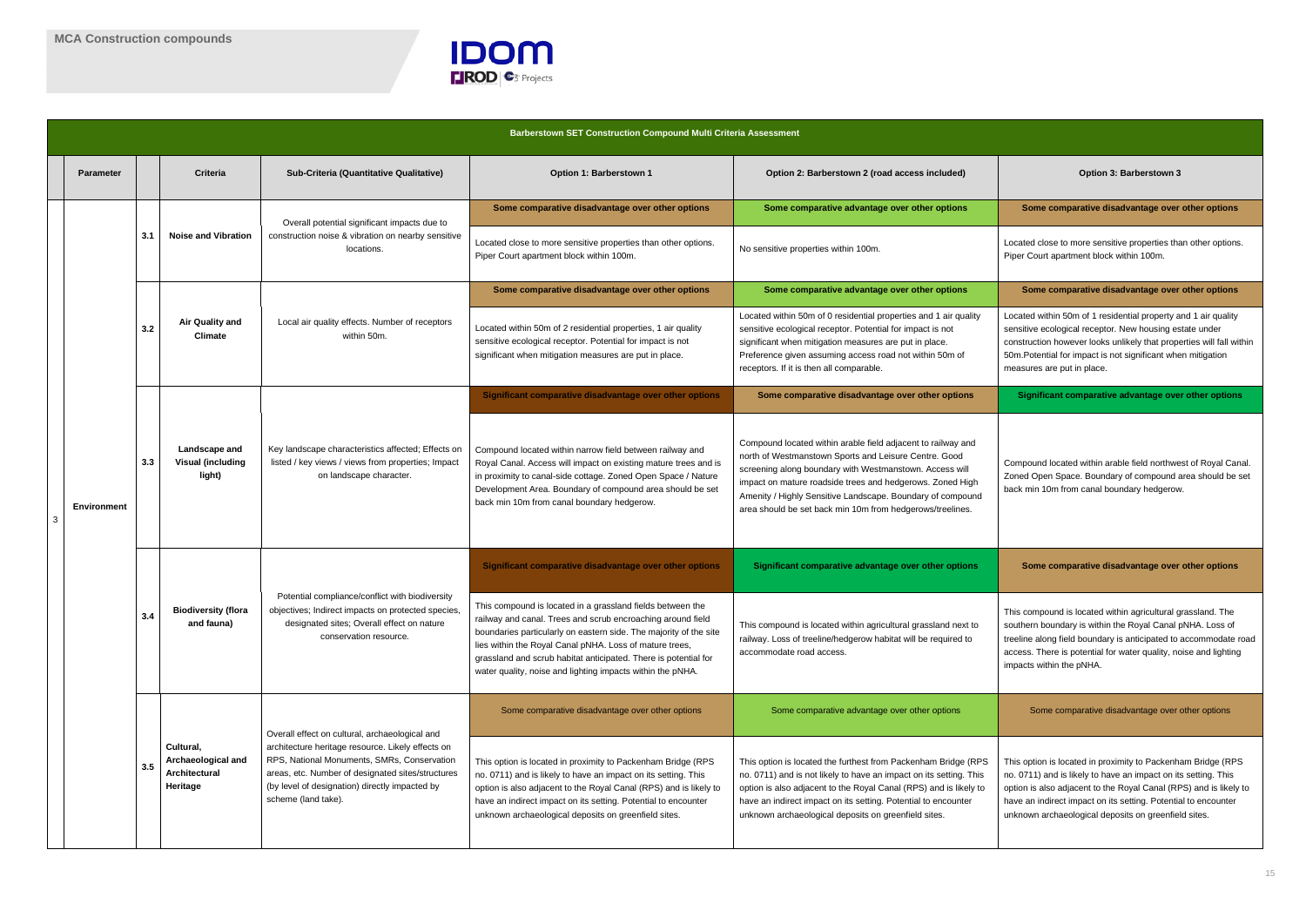

Located close to more sensitive properties than other options. Piper Court apartment block within 100m.

**Some comparative disadvantage over other options** 

Located within 50m of 1 residential property and 1 air quality sensitive ecological receptor. New housing estate under construction however looks unlikely that properties will fall within 50m.Potential for impact is not significant when mitigation measures are put in place.

**Significant comparative advantage over other options** 

|   |                    |     |                                                              |                                                                                                                                                                                                                                                                                  | <b>Barberstown SET Construction Compound Multi Criteria Assessment</b>                                                                                                                                                                                                                                                                                                                     |                                                                                                                                                                                                                                                                                                                                                                          |                                                                                                                                                                                                                                                           |
|---|--------------------|-----|--------------------------------------------------------------|----------------------------------------------------------------------------------------------------------------------------------------------------------------------------------------------------------------------------------------------------------------------------------|--------------------------------------------------------------------------------------------------------------------------------------------------------------------------------------------------------------------------------------------------------------------------------------------------------------------------------------------------------------------------------------------|--------------------------------------------------------------------------------------------------------------------------------------------------------------------------------------------------------------------------------------------------------------------------------------------------------------------------------------------------------------------------|-----------------------------------------------------------------------------------------------------------------------------------------------------------------------------------------------------------------------------------------------------------|
|   | <b>Parameter</b>   |     | Criteria                                                     | Sub-Criteria (Quantitative Qualitative)                                                                                                                                                                                                                                          | Option 1: Barberstown 1                                                                                                                                                                                                                                                                                                                                                                    | Option 2: Barberstown 2 (road access included)                                                                                                                                                                                                                                                                                                                           | Option 3: Barberstown 3                                                                                                                                                                                                                                   |
|   |                    |     |                                                              |                                                                                                                                                                                                                                                                                  | Some comparative disadvantage over other options                                                                                                                                                                                                                                                                                                                                           | Some comparative advantage over other options                                                                                                                                                                                                                                                                                                                            | Some comparative disadvantage over                                                                                                                                                                                                                        |
|   |                    | 3.1 | <b>Noise and Vibration</b>                                   | Overall potential significant impacts due to<br>construction noise & vibration on nearby sensitive<br>locations.                                                                                                                                                                 | Located close to more sensitive properties than other options.<br>Piper Court apartment block within 100m.                                                                                                                                                                                                                                                                                 | No sensitive properties within 100m.                                                                                                                                                                                                                                                                                                                                     | Located close to more sensitive properties tha<br>Piper Court apartment block within 100m.                                                                                                                                                                |
|   |                    |     | Air Quality and<br><b>Climate</b>                            |                                                                                                                                                                                                                                                                                  | Some comparative disadvantage over other options                                                                                                                                                                                                                                                                                                                                           | Some comparative advantage over other options                                                                                                                                                                                                                                                                                                                            | Some comparative disadvantage over                                                                                                                                                                                                                        |
|   |                    | 3.2 |                                                              | Local air quality effects. Number of receptors<br>within 50m.                                                                                                                                                                                                                    | Located within 50m of 2 residential properties, 1 air quality<br>sensitive ecological receptor. Potential for impact is not<br>significant when mitigation measures are put in place.                                                                                                                                                                                                      | Located within 50m of 0 residential properties and 1 air quality<br>sensitive ecological receptor. Potential for impact is not<br>significant when mitigation measures are put in place.<br>Preference given assuming access road not within 50m of<br>receptors. If it is then all comparable.                                                                          | Located within 50m of 1 residential property a<br>sensitive ecological receptor. New housing es<br>construction however looks unlikely that prope<br>50m. Potential for impact is not significant whe<br>measures are put in place.                       |
|   |                    | 3.3 |                                                              |                                                                                                                                                                                                                                                                                  | Significant comparative disadvantage over other options                                                                                                                                                                                                                                                                                                                                    | Some comparative disadvantage over other options                                                                                                                                                                                                                                                                                                                         | Significant comparative advantage over                                                                                                                                                                                                                    |
| 3 | <b>Environment</b> |     | Landscape and<br><b>Visual (including</b><br>light)          | Key landscape characteristics affected; Effects on<br>listed / key views / views from properties; Impact<br>on landscape character.                                                                                                                                              | Compound located within narrow field between railway and<br>Royal Canal. Access will impact on existing mature trees and is<br>in proximity to canal-side cottage. Zoned Open Space / Nature<br>Development Area. Boundary of compound area should be set<br>back min 10m from canal boundary hedgerow.                                                                                    | Compound located within arable field adjacent to railway and<br>north of Westmanstown Sports and Leisure Centre. Good<br>screening along boundary with Westmanstown. Access will<br>impact on mature roadside trees and hedgerows. Zoned High<br>Amenity / Highly Sensitive Landscape. Boundary of compound<br>area should be set back min 10m from hedgerows/treelines. | Compound located within arable field northwe<br>Zoned Open Space. Boundary of compound a<br>back min 10m from canal boundary hedgerow                                                                                                                     |
|   |                    | 3.4 | <b>Biodiversity (flora</b><br>and fauna)                     | Potential compliance/conflict with biodiversity<br>objectives; Indirect impacts on protected species,<br>designated sites; Overall effect on nature<br>conservation resource.                                                                                                    | Significant comparative disadvantage over other options                                                                                                                                                                                                                                                                                                                                    | Significant comparative advantage over other options                                                                                                                                                                                                                                                                                                                     | Some comparative disadvantage over                                                                                                                                                                                                                        |
|   |                    |     |                                                              |                                                                                                                                                                                                                                                                                  | This compound is located in a grassland fields between the<br>railway and canal. Trees and scrub encroaching around field<br>boundaries particularly on eastern side. The majority of the site<br>lies within the Royal Canal pNHA. Loss of mature trees,<br>grassland and scrub habitat anticipated. There is potential for<br>water quality, noise and lighting impacts within the pNHA. | This compound is located within agricultural grassland next to<br>railway. Loss of treeline/hedgerow habitat will be required to<br>accommodate road access.                                                                                                                                                                                                             | This compound is located within agricultural gr<br>southern boundary is within the Royal Canal p<br>treeline along field boundary is anticipated to a<br>access. There is potential for water quality, no<br>impacts within the pNHA.                     |
|   |                    |     |                                                              |                                                                                                                                                                                                                                                                                  | Some comparative disadvantage over other options                                                                                                                                                                                                                                                                                                                                           | Some comparative advantage over other options                                                                                                                                                                                                                                                                                                                            | Some comparative disadvantage over o                                                                                                                                                                                                                      |
|   |                    | 3.5 | Cultural,<br>Archaeological and<br>Architectural<br>Heritage | Overall effect on cultural, archaeological and<br>architecture heritage resource. Likely effects on<br>RPS, National Monuments, SMRs, Conservation<br>areas, etc. Number of designated sites/structures<br>(by level of designation) directly impacted by<br>scheme (land take). | This option is located in proximity to Packenham Bridge (RPS<br>no. 0711) and is likely to have an impact on its setting. This<br>option is also adjacent to the Royal Canal (RPS) and is likely to<br>have an indirect impact on its setting. Potential to encounter<br>unknown archaeological deposits on greenfield sites.                                                              | This option is located the furthest from Packenham Bridge (RPS<br>no. 0711) and is not likely to have an impact on its setting. This<br>option is also adjacent to the Royal Canal (RPS) and is likely to<br>have an indirect impact on its setting. Potential to encounter<br>unknown archaeological deposits on greenfield sites.                                      | This option is located in proximity to Packenha<br>no. 0711) and is likely to have an impact on its<br>option is also adjacent to the Royal Canal (RP<br>have an indirect impact on its setting. Potentia<br>unknown archaeological deposits on greenfiel |

#### **Some comparative disadvantage over other options**

Compound located within arable field northwest of Royal Canal. Zoned Open Space. Boundary of compound area should be set back min 10m from canal boundary hedgerow.

**Some comparative disadvantage over other options** 

This compound is located within agricultural grassland. The southern boundary is within the Royal Canal pNHA. Loss of treeline along field boundary is anticipated to accommodate road access. There is potential for water quality, noise and lighting impacts within the pNHA.

Some comparative disadvantage over other options

This option is located in proximity to Packenham Bridge (RPS no. 0711) and is likely to have an impact on its setting. This option is also adjacent to the Royal Canal (RPS) and is likely to have an indirect impact on its setting. Potential to encounter unknown archaeological deposits on greenfield sites.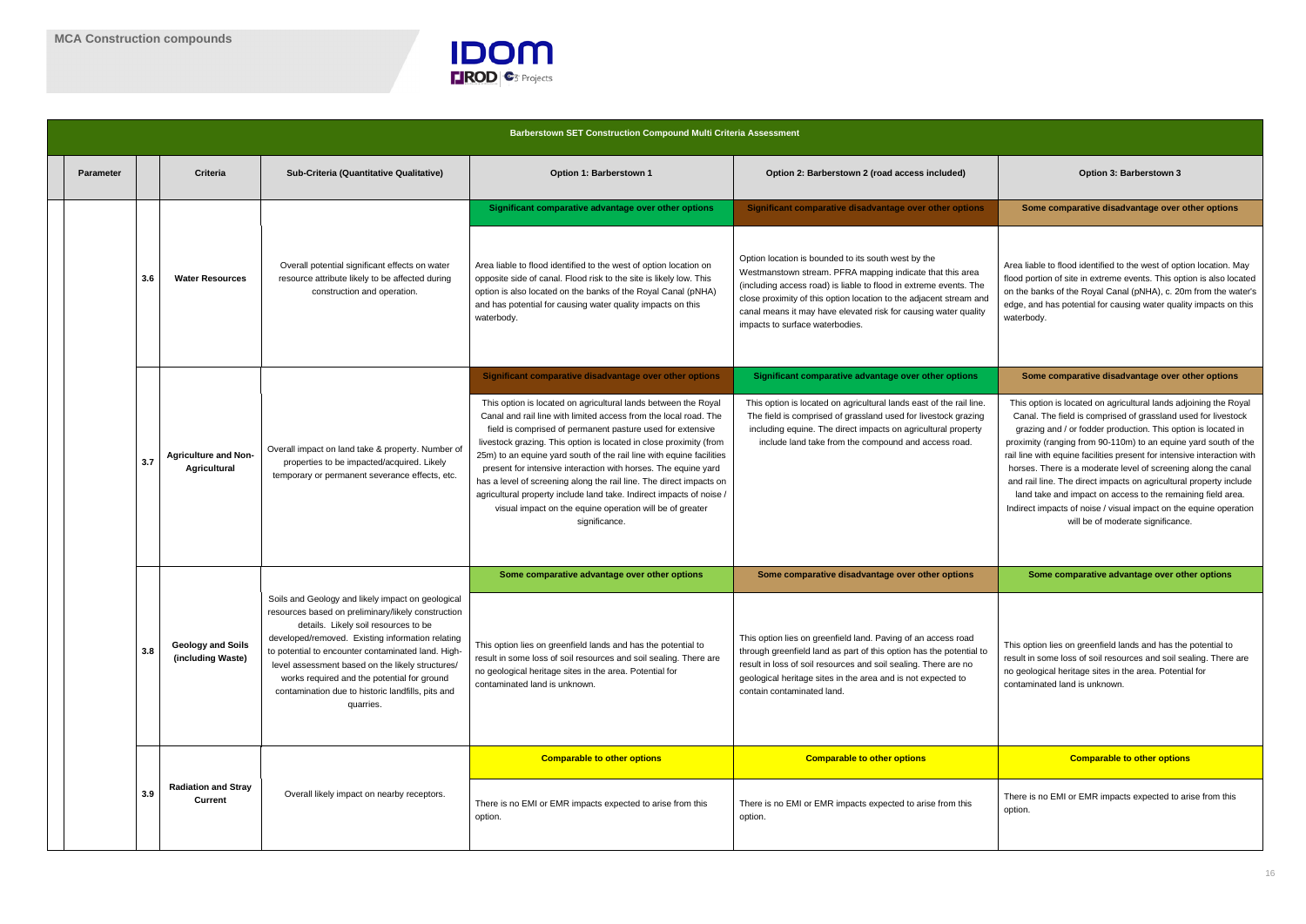

|                  | <b>Barberstown SET Construction Compound Multi Criteria Assessment</b> |                                                                                                                                                            |                                                                                                                                                                                                                                                                                                                                                                                                                                |                                                                                                                                                                                                                                                                                                                                                                                                                                                                                                                                                                                                                                              |                                                                                                                                                                                                                                                                                                                                                                   |                                                                                                                                                                                                                                                                                                                                                                                                                                                                                                                                                                                                                                                                   |  |  |  |
|------------------|------------------------------------------------------------------------|------------------------------------------------------------------------------------------------------------------------------------------------------------|--------------------------------------------------------------------------------------------------------------------------------------------------------------------------------------------------------------------------------------------------------------------------------------------------------------------------------------------------------------------------------------------------------------------------------|----------------------------------------------------------------------------------------------------------------------------------------------------------------------------------------------------------------------------------------------------------------------------------------------------------------------------------------------------------------------------------------------------------------------------------------------------------------------------------------------------------------------------------------------------------------------------------------------------------------------------------------------|-------------------------------------------------------------------------------------------------------------------------------------------------------------------------------------------------------------------------------------------------------------------------------------------------------------------------------------------------------------------|-------------------------------------------------------------------------------------------------------------------------------------------------------------------------------------------------------------------------------------------------------------------------------------------------------------------------------------------------------------------------------------------------------------------------------------------------------------------------------------------------------------------------------------------------------------------------------------------------------------------------------------------------------------------|--|--|--|
| <b>Parameter</b> |                                                                        | <b>Criteria</b>                                                                                                                                            | Sub-Criteria (Quantitative Qualitative)                                                                                                                                                                                                                                                                                                                                                                                        | Option 1: Barberstown 1                                                                                                                                                                                                                                                                                                                                                                                                                                                                                                                                                                                                                      | Option 2: Barberstown 2 (road access included)                                                                                                                                                                                                                                                                                                                    | Option 3: Barberstown 3                                                                                                                                                                                                                                                                                                                                                                                                                                                                                                                                                                                                                                           |  |  |  |
|                  |                                                                        |                                                                                                                                                            |                                                                                                                                                                                                                                                                                                                                                                                                                                | Significant comparative advantage over other options                                                                                                                                                                                                                                                                                                                                                                                                                                                                                                                                                                                         | Significant comparative disadvantage over other options                                                                                                                                                                                                                                                                                                           | Some comparative disadvantage over other options                                                                                                                                                                                                                                                                                                                                                                                                                                                                                                                                                                                                                  |  |  |  |
|                  | 3.6                                                                    | Overall potential significant effects on water<br><b>Water Resources</b><br>resource attribute likely to be affected during<br>construction and operation. |                                                                                                                                                                                                                                                                                                                                                                                                                                | Area liable to flood identified to the west of option location on<br>opposite side of canal. Flood risk to the site is likely low. This<br>option is also located on the banks of the Royal Canal (pNHA)<br>and has potential for causing water quality impacts on this<br>waterbody.                                                                                                                                                                                                                                                                                                                                                        | Option location is bounded to its south west by the<br>Westmanstown stream. PFRA mapping indicate that this area<br>(including access road) is liable to flood in extreme events. The<br>close proximity of this option location to the adjacent stream and<br>canal means it may have elevated risk for causing water quality<br>impacts to surface waterbodies. | Area liable to flood identified to the west of option location. May<br>flood portion of site in extreme events. This option is also located<br>on the banks of the Royal Canal (pNHA), c. 20m from the water's<br>edge, and has potential for causing water quality impacts on this<br>waterbody.                                                                                                                                                                                                                                                                                                                                                                 |  |  |  |
|                  |                                                                        |                                                                                                                                                            |                                                                                                                                                                                                                                                                                                                                                                                                                                | Significant comparative disadvantage over other options                                                                                                                                                                                                                                                                                                                                                                                                                                                                                                                                                                                      | Significant comparative advantage over other options                                                                                                                                                                                                                                                                                                              | Some comparative disadvantage over other options                                                                                                                                                                                                                                                                                                                                                                                                                                                                                                                                                                                                                  |  |  |  |
|                  | 3.7                                                                    | <b>Agriculture and Non-</b><br><b>Agricultural</b>                                                                                                         | Overall impact on land take & property. Number of<br>properties to be impacted/acquired. Likely<br>temporary or permanent severance effects, etc                                                                                                                                                                                                                                                                               | This option is located on agricultural lands between the Royal<br>Canal and rail line with limited access from the local road. The<br>field is comprised of permanent pasture used for extensive<br>livestock grazing. This option is located in close proximity (from<br>25m) to an equine yard south of the rail line with equine facilities<br>present for intensive interaction with horses. The equine yard<br>has a level of screening along the rail line. The direct impacts on<br>agricultural property include land take. Indirect impacts of noise /<br>visual impact on the equine operation will be of greater<br>significance. | This option is located on agricultural lands east of the rail line.<br>The field is comprised of grassland used for livestock grazing<br>including equine. The direct impacts on agricultural property<br>include land take from the compound and access road.                                                                                                    | This option is located on agricultural lands adjoining the Royal<br>Canal. The field is comprised of grassland used for livestock<br>grazing and / or fodder production. This option is located in<br>proximity (ranging from 90-110m) to an equine yard south of the<br>rail line with equine facilities present for intensive interaction with<br>horses. There is a moderate level of screening along the canal<br>and rail line. The direct impacts on agricultural property include<br>land take and impact on access to the remaining field area.<br>Indirect impacts of noise / visual impact on the equine operation<br>will be of moderate significance. |  |  |  |
|                  |                                                                        |                                                                                                                                                            |                                                                                                                                                                                                                                                                                                                                                                                                                                | Some comparative advantage over other options                                                                                                                                                                                                                                                                                                                                                                                                                                                                                                                                                                                                | Some comparative disadvantage over other options                                                                                                                                                                                                                                                                                                                  | Some comparative advantage over other options                                                                                                                                                                                                                                                                                                                                                                                                                                                                                                                                                                                                                     |  |  |  |
|                  | 3.8                                                                    | <b>Geology and Soils</b><br>(including Waste)                                                                                                              | Soils and Geology and likely impact on geological<br>resources based on preliminary/likely construction<br>details. Likely soil resources to be<br>developed/removed. Existing information relating<br>to potential to encounter contaminated land. High-<br>level assessment based on the likely structures/<br>works required and the potential for ground<br>contamination due to historic landfills, pits and<br>quarries. | This option lies on greenfield lands and has the potential to<br>result in some loss of soil resources and soil sealing. There are<br>no geological heritage sites in the area. Potential for<br>contaminated land is unknown.                                                                                                                                                                                                                                                                                                                                                                                                               | This option lies on greenfield land. Paving of an access road<br>through greenfield land as part of this option has the potential to<br>result in loss of soil resources and soil sealing. There are no<br>geological heritage sites in the area and is not expected to<br>contain contaminated land.                                                             | This option lies on greenfield lands and has the potential to<br>result in some loss of soil resources and soil sealing. There are<br>no geological heritage sites in the area. Potential for<br>contaminated land is unknown.                                                                                                                                                                                                                                                                                                                                                                                                                                    |  |  |  |
|                  |                                                                        |                                                                                                                                                            |                                                                                                                                                                                                                                                                                                                                                                                                                                | <b>Comparable to other options</b>                                                                                                                                                                                                                                                                                                                                                                                                                                                                                                                                                                                                           | <b>Comparable to other options</b>                                                                                                                                                                                                                                                                                                                                | <b>Comparable to other options</b>                                                                                                                                                                                                                                                                                                                                                                                                                                                                                                                                                                                                                                |  |  |  |
|                  | 3.9                                                                    | <b>Radiation and Stray</b><br><b>Current</b>                                                                                                               | Overall likely impact on nearby receptors.                                                                                                                                                                                                                                                                                                                                                                                     | There is no EMI or EMR impacts expected to arise from this<br>option.                                                                                                                                                                                                                                                                                                                                                                                                                                                                                                                                                                        | There is no EMI or EMR impacts expected to arise from this<br>option.                                                                                                                                                                                                                                                                                             | There is no EMI or EMR impacts expected to arise from this<br>option.                                                                                                                                                                                                                                                                                                                                                                                                                                                                                                                                                                                             |  |  |  |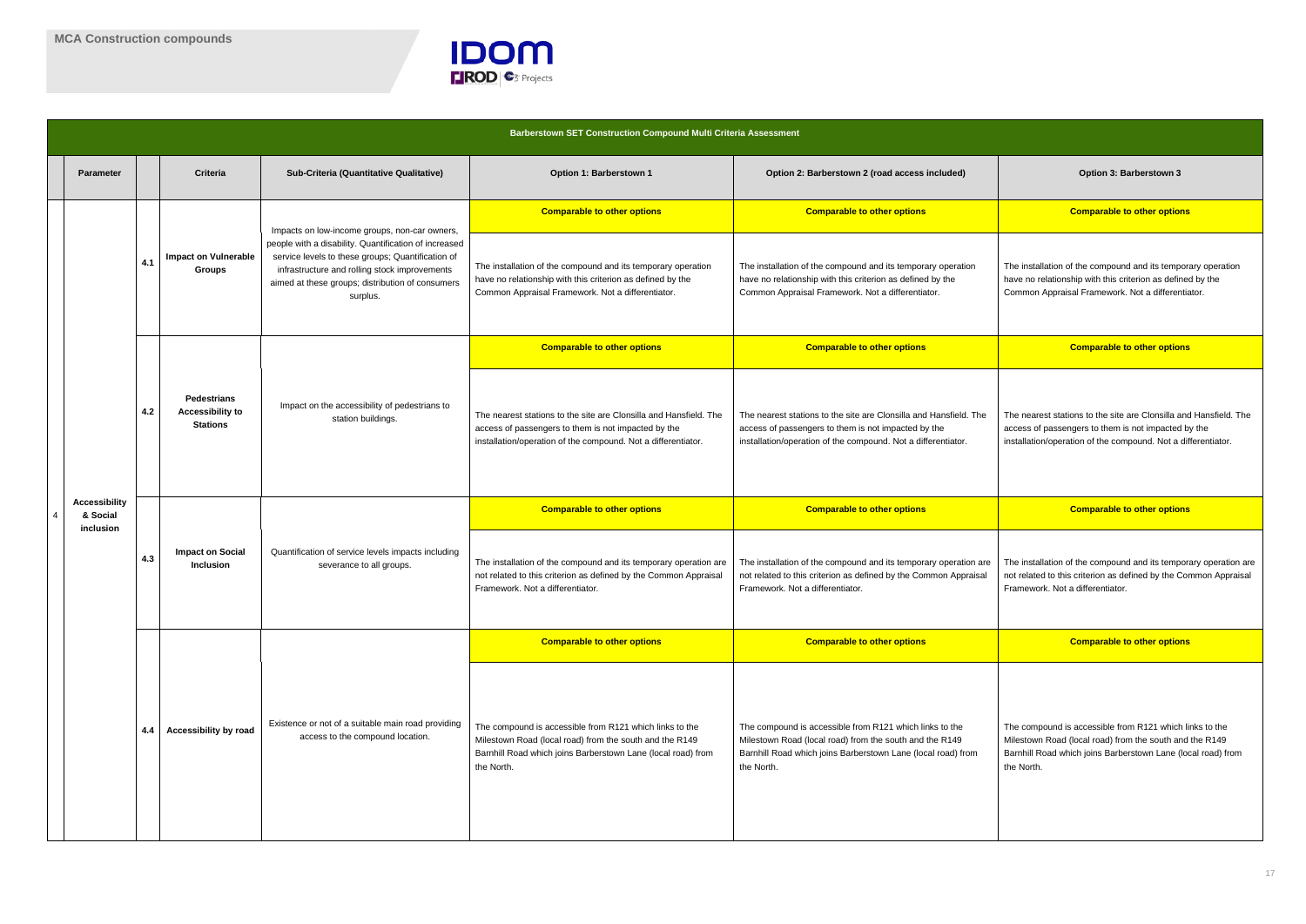

|                | <b>Barberstown SET Construction Compound Multi Criteria Assessment</b> |     |                                                                  |                                                                                                                                                                                                                             |                                                                                                                                                                                                  |                                                                                                                                                                                                  |                                                                                                                                                                                                  |  |  |
|----------------|------------------------------------------------------------------------|-----|------------------------------------------------------------------|-----------------------------------------------------------------------------------------------------------------------------------------------------------------------------------------------------------------------------|--------------------------------------------------------------------------------------------------------------------------------------------------------------------------------------------------|--------------------------------------------------------------------------------------------------------------------------------------------------------------------------------------------------|--------------------------------------------------------------------------------------------------------------------------------------------------------------------------------------------------|--|--|
|                | <b>Parameter</b>                                                       |     | <b>Criteria</b>                                                  | Sub-Criteria (Quantitative Qualitative)                                                                                                                                                                                     | Option 1: Barberstown 1                                                                                                                                                                          | Option 2: Barberstown 2 (road access included)                                                                                                                                                   | Option 3: Barberstown 3                                                                                                                                                                          |  |  |
|                |                                                                        |     |                                                                  | Impacts on low-income groups, non-car owners,                                                                                                                                                                               | <b>Comparable to other options</b>                                                                                                                                                               | <b>Comparable to other options</b>                                                                                                                                                               | <b>Comparable to other options</b>                                                                                                                                                               |  |  |
|                |                                                                        | 4.1 | <b>Impact on Vulnerable</b><br><b>Groups</b>                     | people with a disability. Quantification of increased<br>service levels to these groups; Quantification of<br>infrastructure and rolling stock improvements<br>aimed at these groups; distribution of consumers<br>surplus. | The installation of the compound and its temporary operation<br>have no relationship with this criterion as defined by the<br>Common Appraisal Framework. Not a differentiator.                  | The installation of the compound and its temporary operation<br>have no relationship with this criterion as defined by the<br>Common Appraisal Framework. Not a differentiator.                  | The installation of the compound and its temporary operation<br>have no relationship with this criterion as defined by the<br>Common Appraisal Framework. Not a differentiator.                  |  |  |
|                |                                                                        |     |                                                                  |                                                                                                                                                                                                                             | <b>Comparable to other options</b>                                                                                                                                                               | <b>Comparable to other options</b>                                                                                                                                                               | <b>Comparable to other options</b>                                                                                                                                                               |  |  |
|                |                                                                        | 4.2 | <b>Pedestrians</b><br><b>Accessibility to</b><br><b>Stations</b> | Impact on the accessibility of pedestrians to<br>station buildings.                                                                                                                                                         | The nearest stations to the site are Clonsilla and Hansfield. The<br>access of passengers to them is not impacted by the<br>installation/operation of the compound. Not a differentiator.        | The nearest stations to the site are Clonsilla and Hansfield. The<br>access of passengers to them is not impacted by the<br>installation/operation of the compound. Not a differentiator.        | The nearest stations to the site are Clonsilla and Hansfield. The<br>access of passengers to them is not impacted by the<br>installation/operation of the compound. Not a differentiator.        |  |  |
| $\overline{4}$ | <b>Accessibility</b><br>& Social                                       | 4.3 | <b>Impact on Social</b><br><b>Inclusion</b>                      | Quantification of service levels impacts including<br>severance to all groups.                                                                                                                                              | <b>Comparable to other options</b>                                                                                                                                                               | <b>Comparable to other options</b>                                                                                                                                                               | <b>Comparable to other options</b>                                                                                                                                                               |  |  |
|                | inclusion                                                              |     |                                                                  |                                                                                                                                                                                                                             | The installation of the compound and its temporary operation are<br>not related to this criterion as defined by the Common Appraisal<br>Framework. Not a differentiator.                         | The installation of the compound and its temporary operation are<br>not related to this criterion as defined by the Common Appraisal<br>Framework. Not a differentiator.                         | The installation of the compound and its temporary operation are<br>not related to this criterion as defined by the Common Appraisal<br>Framework. Not a differentiator.                         |  |  |
|                |                                                                        |     |                                                                  |                                                                                                                                                                                                                             | <b>Comparable to other options</b>                                                                                                                                                               | <b>Comparable to other options</b>                                                                                                                                                               | <b>Comparable to other options</b>                                                                                                                                                               |  |  |
|                |                                                                        | 4.4 | <b>Accessibility by road</b>                                     | Existence or not of a suitable main road providing<br>access to the compound location.                                                                                                                                      | The compound is accessible from R121 which links to the<br>Milestown Road (local road) from the south and the R149<br>Barnhill Road which joins Barberstown Lane (local road) from<br>the North. | The compound is accessible from R121 which links to the<br>Milestown Road (local road) from the south and the R149<br>Barnhill Road which joins Barberstown Lane (local road) from<br>the North. | The compound is accessible from R121 which links to the<br>Milestown Road (local road) from the south and the R149<br>Barnhill Road which joins Barberstown Lane (local road) from<br>the North. |  |  |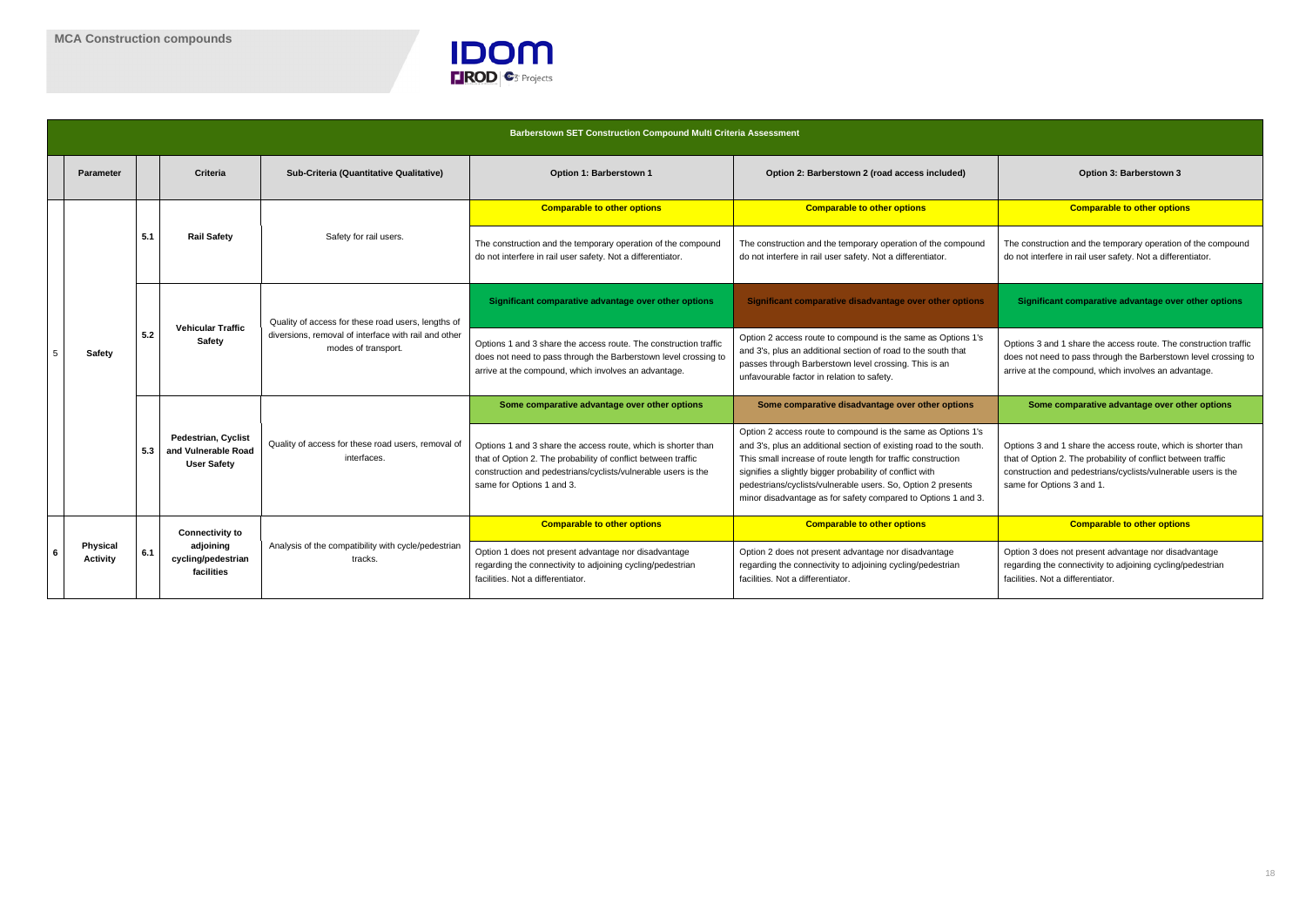

The construction and the temporary operation of the compound do not interfere in rail user safety. Not a differentiator.

**Significant comparative advantage over other options** 

Options 3 and 1 share the access route, which is shorter than that of Option 2. The probability of conflict between traffic construction and pedestrians/cyclists/vulnerable users is the same for Options 3 and 1.

**Comparable to other options** 

Options 3 and 1 share the access route. The construction traffic does not need to pass through the Barberstown level crossing to arrive at the compound, which involves an advantage.

**Some comparative advantage over other options** 

|   | <b>Barberstown SET Construction Compound Multi Criteria Assessment</b> |     |                                                                         |                                                                             |                                                                                                                                                                                                                              |                                                                                                                                                                                                                                                                                                                                                                                                 |                                                                                                                                                                                   |  |  |
|---|------------------------------------------------------------------------|-----|-------------------------------------------------------------------------|-----------------------------------------------------------------------------|------------------------------------------------------------------------------------------------------------------------------------------------------------------------------------------------------------------------------|-------------------------------------------------------------------------------------------------------------------------------------------------------------------------------------------------------------------------------------------------------------------------------------------------------------------------------------------------------------------------------------------------|-----------------------------------------------------------------------------------------------------------------------------------------------------------------------------------|--|--|
|   | <b>Parameter</b>                                                       |     | <b>Criteria</b>                                                         | Sub-Criteria (Quantitative Qualitative)                                     | Option 1: Barberstown 1                                                                                                                                                                                                      | Option 2: Barberstown 2 (road access included)                                                                                                                                                                                                                                                                                                                                                  | Option 3: Barberstown 3                                                                                                                                                           |  |  |
|   |                                                                        |     |                                                                         |                                                                             | <b>Comparable to other options</b>                                                                                                                                                                                           | <b>Comparable to other options</b>                                                                                                                                                                                                                                                                                                                                                              | <b>Comparable to other option</b>                                                                                                                                                 |  |  |
|   |                                                                        | 5.1 | <b>Rail Safety</b>                                                      | Safety for rail users.                                                      | The construction and the temporary operation of the compound<br>do not interfere in rail user safety. Not a differentiator.                                                                                                  | The construction and the temporary operation of the compound<br>do not interfere in rail user safety. Not a differentiator.                                                                                                                                                                                                                                                                     | The construction and the temporary operation<br>do not interfere in rail user safety. Not a differe                                                                               |  |  |
|   |                                                                        |     | <b>Vehicular Traffic</b><br>Safety                                      | Quality of access for these road users, lengths of                          | Significant comparative advantage over other options                                                                                                                                                                         | Significant comparative disadvantage over other options                                                                                                                                                                                                                                                                                                                                         | Significant comparative advantage over                                                                                                                                            |  |  |
| 5 | <b>Safety</b>                                                          | 5.2 |                                                                         | diversions, removal of interface with rail and other<br>modes of transport. | Options 1 and 3 share the access route. The construction traffic<br>does not need to pass through the Barberstown level crossing to<br>arrive at the compound, which involves an advantage.                                  | Option 2 access route to compound is the same as Options 1's<br>and 3's, plus an additional section of road to the south that<br>passes through Barberstown level crossing. This is an<br>unfavourable factor in relation to safety.                                                                                                                                                            | Options 3 and 1 share the access route. The o<br>does not need to pass through the Barberstow<br>arrive at the compound, which involves an adv                                    |  |  |
|   |                                                                        | 5.3 | <b>Pedestrian, Cyclist</b><br>and Vulnerable Road<br><b>User Safety</b> | Quality of access for these road users, removal of<br>interfaces.           | Some comparative advantage over other options                                                                                                                                                                                | Some comparative disadvantage over other options                                                                                                                                                                                                                                                                                                                                                | Some comparative advantage over of                                                                                                                                                |  |  |
|   |                                                                        |     |                                                                         |                                                                             | Options 1 and 3 share the access route, which is shorter than<br>that of Option 2. The probability of conflict between traffic<br>construction and pedestrians/cyclists/vulnerable users is the<br>same for Options 1 and 3. | Option 2 access route to compound is the same as Options 1's<br>and 3's, plus an additional section of existing road to the south.<br>This small increase of route length for traffic construction<br>signifies a slightly bigger probability of conflict with<br>pedestrians/cyclists/vulnerable users. So, Option 2 presents<br>minor disadvantage as for safety compared to Options 1 and 3. | Options 3 and 1 share the access route, which<br>that of Option 2. The probability of conflict bet<br>construction and pedestrians/cyclists/vulnerab<br>same for Options 3 and 1. |  |  |
|   |                                                                        |     | <b>Connectivity to</b>                                                  |                                                                             | <b>Comparable to other options</b>                                                                                                                                                                                           | <b>Comparable to other options</b>                                                                                                                                                                                                                                                                                                                                                              | <b>Comparable to other option</b>                                                                                                                                                 |  |  |
| 6 | <b>Physical</b><br><b>Activity</b>                                     | 6.1 | adjoining<br>cycling/pedestrian<br>facilities                           | Analysis of the compatibility with cycle/pedestrian<br>tracks.              | Option 1 does not present advantage nor disadvantage<br>regarding the connectivity to adjoining cycling/pedestrian<br>facilities. Not a differentiator.                                                                      | Option 2 does not present advantage nor disadvantage<br>regarding the connectivity to adjoining cycling/pedestrian<br>facilities. Not a differentiator.                                                                                                                                                                                                                                         | Option 3 does not present advantage nor disa<br>regarding the connectivity to adjoining cycling/<br>facilities. Not a differentiator.                                             |  |  |

#### **Comparable to other options**

Option 3 does not present advantage nor disadvantage regarding the connectivity to adjoining cycling/pedestrian facilities. Not a differentiator.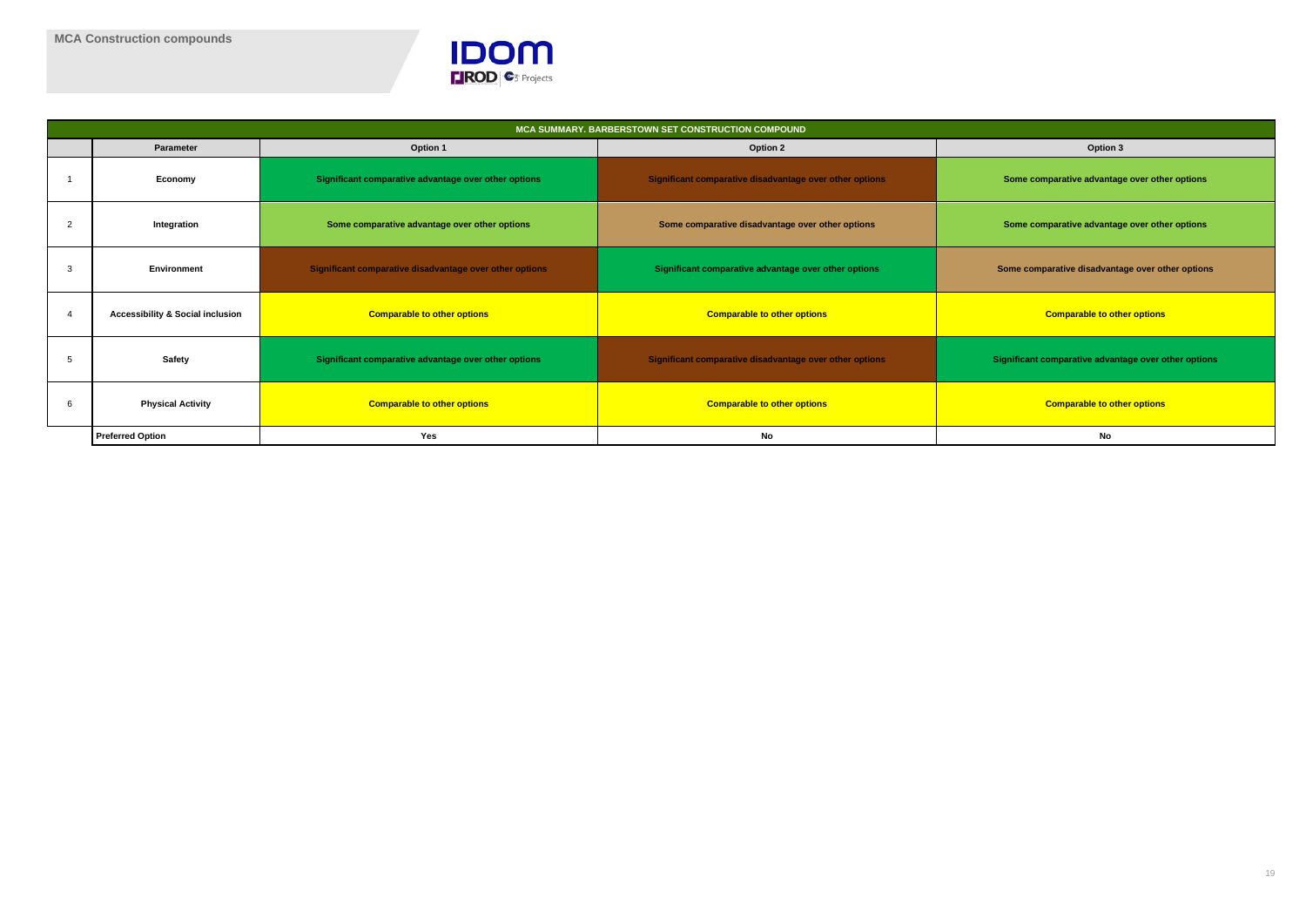

|                                             |                                                         | MCA SUMMARY. BARBERSTOWN SET CONSTRUCTION COMPOUND      |                                       |
|---------------------------------------------|---------------------------------------------------------|---------------------------------------------------------|---------------------------------------|
| Parameter                                   | Option 1                                                | <b>Option 2</b>                                         | Option 3                              |
| Economy                                     | Significant comparative advantage over other options    | Significant comparative disadvantage over other options | Some comparative advantag             |
| Integration<br>2                            | Some comparative advantage over other options           | Some comparative disadvantage over other options        | Some comparative advantag             |
| Environment<br>3                            | Significant comparative disadvantage over other options | Significant comparative advantage over other options    | Some comparative disadvanta           |
| <b>Accessibility &amp; Social inclusion</b> | <b>Comparable to other options</b>                      | <b>Comparable to other options</b>                      | <b>Comparable to oth</b>              |
| <b>Safety</b>                               | Significant comparative advantage over other options    | Significant comparative disadvantage over other options | <b>Significant comparative advant</b> |
| <b>Physical Activity</b><br>6               | <b>Comparable to other options</b>                      | <b>Comparable to other options</b>                      | <b>Comparable to oth</b>              |
| <b>Preferred Option</b>                     | Yes                                                     | No                                                      | No                                    |

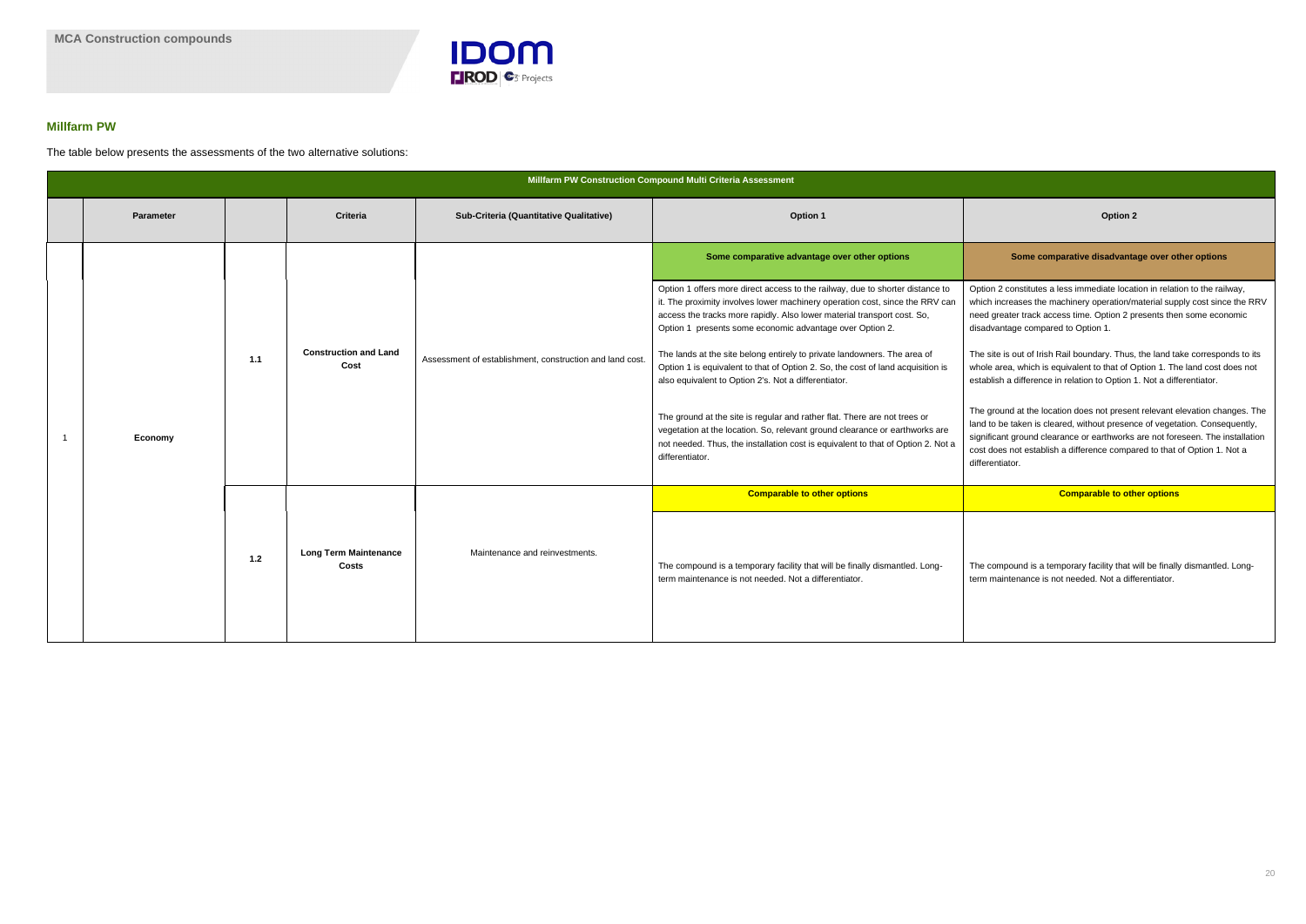

### **Millfarm PW**

The table below presents the assessments of the two alternative solutions:

|  | <b>Parameter</b> |       | <b>Criteria</b>                              | Sub-Criteria (Quantitative Qualitative)                  | Option 1                                                                                                                                                                                                                                                                                                                                                                                                                                                                                                                                                                                                                                                                                                                                                                                       | <b>Option 2</b>                                                                                                                                                                                                                                                                                                                                                                                                                                                                                                                              |
|--|------------------|-------|----------------------------------------------|----------------------------------------------------------|------------------------------------------------------------------------------------------------------------------------------------------------------------------------------------------------------------------------------------------------------------------------------------------------------------------------------------------------------------------------------------------------------------------------------------------------------------------------------------------------------------------------------------------------------------------------------------------------------------------------------------------------------------------------------------------------------------------------------------------------------------------------------------------------|----------------------------------------------------------------------------------------------------------------------------------------------------------------------------------------------------------------------------------------------------------------------------------------------------------------------------------------------------------------------------------------------------------------------------------------------------------------------------------------------------------------------------------------------|
|  |                  |       |                                              |                                                          | Some comparative advantage over other options                                                                                                                                                                                                                                                                                                                                                                                                                                                                                                                                                                                                                                                                                                                                                  | Some comparative disadvanta                                                                                                                                                                                                                                                                                                                                                                                                                                                                                                                  |
|  | Economy          | $1.1$ | <b>Construction and Land</b><br>Cost         | Assessment of establishment, construction and land cost. | Option 1 offers more direct access to the railway, due to shorter distance to<br>it. The proximity involves lower machinery operation cost, since the RRV can<br>access the tracks more rapidly. Also lower material transport cost. So,<br>Option 1 presents some economic advantage over Option 2.<br>The lands at the site belong entirely to private landowners. The area of<br>Option 1 is equivalent to that of Option 2. So, the cost of land acquisition is<br>also equivalent to Option 2's. Not a differentiator.<br>The ground at the site is regular and rather flat. There are not trees or<br>vegetation at the location. So, relevant ground clearance or earthworks are<br>not needed. Thus, the installation cost is equivalent to that of Option 2. Not a<br>differentiator. | Option 2 constitutes a less immediate locat<br>which increases the machinery operation/n<br>need greater track access time. Option 2 p<br>disadvantage compared to Option 1.<br>The site is out of Irish Rail boundary. Thus,<br>whole area, which is equivalent to that of C<br>establish a difference in relation to Option 1<br>The ground at the location does not preser<br>land to be taken is cleared, without presend<br>significant ground clearance or earthworks<br>cost does not establish a difference compa<br>differentiator. |
|  |                  |       |                                              |                                                          | <b>Comparable to other options</b>                                                                                                                                                                                                                                                                                                                                                                                                                                                                                                                                                                                                                                                                                                                                                             | <b>Comparable to oth</b>                                                                                                                                                                                                                                                                                                                                                                                                                                                                                                                     |
|  |                  | $1.2$ | <b>Long Term Maintenance</b><br><b>Costs</b> | Maintenance and reinvestments.                           | The compound is a temporary facility that will be finally dismantled. Long-<br>term maintenance is not needed. Not a differentiator.                                                                                                                                                                                                                                                                                                                                                                                                                                                                                                                                                                                                                                                           | The compound is a temporary facility that v<br>term maintenance is not needed. Not a diff                                                                                                                                                                                                                                                                                                                                                                                                                                                    |

#### **Some comparative disadvantage over other options**

tion 2 constitutes a less immediate location in relation to the railway, ich increases the machinery operation/material supply cost since the RRV ed greater track access time. Option 2 presents then some economic advantage compared to Option 1.

e site is out of Irish Rail boundary. Thus, the land take corresponds to its ole area, which is equivalent to that of Option 1. The land cost does not ablish a difference in relation to Option 1. Not a differentiator.

e ground at the location does not present relevant elevation changes. The d to be taken is cleared, without presence of vegetation. Consequently, nificant ground clearance or earthworks are not foreseen. The installation t does not establish a difference compared to that of Option 1. Not a erentiator.

**Comparable to other options Comparable to other options**

e compound is a temporary facility that will be finally dismantled. Longm maintenance is not needed. Not a differentiator.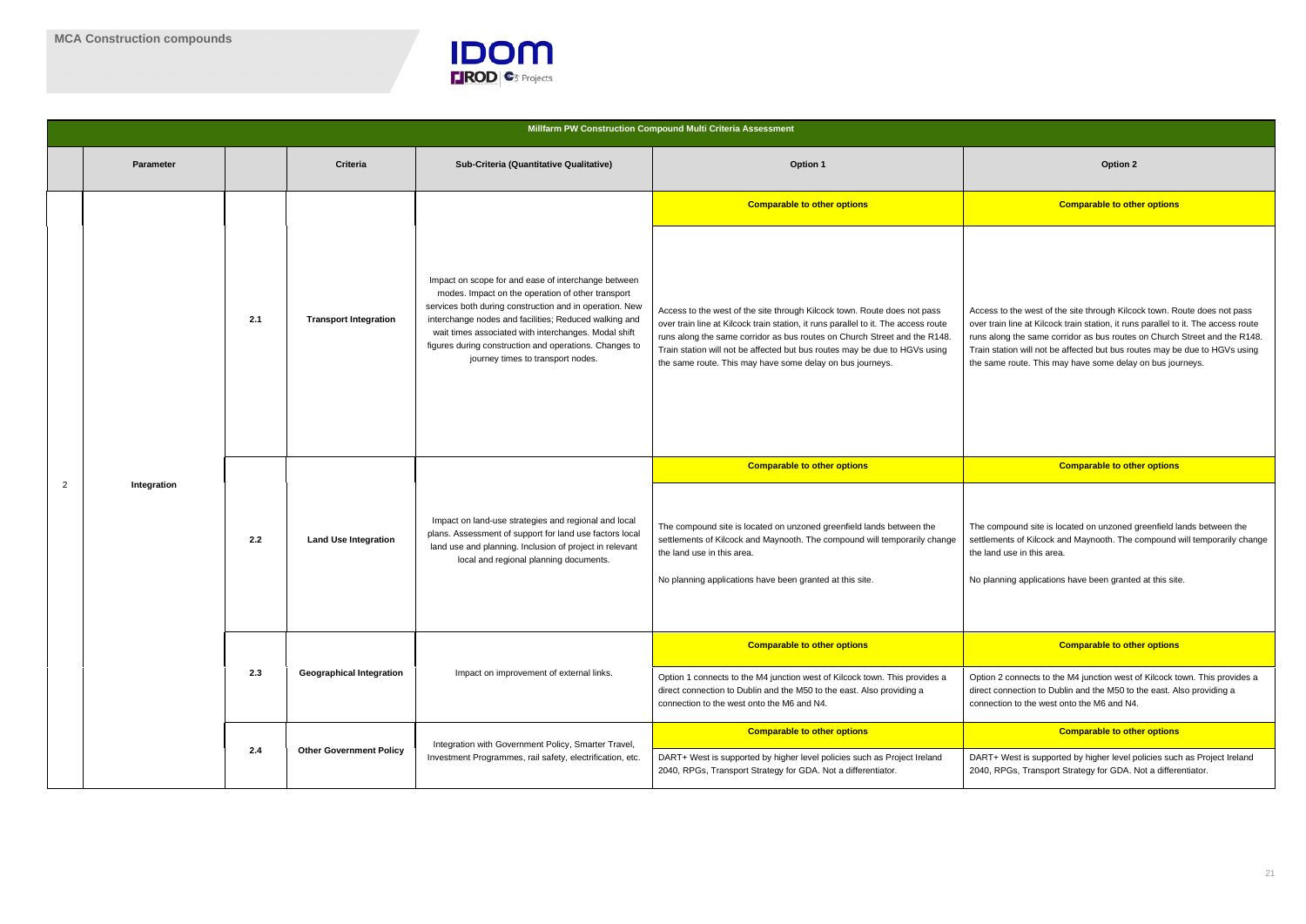

ess to the west of the site through Kilcock town. Route does not pass r train line at Kilcock train station, it runs parallel to it. The access route  $s$  along the same corridor as bus routes on Church Street and the R148. I station will not be affected but bus routes may be due to HGVs using same route. This may have some delay on bus journeys.

|                | Millfarm PW Construction Compound Multi Criteria Assessment |     |                                 |                                                                                                                                                                                                                                                                                                                                                                                     |                                                                                                                                                                                                                                                                                                                                                                                        |                                                                                                                                                                                                                                             |  |
|----------------|-------------------------------------------------------------|-----|---------------------------------|-------------------------------------------------------------------------------------------------------------------------------------------------------------------------------------------------------------------------------------------------------------------------------------------------------------------------------------------------------------------------------------|----------------------------------------------------------------------------------------------------------------------------------------------------------------------------------------------------------------------------------------------------------------------------------------------------------------------------------------------------------------------------------------|---------------------------------------------------------------------------------------------------------------------------------------------------------------------------------------------------------------------------------------------|--|
|                | <b>Parameter</b>                                            |     | Criteria                        | Sub-Criteria (Quantitative Qualitative)                                                                                                                                                                                                                                                                                                                                             | <b>Option 1</b>                                                                                                                                                                                                                                                                                                                                                                        | <b>Option 2</b>                                                                                                                                                                                                                             |  |
|                |                                                             |     |                                 |                                                                                                                                                                                                                                                                                                                                                                                     | <b>Comparable to other options</b>                                                                                                                                                                                                                                                                                                                                                     | <b>Comparable to oth</b>                                                                                                                                                                                                                    |  |
|                |                                                             | 2.1 | <b>Transport Integration</b>    | Impact on scope for and ease of interchange between<br>modes. Impact on the operation of other transport<br>services both during construction and in operation. New<br>interchange nodes and facilities; Reduced walking and<br>wait times associated with interchanges. Modal shift<br>figures during construction and operations. Changes to<br>journey times to transport nodes. | Access to the west of the site through Kilcock town. Route does not pass<br>over train line at Kilcock train station, it runs parallel to it. The access route<br>runs along the same corridor as bus routes on Church Street and the R148.<br>Train station will not be affected but bus routes may be due to HGVs using<br>the same route. This may have some delay on bus journeys. | Access to the west of the site through Kilco<br>over train line at Kilcock train station, it run<br>runs along the same corridor as bus routes<br>Train station will not be affected but bus ro<br>the same route. This may have some delay |  |
|                | Integration                                                 |     |                                 |                                                                                                                                                                                                                                                                                                                                                                                     | <b>Comparable to other options</b>                                                                                                                                                                                                                                                                                                                                                     | <b>Comparable to oth</b>                                                                                                                                                                                                                    |  |
| $\overline{2}$ |                                                             | 2.2 | <b>Land Use Integration</b>     | Impact on land-use strategies and regional and local<br>plans. Assessment of support for land use factors local<br>land use and planning. Inclusion of project in relevant<br>local and regional planning documents.                                                                                                                                                                | The compound site is located on unzoned greenfield lands between the<br>settlements of Kilcock and Maynooth. The compound will temporarily change<br>the land use in this area.<br>No planning applications have been granted at this site.                                                                                                                                            | The compound site is located on unzoned<br>settlements of Kilcock and Maynooth. The<br>the land use in this area.<br>No planning applications have been grante                                                                              |  |
|                |                                                             |     |                                 |                                                                                                                                                                                                                                                                                                                                                                                     | <b>Comparable to other options</b>                                                                                                                                                                                                                                                                                                                                                     | <b>Comparable to oth</b>                                                                                                                                                                                                                    |  |
|                |                                                             | 2.3 | <b>Geographical Integration</b> | Impact on improvement of external links.                                                                                                                                                                                                                                                                                                                                            | Option 1 connects to the M4 junction west of Kilcock town. This provides a<br>direct connection to Dublin and the M50 to the east. Also providing a<br>connection to the west onto the M6 and N4.                                                                                                                                                                                      | Option 2 connects to the M4 junction west<br>direct connection to Dublin and the M50 to<br>connection to the west onto the M6 and N4                                                                                                        |  |
|                |                                                             |     |                                 | Integration with Government Policy, Smarter Travel,                                                                                                                                                                                                                                                                                                                                 | <b>Comparable to other options</b>                                                                                                                                                                                                                                                                                                                                                     | <b>Comparable to oth</b>                                                                                                                                                                                                                    |  |
|                |                                                             | 2.4 | <b>Other Government Policy</b>  | Investment Programmes, rail safety, electrification, etc.                                                                                                                                                                                                                                                                                                                           | DART+ West is supported by higher level policies such as Project Ireland<br>2040, RPGs, Transport Strategy for GDA. Not a differentiator.                                                                                                                                                                                                                                              | DART+ West is supported by higher level p<br>2040, RPGs, Transport Strategy for GDA. I                                                                                                                                                      |  |

#### **Comparable to other options Comparable to other options**

compound site is located on unzoned greenfield lands between the ements of Kilcock and Maynooth. The compound will temporarily change land use in this area.

blanning applications have been granted at this site.

#### **Comparable to other options**

on 2 connects to the M4 junction west of Kilcock town. This provides a t connection to Dublin and the M50 to the east. Also providing a nection to the west onto the M6 and N4.

#### **Comparable to other options**

RT+ West is supported by higher level policies such as Project Ireland , RPGs, Transport Strategy for GDA. Not a differentiator.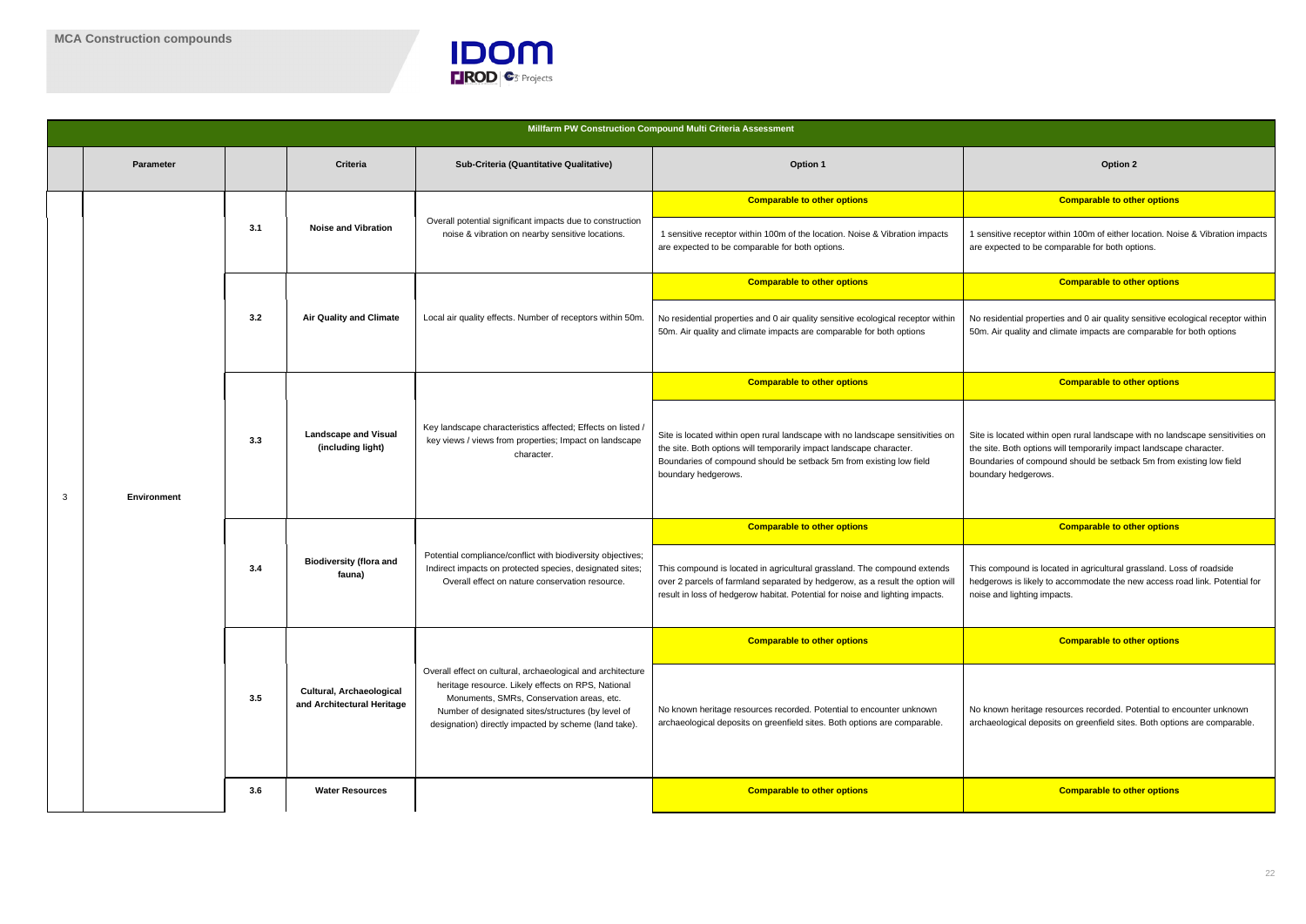

nsitive receptor within 100m of either location. Noise & Vibration impacts expected to be comparable for both options.

#### **Comparable to other options Comparable to other options**

esidential properties and 0 air quality sensitive ecological receptor within . Air quality and climate impacts are comparable for both options

#### **Comparable to other options Comparable to other options**

is located within open rural landscape with no landscape sensitivities on site. Both options will temporarily impact landscape character. ndaries of compound should be setback 5m from existing low field ndary hedgerows.

|   |                  |     |                                                        |                                                                                                                                                                                                                                                                               | Millfarm PW Construction Compound Multi Criteria Assessment                                                                                                                                                                                         |                                                                                                                                                                |  |  |
|---|------------------|-----|--------------------------------------------------------|-------------------------------------------------------------------------------------------------------------------------------------------------------------------------------------------------------------------------------------------------------------------------------|-----------------------------------------------------------------------------------------------------------------------------------------------------------------------------------------------------------------------------------------------------|----------------------------------------------------------------------------------------------------------------------------------------------------------------|--|--|
|   | <b>Parameter</b> |     | Criteria                                               | Sub-Criteria (Quantitative Qualitative)                                                                                                                                                                                                                                       | <b>Option 1</b>                                                                                                                                                                                                                                     | <b>Option 2</b>                                                                                                                                                |  |  |
|   |                  |     |                                                        |                                                                                                                                                                                                                                                                               | <b>Comparable to other options</b>                                                                                                                                                                                                                  | <b>Comparable to oth</b>                                                                                                                                       |  |  |
|   |                  | 3.1 | <b>Noise and Vibration</b>                             | Overall potential significant impacts due to construction<br>noise & vibration on nearby sensitive locations.                                                                                                                                                                 | 1 sensitive receptor within 100m of the location. Noise & Vibration impacts<br>are expected to be comparable for both options.                                                                                                                      | 1 sensitive receptor within 100m of either lo<br>are expected to be comparable for both op                                                                     |  |  |
|   |                  |     |                                                        |                                                                                                                                                                                                                                                                               | <b>Comparable to other options</b>                                                                                                                                                                                                                  | <b>Comparable to oth</b>                                                                                                                                       |  |  |
|   |                  | 3.2 | <b>Air Quality and Climate</b>                         | Local air quality effects. Number of receptors within 50m.                                                                                                                                                                                                                    | No residential properties and 0 air quality sensitive ecological receptor within<br>50m. Air quality and climate impacts are comparable for both options                                                                                            | No residential properties and 0 air quality s<br>50m. Air quality and climate impacts are co                                                                   |  |  |
|   |                  |     |                                                        |                                                                                                                                                                                                                                                                               | <b>Comparable to other options</b>                                                                                                                                                                                                                  | <b>Comparable to oth</b>                                                                                                                                       |  |  |
| 3 | Environment      | 3.3 | <b>Landscape and Visual</b><br>(including light)       | Key landscape characteristics affected; Effects on listed /<br>key views / views from properties; Impact on landscape<br>character.                                                                                                                                           | Site is located within open rural landscape with no landscape sensitivities on<br>the site. Both options will temporarily impact landscape character.<br>Boundaries of compound should be setback 5m from existing low field<br>boundary hedgerows. | Site is located within open rural landscape<br>the site. Both options will temporarily impad<br>Boundaries of compound should be setbac<br>boundary hedgerows. |  |  |
|   |                  |     |                                                        |                                                                                                                                                                                                                                                                               | <b>Comparable to other options</b>                                                                                                                                                                                                                  | <b>Comparable to oth</b>                                                                                                                                       |  |  |
|   |                  | 3.4 | <b>Biodiversity (flora and</b><br>fauna)               | Potential compliance/conflict with biodiversity objectives;<br>Indirect impacts on protected species, designated sites;<br>Overall effect on nature conservation resource.                                                                                                    | This compound is located in agricultural grassland. The compound extends<br>over 2 parcels of farmland separated by hedgerow, as a result the option will<br>result in loss of hedgerow habitat. Potential for noise and lighting impacts.          | This compound is located in agricultural gra<br>hedgerows is likely to accommodate the ne<br>noise and lighting impacts.                                       |  |  |
|   |                  |     |                                                        |                                                                                                                                                                                                                                                                               | <b>Comparable to other options</b>                                                                                                                                                                                                                  | <b>Comparable to oth</b>                                                                                                                                       |  |  |
|   |                  | 3.5 | Cultural, Archaeological<br>and Architectural Heritage | Overall effect on cultural, archaeological and architecture<br>heritage resource. Likely effects on RPS, National<br>Monuments, SMRs, Conservation areas, etc.<br>Number of designated sites/structures (by level of<br>designation) directly impacted by scheme (land take). | No known heritage resources recorded. Potential to encounter unknown<br>archaeological deposits on greenfield sites. Both options are comparable.                                                                                                   | No known heritage resources recorded. Po<br>archaeological deposits on greenfield sites                                                                        |  |  |
|   |                  | 3.6 | <b>Water Resources</b>                                 |                                                                                                                                                                                                                                                                               | <b>Comparable to other options</b>                                                                                                                                                                                                                  | <b>Comparable to oth</b>                                                                                                                                       |  |  |
|   |                  |     |                                                        |                                                                                                                                                                                                                                                                               |                                                                                                                                                                                                                                                     |                                                                                                                                                                |  |  |

#### **Comparable to other options Comparable to other options**

compound is located in agricultural grassland. Loss of roadside gerows is likely to accommodate the new access road link. Potential for and lighting impacts.

#### **Comparable to other options Comparable to other options**

known heritage resources recorded. Potential to encounter unknown aeological deposits on greenfield sites. Both options are comparable.

### **3.6 Comparable to other options**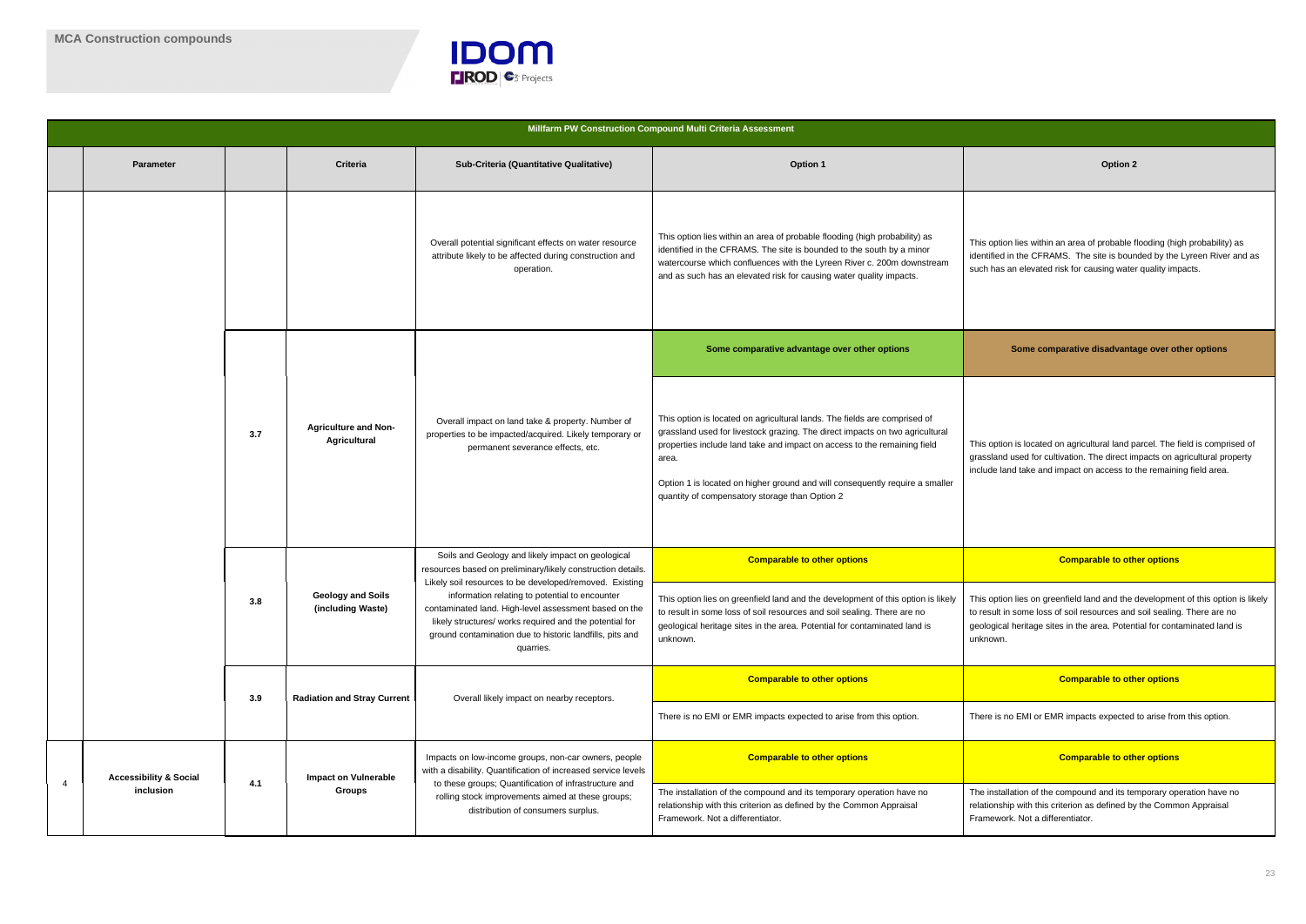

|   |                                                                                                       |                                               |                                                    |                                                                                                                                                                                                                                                                                                                                                                                                                            | Millfarm PW Construction Compound Multi Criteria Assessment                                                                                                                                                                                                                                                                                                                      |                                                                                                                                                                                     |
|---|-------------------------------------------------------------------------------------------------------|-----------------------------------------------|----------------------------------------------------|----------------------------------------------------------------------------------------------------------------------------------------------------------------------------------------------------------------------------------------------------------------------------------------------------------------------------------------------------------------------------------------------------------------------------|----------------------------------------------------------------------------------------------------------------------------------------------------------------------------------------------------------------------------------------------------------------------------------------------------------------------------------------------------------------------------------|-------------------------------------------------------------------------------------------------------------------------------------------------------------------------------------|
|   | <b>Parameter</b>                                                                                      |                                               | <b>Criteria</b>                                    | Sub-Criteria (Quantitative Qualitative)                                                                                                                                                                                                                                                                                                                                                                                    | <b>Option 1</b>                                                                                                                                                                                                                                                                                                                                                                  | Option 2                                                                                                                                                                            |
|   |                                                                                                       |                                               |                                                    | Overall potential significant effects on water resource<br>attribute likely to be affected during construction and<br>operation.                                                                                                                                                                                                                                                                                           | This option lies within an area of probable flooding (high probability) as<br>identified in the CFRAMS. The site is bounded to the south by a minor<br>watercourse which confluences with the Lyreen River c. 200m downstream<br>and as such has an elevated risk for causing water quality impacts.                                                                             | This option lies within an area of probable f<br>identified in the CFRAMS. The site is bour<br>such has an elevated risk for causing wate                                           |
|   |                                                                                                       |                                               |                                                    |                                                                                                                                                                                                                                                                                                                                                                                                                            | Some comparative advantage over other options                                                                                                                                                                                                                                                                                                                                    | Some comparative disadvanta                                                                                                                                                         |
|   |                                                                                                       | 3.7                                           | <b>Agriculture and Non-</b><br><b>Agricultural</b> | Overall impact on land take & property. Number of<br>properties to be impacted/acquired. Likely temporary or<br>permanent severance effects, etc.                                                                                                                                                                                                                                                                          | This option is located on agricultural lands. The fields are comprised of<br>grassland used for livestock grazing. The direct impacts on two agricultural<br>properties include land take and impact on access to the remaining field<br>area.<br>Option 1 is located on higher ground and will consequently require a smaller<br>quantity of compensatory storage than Option 2 | This option is located on agricultural land p<br>grassland used for cultivation. The direct in<br>include land take and impact on access to                                         |
|   |                                                                                                       | Geology and Soils<br>3.8<br>(including Waste) |                                                    | Soils and Geology and likely impact on geological<br>resources based on preliminary/likely construction details.<br>Likely soil resources to be developed/removed. Existing<br>information relating to potential to encounter<br>contaminated land. High-level assessment based on the<br>likely structures/ works required and the potential for<br>ground contamination due to historic landfills, pits and<br>quarries. | <b>Comparable to other options</b><br>This option lies on greenfield land and the development of this option is likely<br>to result in some loss of soil resources and soil sealing. There are no<br>geological heritage sites in the area. Potential for contaminated land is<br>unknown.                                                                                       | <b>Comparable to oth</b><br>This option lies on greenfield land and the<br>to result in some loss of soil resources and<br>geological heritage sites in the area. Poten<br>unknown. |
|   |                                                                                                       | 3.9                                           | <b>Radiation and Stray Current</b>                 | Overall likely impact on nearby receptors.                                                                                                                                                                                                                                                                                                                                                                                 | <b>Comparable to other options</b><br>There is no EMI or EMR impacts expected to arise from this option.                                                                                                                                                                                                                                                                         | <b>Comparable to oth</b><br>There is no EMI or EMR impacts expected                                                                                                                 |
|   | <b>Accessibility &amp; Social</b><br><b>Impact on Vulnerable</b><br>4.1<br>inclusion<br><b>Groups</b> |                                               |                                                    | Impacts on low-income groups, non-car owners, people<br>with a disability. Quantification of increased service levels                                                                                                                                                                                                                                                                                                      | <b>Comparable to other options</b>                                                                                                                                                                                                                                                                                                                                               | <b>Comparable to oth</b>                                                                                                                                                            |
| 4 |                                                                                                       |                                               |                                                    | to these groups; Quantification of infrastructure and<br>rolling stock improvements aimed at these groups;<br>distribution of consumers surplus.                                                                                                                                                                                                                                                                           | The installation of the compound and its temporary operation have no<br>relationship with this criterion as defined by the Common Appraisal<br>Framework. Not a differentiator.                                                                                                                                                                                                  | The installation of the compound and its tel<br>relationship with this criterion as defined by<br>Framework. Not a differentiator.                                                  |

option lies within an area of probable flooding (high probability) as tified in the CFRAMS. The site is bounded by the Lyreen River and as n has an elevated risk for causing water quality impacts.

#### **Some comparative disadvantage over other options**

option is located on agricultural land parcel. The field is comprised of sland used for cultivation. The direct impacts on agricultural property ide land take and impact on access to the remaining field area.

#### **Comparable to other options Comparable to other options**

option lies on greenfield land and the development of this option is likely esult in some loss of soil resources and soil sealing. There are no logical heritage sites in the area. Potential for contaminated land is nown.

### **Comparable to other options Comparable to other options**

re is no EMI or EMR impacts expected to arise from this option.

#### **Comparable to other options Comparable to other options**

installation of the compound and its temporary operation have no tionship with this criterion as defined by the Common Appraisal nework. Not a differentiator.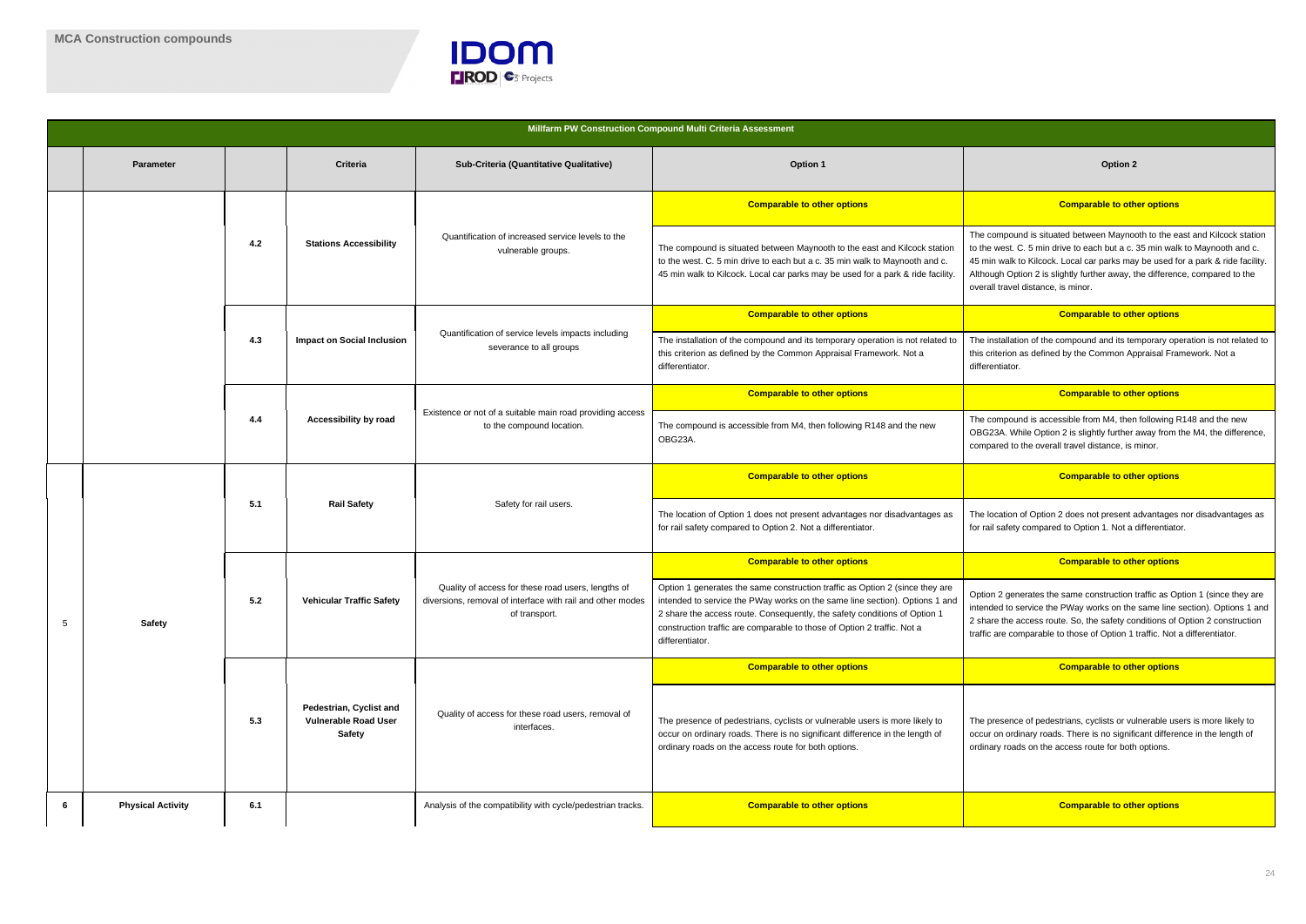

compound is situated between Maynooth to the east and Kilcock station  $t$  west. C. 5 min drive to each but a c. 35 min walk to Maynooth and c. nin walk to Kilcock. Local car parks may be used for a park & ride facility. bugh Option 2 is slightly further away, the difference, compared to the all travel distance, is minor.

#### **Comparable to other options**

installation of the compound and its temporary operation is not related to criterion as defined by the Common Appraisal Framework. Not a rentiator.

#### **Comparable to other options Comparable to other options**

compound is accessible from M4, then following R148 and the new G23A. While Option 2 is slightly further away from the M4, the difference, pared to the overall travel distance, is minor.

|   |                                                                                                                        |     |                                                                                |                                                                                                                                         | Millfarm PW Construction Compound Multi Criteria Assessment                                                                                                                                                                                                                                                                            |                                                                                                                                                                                                                             |  |  |  |
|---|------------------------------------------------------------------------------------------------------------------------|-----|--------------------------------------------------------------------------------|-----------------------------------------------------------------------------------------------------------------------------------------|----------------------------------------------------------------------------------------------------------------------------------------------------------------------------------------------------------------------------------------------------------------------------------------------------------------------------------------|-----------------------------------------------------------------------------------------------------------------------------------------------------------------------------------------------------------------------------|--|--|--|
|   | <b>Parameter</b>                                                                                                       |     | <b>Criteria</b>                                                                | Sub-Criteria (Quantitative Qualitative)                                                                                                 | Option 1                                                                                                                                                                                                                                                                                                                               | <b>Option 2</b>                                                                                                                                                                                                             |  |  |  |
|   |                                                                                                                        |     |                                                                                |                                                                                                                                         | <b>Comparable to other options</b>                                                                                                                                                                                                                                                                                                     | <b>Comparable to oth</b>                                                                                                                                                                                                    |  |  |  |
|   |                                                                                                                        | 4.2 | <b>Stations Accessibility</b>                                                  | Quantification of increased service levels to the<br>vulnerable groups.                                                                 | The compound is situated between Maynooth to the east and Kilcock station<br>to the west. C. 5 min drive to each but a c. 35 min walk to Maynooth and c.<br>45 min walk to Kilcock. Local car parks may be used for a park & ride facility.                                                                                            | The compound is situated between Mayno<br>to the west. C. 5 min drive to each but a c.<br>45 min walk to Kilcock. Local car parks ma<br>Although Option 2 is slightly further away, t<br>overall travel distance, is minor. |  |  |  |
|   |                                                                                                                        |     |                                                                                |                                                                                                                                         | <b>Comparable to other options</b>                                                                                                                                                                                                                                                                                                     | <b>Comparable to oth</b>                                                                                                                                                                                                    |  |  |  |
|   |                                                                                                                        | 4.3 | <b>Impact on Social Inclusion</b>                                              | Quantification of service levels impacts including<br>severance to all groups                                                           | The installation of the compound and its temporary operation is not related to<br>this criterion as defined by the Common Appraisal Framework. Not a<br>differentiator.                                                                                                                                                                | The installation of the compound and its tel<br>this criterion as defined by the Common Ap<br>differentiator.                                                                                                               |  |  |  |
|   |                                                                                                                        |     |                                                                                |                                                                                                                                         | <b>Comparable to other options</b>                                                                                                                                                                                                                                                                                                     | <b>Comparable to oth</b>                                                                                                                                                                                                    |  |  |  |
|   | Existence or not of a suitable main road providing access<br>4.4<br>Accessibility by road<br>to the compound location. |     | The compound is accessible from M4, then following R148 and the new<br>OBG23A. | The compound is accessible from M4, ther<br>OBG23A. While Option 2 is slightly further<br>compared to the overall travel distance, is a |                                                                                                                                                                                                                                                                                                                                        |                                                                                                                                                                                                                             |  |  |  |
|   |                                                                                                                        |     |                                                                                |                                                                                                                                         | <b>Comparable to other options</b>                                                                                                                                                                                                                                                                                                     | <b>Comparable to oth</b>                                                                                                                                                                                                    |  |  |  |
|   |                                                                                                                        | 5.1 | <b>Rail Safety</b>                                                             | Safety for rail users.                                                                                                                  | The location of Option 2 does not present a<br>The location of Option 1 does not present advantages nor disadvantages as<br>for rail safety compared to Option 2. Not a differentiator.<br>for rail safety compared to Option 1. Not a<br><b>Comparable to other options</b>                                                           |                                                                                                                                                                                                                             |  |  |  |
|   |                                                                                                                        |     |                                                                                |                                                                                                                                         |                                                                                                                                                                                                                                                                                                                                        | <b>Comparable to oth</b>                                                                                                                                                                                                    |  |  |  |
| 5 | <b>Safety</b>                                                                                                          | 5.2 | <b>Vehicular Traffic Safety</b>                                                | Quality of access for these road users, lengths of<br>diversions, removal of interface with rail and other modes<br>of transport.       | Option 1 generates the same construction traffic as Option 2 (since they are<br>intended to service the PWay works on the same line section). Options 1 and<br>2 share the access route. Consequently, the safety conditions of Option 1<br>construction traffic are comparable to those of Option 2 traffic. Not a<br>differentiator. | Option 2 generates the same construction<br>intended to service the PWay works on the<br>2 share the access route. So, the safety co<br>traffic are comparable to those of Option 1                                         |  |  |  |
|   |                                                                                                                        |     |                                                                                |                                                                                                                                         | <b>Comparable to other options</b>                                                                                                                                                                                                                                                                                                     | <b>Comparable to oth</b>                                                                                                                                                                                                    |  |  |  |
|   | 5.3                                                                                                                    |     | Pedestrian, Cyclist and<br><b>Vulnerable Road User</b><br><b>Safety</b>        | Quality of access for these road users, removal of<br>interfaces.                                                                       | The presence of pedestrians, cyclists or vulnerable users is more likely to<br>occur on ordinary roads. There is no significant difference in the length of<br>ordinary roads on the access route for both options.                                                                                                                    | The presence of pedestrians, cyclists or vu<br>occur on ordinary roads. There is no signifi<br>ordinary roads on the access route for both                                                                                  |  |  |  |
| 6 | <b>Physical Activity</b>                                                                                               | 6.1 |                                                                                | Analysis of the compatibility with cycle/pedestrian tracks.                                                                             | <b>Comparable to other options</b>                                                                                                                                                                                                                                                                                                     | <b>Comparable to oth</b>                                                                                                                                                                                                    |  |  |  |

#### **Comparable to other options Comparable to other options**

location of Option 2 does not present advantages nor disadvantages as ail safety compared to Option 1. Not a differentiator.

#### **Comparable to other options Comparable to other options**

on 2 generates the same construction traffic as Option 1 (since they are or interpretional to service the PWay works on the same line section). Options 1 and are the access route. So, the safety conditions of Option 2 construction are comparable to those of Option 1 traffic. Not a differentiator.

#### **Comparable to other options Comparable to other options**

presence of pedestrians, cyclists or vulnerable users is more likely to on ordinary roads. There is no significant difference in the length of hary roads on the access route for both options.

#### **6.1** Comparable to other options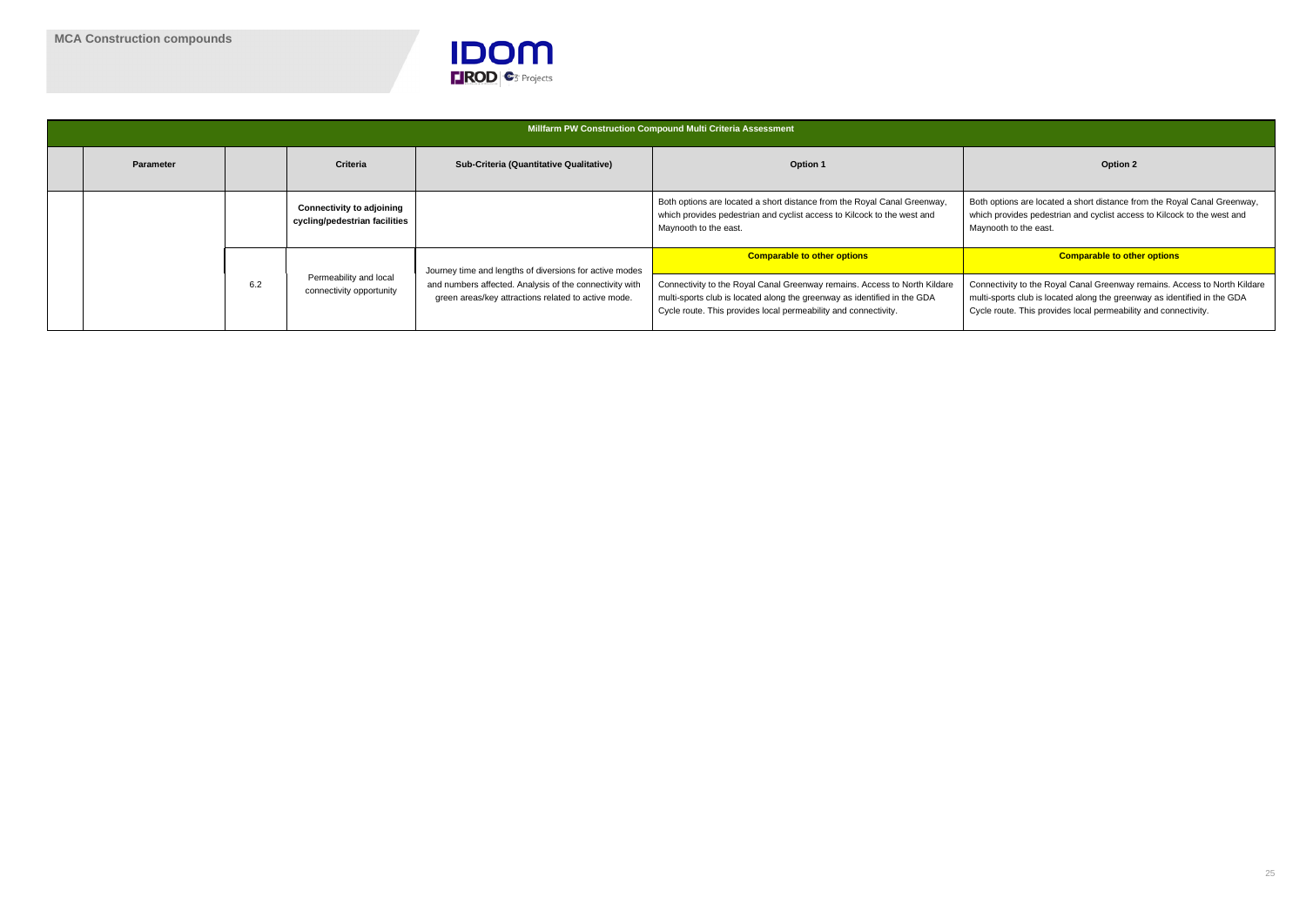

|                  |     |                                                                   |                                                                                                                | Millfarm PW Construction Compound Multi Criteria Assessment                                                                                                                                                              |                                                                                                                                          |
|------------------|-----|-------------------------------------------------------------------|----------------------------------------------------------------------------------------------------------------|--------------------------------------------------------------------------------------------------------------------------------------------------------------------------------------------------------------------------|------------------------------------------------------------------------------------------------------------------------------------------|
| <b>Parameter</b> |     | <b>Criteria</b>                                                   | Sub-Criteria (Quantitative Qualitative)                                                                        | <b>Option 1</b>                                                                                                                                                                                                          | Option 2                                                                                                                                 |
|                  |     | <b>Connectivity to adjoining</b><br>cycling/pedestrian facilities |                                                                                                                | Both options are located a short distance from the Royal Canal Greenway,<br>which provides pedestrian and cyclist access to Kilcock to the west and<br>Maynooth to the east.                                             | Both options are located a short distance fr<br>which provides pedestrian and cyclist acce<br>Maynooth to the east.                      |
|                  |     |                                                                   | Journey time and lengths of diversions for active modes                                                        | <b>Comparable to other options</b>                                                                                                                                                                                       | <b>Comparable to oth</b>                                                                                                                 |
|                  | 6.2 | Permeability and local<br>connectivity opportunity                | and numbers affected. Analysis of the connectivity with<br>green areas/key attractions related to active mode. | Connectivity to the Royal Canal Greenway remains. Access to North Kildare<br>multi-sports club is located along the greenway as identified in the GDA<br>Cycle route. This provides local permeability and connectivity. | Connectivity to the Royal Canal Greenway<br>multi-sports club is located along the green<br>Cycle route. This provides local permeabilit |

options are located a short distance from the Royal Canal Greenway, ch provides pedestrian and cyclist access to Kilcock to the west and nooth to the east.

#### **Comparable to other options**

nectivity to the Royal Canal Greenway remains. Access to North Kildare ti-sports club is located along the greenway as identified in the GDA le route. This provides local permeability and connectivity.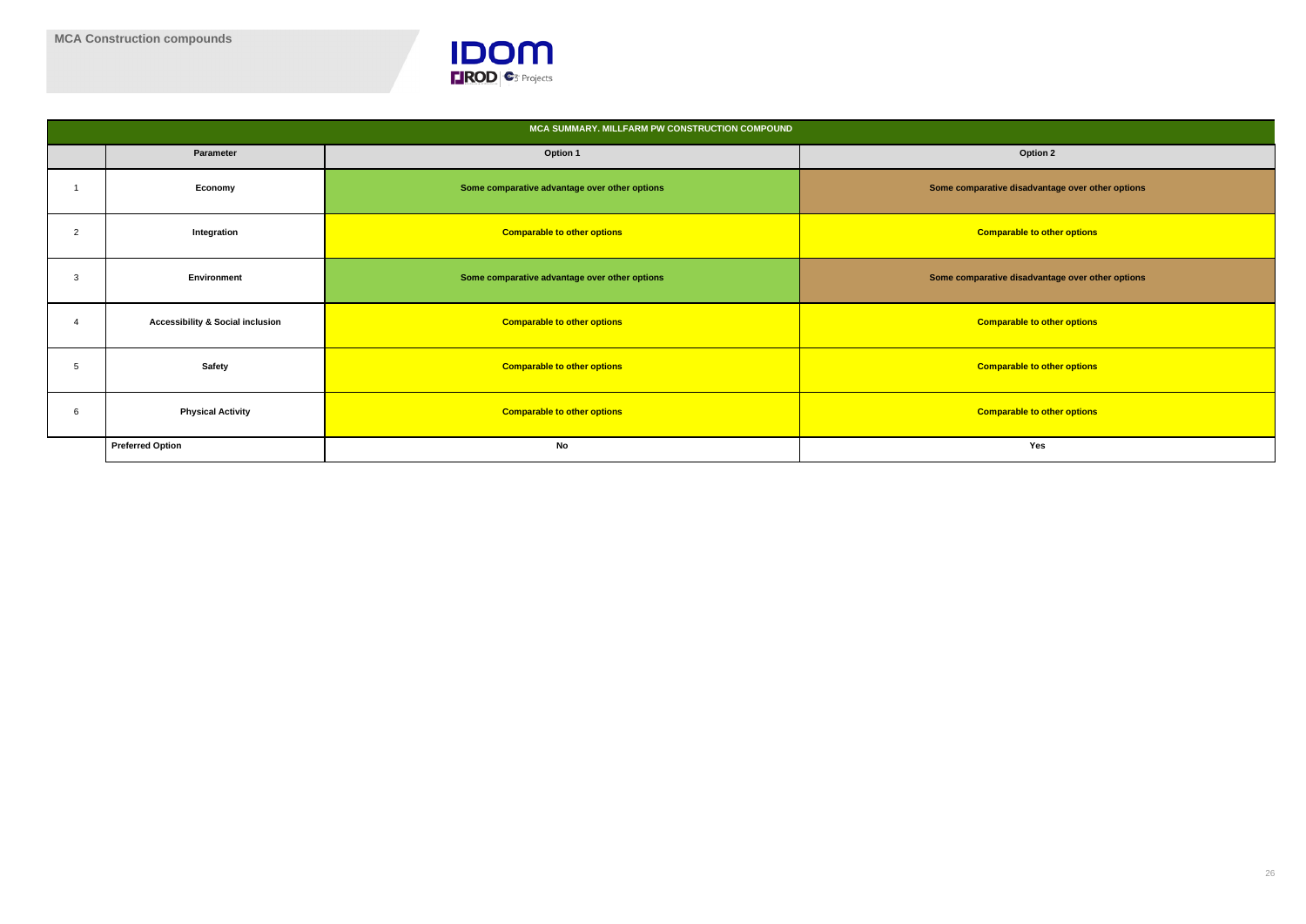

|                |                                             | MCA SUMMARY. MILLFARM PW CONSTRUCTION COMPOUND |                                                  |
|----------------|---------------------------------------------|------------------------------------------------|--------------------------------------------------|
|                | Parameter                                   | Option 1                                       | Option 2                                         |
|                | Economy                                     | Some comparative advantage over other options  | Some comparative disadvantage over other options |
| $\overline{2}$ | Integration                                 | <b>Comparable to other options</b>             | <b>Comparable to other options</b>               |
| 3              | Environment                                 | Some comparative advantage over other options  | Some comparative disadvantage over other options |
|                | <b>Accessibility &amp; Social inclusion</b> | <b>Comparable to other options</b>             | <b>Comparable to other options</b>               |
| 5              | Safety                                      | <b>Comparable to other options</b>             | <b>Comparable to other options</b>               |
| 6              | <b>Physical Activity</b>                    | <b>Comparable to other options</b>             | <b>Comparable to other options</b>               |
|                | <b>Preferred Option</b>                     | No                                             | Yes                                              |

| <b>Option 2</b>                        |
|----------------------------------------|
| rative disadvantage over other options |
| omparable to other options             |
| rative disadvantage over other options |
| omparable to other options             |
| omparable to other options             |
| omparable to other options             |
| Yes                                    |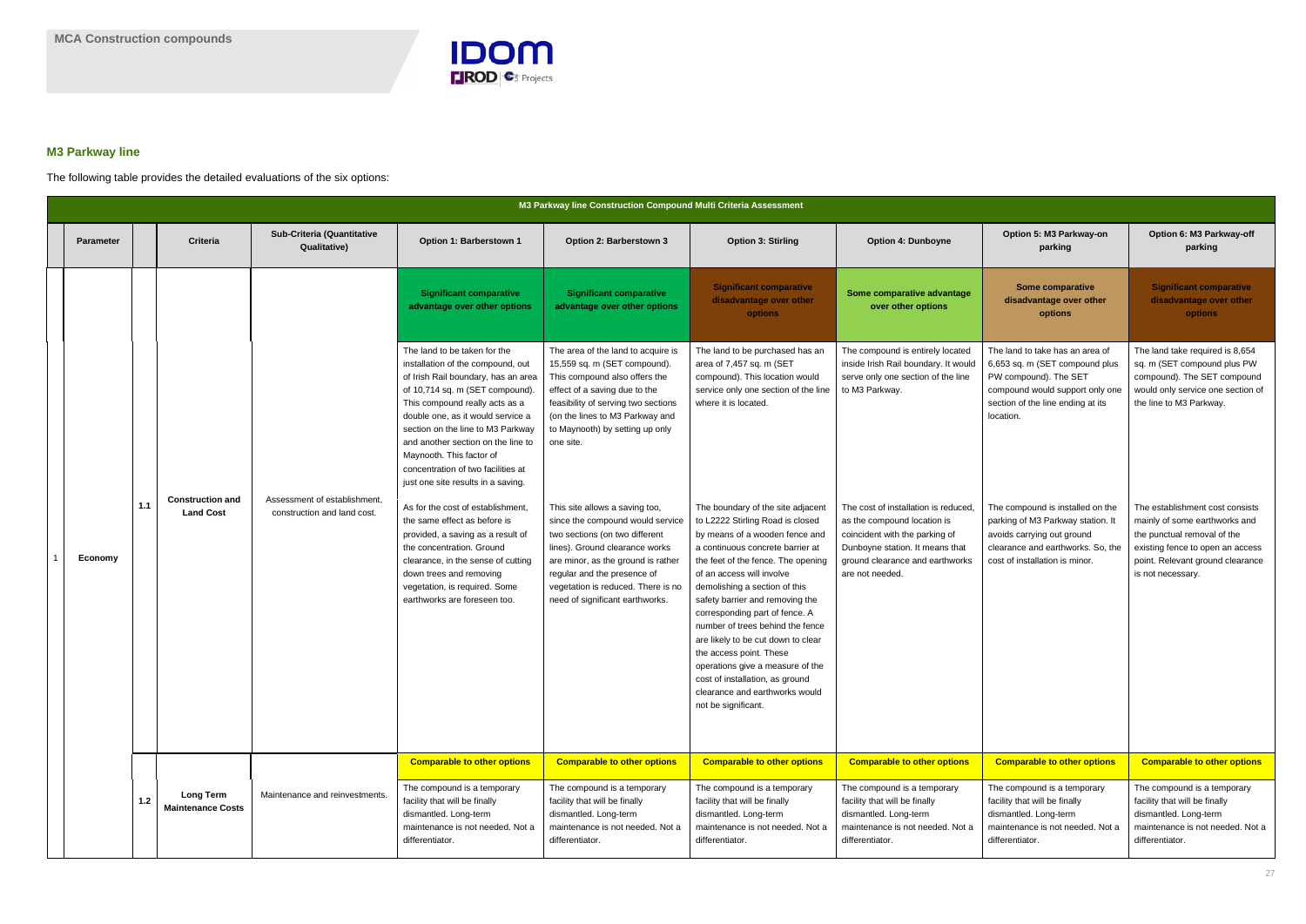

### **M3 Parkway line**

The following table provides the detailed evaluations of the six options:

|                  |       |                                              |                                                             |                                                                                                                                                                                                                                                                                                                                                                                                       | M3 Parkway line Construction Compound Multi Criteria Assessment                                                                                                                                                                                                                      |                                                                                                                                                                                                                                                                                                                                                                                                                                                                                                                                                           |                                                                                                                                                                                               |                                                                                                                                                                                 |                                                                                                                                                                                              |
|------------------|-------|----------------------------------------------|-------------------------------------------------------------|-------------------------------------------------------------------------------------------------------------------------------------------------------------------------------------------------------------------------------------------------------------------------------------------------------------------------------------------------------------------------------------------------------|--------------------------------------------------------------------------------------------------------------------------------------------------------------------------------------------------------------------------------------------------------------------------------------|-----------------------------------------------------------------------------------------------------------------------------------------------------------------------------------------------------------------------------------------------------------------------------------------------------------------------------------------------------------------------------------------------------------------------------------------------------------------------------------------------------------------------------------------------------------|-----------------------------------------------------------------------------------------------------------------------------------------------------------------------------------------------|---------------------------------------------------------------------------------------------------------------------------------------------------------------------------------|----------------------------------------------------------------------------------------------------------------------------------------------------------------------------------------------|
| <b>Parameter</b> |       | <b>Criteria</b>                              | Sub-Criteria (Quantitative<br><b>Qualitative)</b>           | Option 1: Barberstown 1                                                                                                                                                                                                                                                                                                                                                                               | Option 2: Barberstown 3                                                                                                                                                                                                                                                              | <b>Option 3: Stirling</b>                                                                                                                                                                                                                                                                                                                                                                                                                                                                                                                                 | <b>Option 4: Dunboyne</b>                                                                                                                                                                     | Option 5: M3 Parkway-on<br>parking                                                                                                                                              | Option 6: M3 Parkway-off<br>parking                                                                                                                                                          |
|                  |       |                                              |                                                             | <b>Significant comparative</b><br>advantage over other options                                                                                                                                                                                                                                                                                                                                        | <b>Significant comparative</b><br>advantage over other options                                                                                                                                                                                                                       | <b>Significant comparative</b><br>disadvantage over other<br><b>options</b>                                                                                                                                                                                                                                                                                                                                                                                                                                                                               | Some comparative advantage<br>over other options                                                                                                                                              | <b>Some comparative</b><br>disadvantage over other<br>options                                                                                                                   | <b>Significant comparative</b><br>disadvantage over other<br>options                                                                                                                         |
|                  |       |                                              |                                                             | The land to be taken for the<br>installation of the compound, out<br>of Irish Rail boundary, has an area<br>of 10,714 sq. m (SET compound).<br>This compound really acts as a<br>double one, as it would service a<br>section on the line to M3 Parkway<br>and another section on the line to<br>Maynooth. This factor of<br>concentration of two facilities at<br>just one site results in a saving. | The area of the land to acquire is<br>15,559 sq. m (SET compound).<br>This compound also offers the<br>effect of a saving due to the<br>feasibility of serving two sections<br>(on the lines to M3 Parkway and<br>to Maynooth) by setting up only<br>one site.                       | The land to be purchased has an<br>area of 7,457 sq. m (SET<br>compound). This location would<br>service only one section of the line<br>where it is located.                                                                                                                                                                                                                                                                                                                                                                                             | The compound is entirely located<br>inside Irish Rail boundary. It would<br>serve only one section of the line<br>to M3 Parkway.                                                              | The land to take has an area of<br>6,653 sq. m (SET compound plus<br>PW compound). The SET<br>compound would support only one<br>section of the line ending at its<br>location. | The land take required is 8,654<br>sq. m (SET compound plus PW<br>compound). The SET compound<br>would only service one section of<br>the line to M3 Parkway.                                |
| Economy          | 1.1   | <b>Construction and</b><br><b>Land Cost</b>  | Assessment of establishment,<br>construction and land cost. | As for the cost of establishment<br>the same effect as before is<br>provided, a saving as a result of<br>the concentration. Ground<br>clearance, in the sense of cutting<br>down trees and removing<br>vegetation, is required. Some<br>earthworks are foreseen too.                                                                                                                                  | This site allows a saving too,<br>since the compound would service<br>two sections (on two different<br>lines). Ground clearance works<br>are minor, as the ground is rather<br>regular and the presence of<br>vegetation is reduced. There is no<br>need of significant earthworks. | The boundary of the site adjacent<br>to L2222 Stirling Road is closed<br>by means of a wooden fence and<br>a continuous concrete barrier at<br>the feet of the fence. The opening<br>of an access will involve<br>demolishing a section of this<br>safety barrier and removing the<br>corresponding part of fence. A<br>number of trees behind the fence<br>are likely to be cut down to clear<br>the access point. These<br>operations give a measure of the<br>cost of installation, as ground<br>clearance and earthworks would<br>not be significant. | The cost of installation is reduced<br>as the compound location is<br>coincident with the parking of<br>Dunboyne station. It means that<br>ground clearance and earthworks<br>are not needed. | The compound is installed on the<br>parking of M3 Parkway station. It<br>avoids carrying out ground<br>clearance and earthworks. So, the<br>cost of installation is minor.      | The establishment cost consists<br>mainly of some earthworks and<br>the punctual removal of the<br>existing fence to open an access<br>point. Relevant ground clearance<br>is not necessary. |
|                  |       |                                              |                                                             | <b>Comparable to other options</b>                                                                                                                                                                                                                                                                                                                                                                    | <b>Comparable to other options</b>                                                                                                                                                                                                                                                   | <b>Comparable to other options</b>                                                                                                                                                                                                                                                                                                                                                                                                                                                                                                                        | <b>Comparable to other options</b>                                                                                                                                                            | <b>Comparable to other options</b>                                                                                                                                              | <b>Comparable to other options</b>                                                                                                                                                           |
|                  | $1.2$ | <b>Long Term</b><br><b>Maintenance Costs</b> | Maintenance and reinvestments.                              | The compound is a temporary<br>facility that will be finally<br>dismantled. Long-term<br>maintenance is not needed. Not a<br>differentiator.                                                                                                                                                                                                                                                          | The compound is a temporary<br>facility that will be finally<br>dismantled. Long-term<br>maintenance is not needed. Not a<br>differentiator.                                                                                                                                         | The compound is a temporary<br>facility that will be finally<br>dismantled. Long-term<br>maintenance is not needed. Not a<br>differentiator.                                                                                                                                                                                                                                                                                                                                                                                                              | The compound is a temporary<br>facility that will be finally<br>dismantled. Long-term<br>maintenance is not needed. Not a<br>differentiator.                                                  | The compound is a temporary<br>facility that will be finally<br>dismantled. Long-term<br>maintenance is not needed. Not a<br>differentiator.                                    | The compound is a temporary<br>facility that will be finally<br>dismantled. Long-term<br>maintenance is not needed. Not a<br>differentiator.                                                 |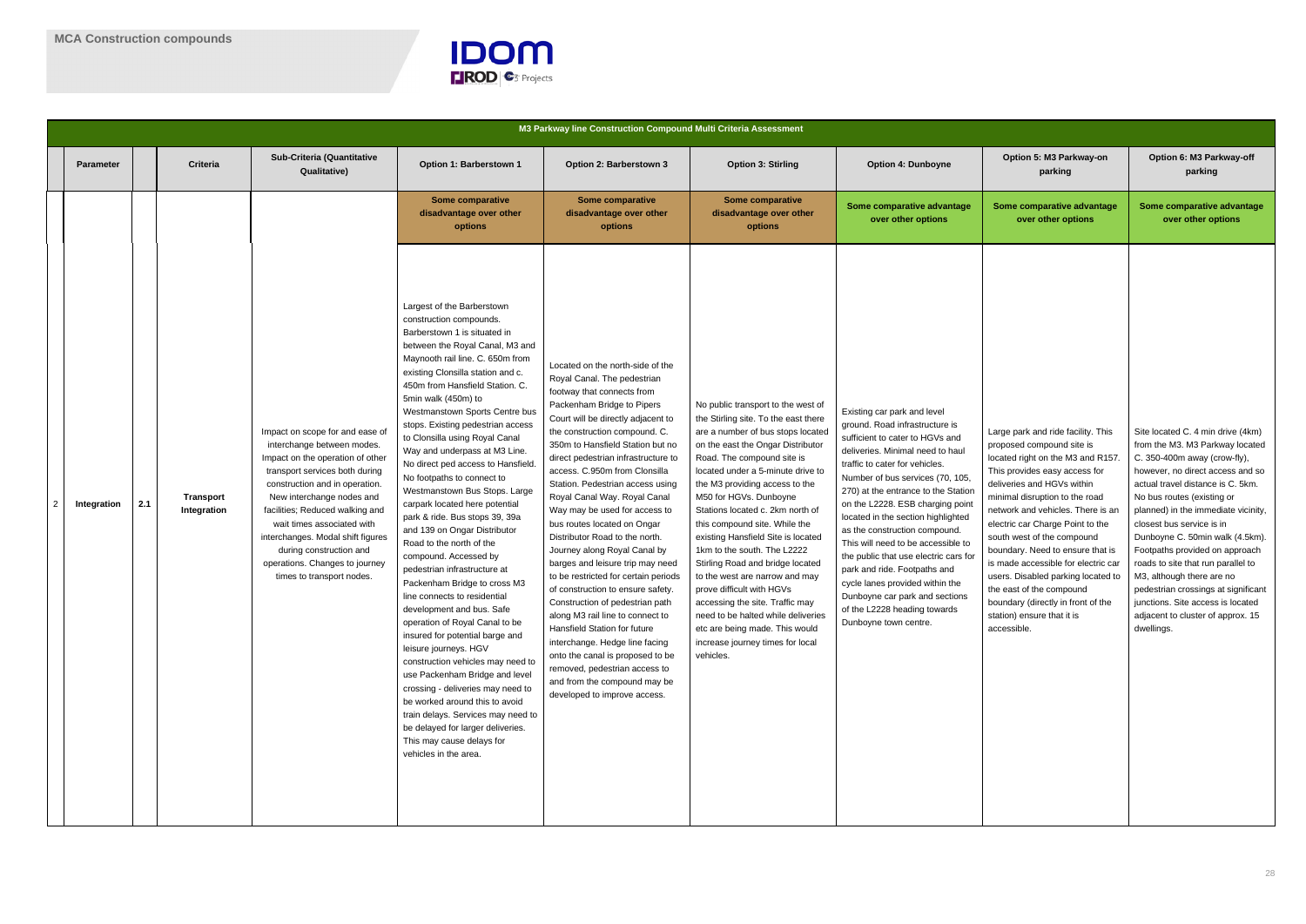

|                |                  |     |                          |                                                                                                                                                                                                                                                                                                                                                                                                    |                                                                                                                                                                                                                                                                                                                                                                                                                                                                                                                                                                                                                                                                                                                                                                                                                                                                                                                                                                                                                                                                                                                                                                              | M3 Parkway line Construction Compound Multi Criteria Assessment                                                                                                                                                                                                                                                                                                                                                                                                                                                                                                                                                                                                                                                                                                                                                                                                                                                     |                                                                                                                                                                                                                                                                                                                                                                                                                                                                                                                                                                                                                                                                                              |                                                                                                                                                                                                                                                                                                                                                                                                                                                                                                                                                                                                           |                                                                                                                                                                                                                                                                                                                                                                                                                                                                                                                                             |                                                                                                                                                                                                                                                                                                                                                                                                                                                                                                                                                        |
|----------------|------------------|-----|--------------------------|----------------------------------------------------------------------------------------------------------------------------------------------------------------------------------------------------------------------------------------------------------------------------------------------------------------------------------------------------------------------------------------------------|------------------------------------------------------------------------------------------------------------------------------------------------------------------------------------------------------------------------------------------------------------------------------------------------------------------------------------------------------------------------------------------------------------------------------------------------------------------------------------------------------------------------------------------------------------------------------------------------------------------------------------------------------------------------------------------------------------------------------------------------------------------------------------------------------------------------------------------------------------------------------------------------------------------------------------------------------------------------------------------------------------------------------------------------------------------------------------------------------------------------------------------------------------------------------|---------------------------------------------------------------------------------------------------------------------------------------------------------------------------------------------------------------------------------------------------------------------------------------------------------------------------------------------------------------------------------------------------------------------------------------------------------------------------------------------------------------------------------------------------------------------------------------------------------------------------------------------------------------------------------------------------------------------------------------------------------------------------------------------------------------------------------------------------------------------------------------------------------------------|----------------------------------------------------------------------------------------------------------------------------------------------------------------------------------------------------------------------------------------------------------------------------------------------------------------------------------------------------------------------------------------------------------------------------------------------------------------------------------------------------------------------------------------------------------------------------------------------------------------------------------------------------------------------------------------------|-----------------------------------------------------------------------------------------------------------------------------------------------------------------------------------------------------------------------------------------------------------------------------------------------------------------------------------------------------------------------------------------------------------------------------------------------------------------------------------------------------------------------------------------------------------------------------------------------------------|---------------------------------------------------------------------------------------------------------------------------------------------------------------------------------------------------------------------------------------------------------------------------------------------------------------------------------------------------------------------------------------------------------------------------------------------------------------------------------------------------------------------------------------------|--------------------------------------------------------------------------------------------------------------------------------------------------------------------------------------------------------------------------------------------------------------------------------------------------------------------------------------------------------------------------------------------------------------------------------------------------------------------------------------------------------------------------------------------------------|
|                | <b>Parameter</b> |     | <b>Criteria</b>          | <b>Sub-Criteria (Quantitative</b><br><b>Qualitative)</b>                                                                                                                                                                                                                                                                                                                                           | Option 1: Barberstown 1                                                                                                                                                                                                                                                                                                                                                                                                                                                                                                                                                                                                                                                                                                                                                                                                                                                                                                                                                                                                                                                                                                                                                      | Option 2: Barberstown 3                                                                                                                                                                                                                                                                                                                                                                                                                                                                                                                                                                                                                                                                                                                                                                                                                                                                                             | <b>Option 3: Stirling</b>                                                                                                                                                                                                                                                                                                                                                                                                                                                                                                                                                                                                                                                                    | <b>Option 4: Dunboyne</b>                                                                                                                                                                                                                                                                                                                                                                                                                                                                                                                                                                                 | Option 5: M3 Parkway-on<br>parking                                                                                                                                                                                                                                                                                                                                                                                                                                                                                                          | Option 6: M3 Parkway-off<br>parking                                                                                                                                                                                                                                                                                                                                                                                                                                                                                                                    |
|                |                  |     |                          |                                                                                                                                                                                                                                                                                                                                                                                                    | Some comparative<br>disadvantage over other<br>options                                                                                                                                                                                                                                                                                                                                                                                                                                                                                                                                                                                                                                                                                                                                                                                                                                                                                                                                                                                                                                                                                                                       | Some comparative<br>disadvantage over other<br>options                                                                                                                                                                                                                                                                                                                                                                                                                                                                                                                                                                                                                                                                                                                                                                                                                                                              | Some comparative<br>disadvantage over other<br>options                                                                                                                                                                                                                                                                                                                                                                                                                                                                                                                                                                                                                                       | Some comparative advantage<br>over other options                                                                                                                                                                                                                                                                                                                                                                                                                                                                                                                                                          | Some comparative advantage<br>over other options                                                                                                                                                                                                                                                                                                                                                                                                                                                                                            | Some comparative advantage<br>over other options                                                                                                                                                                                                                                                                                                                                                                                                                                                                                                       |
| $\overline{2}$ | Integration      | 2.1 | Transport<br>Integration | Impact on scope for and ease of<br>interchange between modes.<br>Impact on the operation of other<br>transport services both during<br>construction and in operation.<br>New interchange nodes and<br>facilities; Reduced walking and<br>wait times associated with<br>interchanges. Modal shift figures<br>during construction and<br>operations. Changes to journey<br>times to transport nodes. | Largest of the Barberstown<br>construction compounds.<br>Barberstown 1 is situated in<br>between the Royal Canal, M3 and<br>Maynooth rail line. C. 650m from<br>existing Clonsilla station and c.<br>450m from Hansfield Station. C.<br>5min walk (450m) to<br>Westmanstown Sports Centre bus<br>stops. Existing pedestrian access<br>to Clonsilla using Royal Canal<br>Way and underpass at M3 Line.<br>No direct ped access to Hansfield<br>No footpaths to connect to<br>Westmanstown Bus Stops. Large<br>carpark located here potential<br>park & ride. Bus stops 39, 39a<br>and 139 on Ongar Distributor<br>Road to the north of the<br>compound. Accessed by<br>pedestrian infrastructure at<br>Packenham Bridge to cross M3<br>line connects to residential<br>development and bus. Safe<br>operation of Royal Canal to be<br>insured for potential barge and<br>leisure journeys. HGV<br>construction vehicles may need to<br>use Packenham Bridge and level<br>crossing - deliveries may need to<br>be worked around this to avoid<br>train delays. Services may need to<br>be delayed for larger deliveries.<br>This may cause delays for<br>vehicles in the area. | Located on the north-side of the<br>Royal Canal. The pedestrian<br>footway that connects from<br>Packenham Bridge to Pipers<br>Court will be directly adjacent to<br>the construction compound. C.<br>350m to Hansfield Station but no<br>direct pedestrian infrastructure to<br>access. C.950m from Clonsilla<br>Station. Pedestrian access using<br>Royal Canal Way. Royal Canal<br>Way may be used for access to<br>bus routes located on Ongar<br>Distributor Road to the north.<br>Journey along Royal Canal by<br>barges and leisure trip may need<br>to be restricted for certain periods<br>of construction to ensure safety.<br>Construction of pedestrian path<br>along M3 rail line to connect to<br>Hansfield Station for future<br>interchange. Hedge line facing<br>onto the canal is proposed to be<br>removed, pedestrian access to<br>and from the compound may be<br>developed to improve access. | No public transport to the west of<br>the Stirling site. To the east there<br>are a number of bus stops located<br>on the east the Ongar Distributor<br>Road. The compound site is<br>located under a 5-minute drive to<br>the M3 providing access to the<br>M50 for HGVs. Dunboyne<br>Stations located c. 2km north of<br>this compound site. While the<br>existing Hansfield Site is located<br>1km to the south. The L2222<br>Stirling Road and bridge located<br>to the west are narrow and may<br>prove difficult with HGVs<br>accessing the site. Traffic may<br>need to be halted while deliveries<br>etc are being made. This would<br>increase journey times for local<br>vehicles. | Existing car park and level<br>ground. Road infrastructure is<br>sufficient to cater to HGVs and<br>deliveries. Minimal need to haul<br>traffic to cater for vehicles.<br>Number of bus services (70, 105)<br>270) at the entrance to the Station<br>on the L2228. ESB charging point<br>located in the section highlighted<br>as the construction compound.<br>This will need to be accessible to<br>the public that use electric cars for<br>park and ride. Footpaths and<br>cycle lanes provided within the<br>Dunboyne car park and sections<br>of the L2228 heading towards<br>Dunboyne town centre. | Large park and ride facility. This<br>proposed compound site is<br>located right on the M3 and R157<br>This provides easy access for<br>deliveries and HGVs within<br>minimal disruption to the road<br>network and vehicles. There is an<br>electric car Charge Point to the<br>south west of the compound<br>boundary. Need to ensure that is<br>is made accessible for electric car<br>users. Disabled parking located to<br>the east of the compound<br>boundary (directly in front of the<br>station) ensure that it is<br>accessible. | Site located C. 4 min drive (4km)<br>from the M3. M3 Parkway located<br>C. 350-400m away (crow-fly),<br>however, no direct access and so<br>actual travel distance is C. 5km.<br>No bus routes (existing or<br>planned) in the immediate vicinity,<br>closest bus service is in<br>Dunboyne C. 50min walk (4.5km).<br>Footpaths provided on approach<br>roads to site that run parallel to<br>M3, although there are no<br>pedestrian crossings at significant<br>junctions. Site access is located<br>adjacent to cluster of approx. 15<br>dwellings. |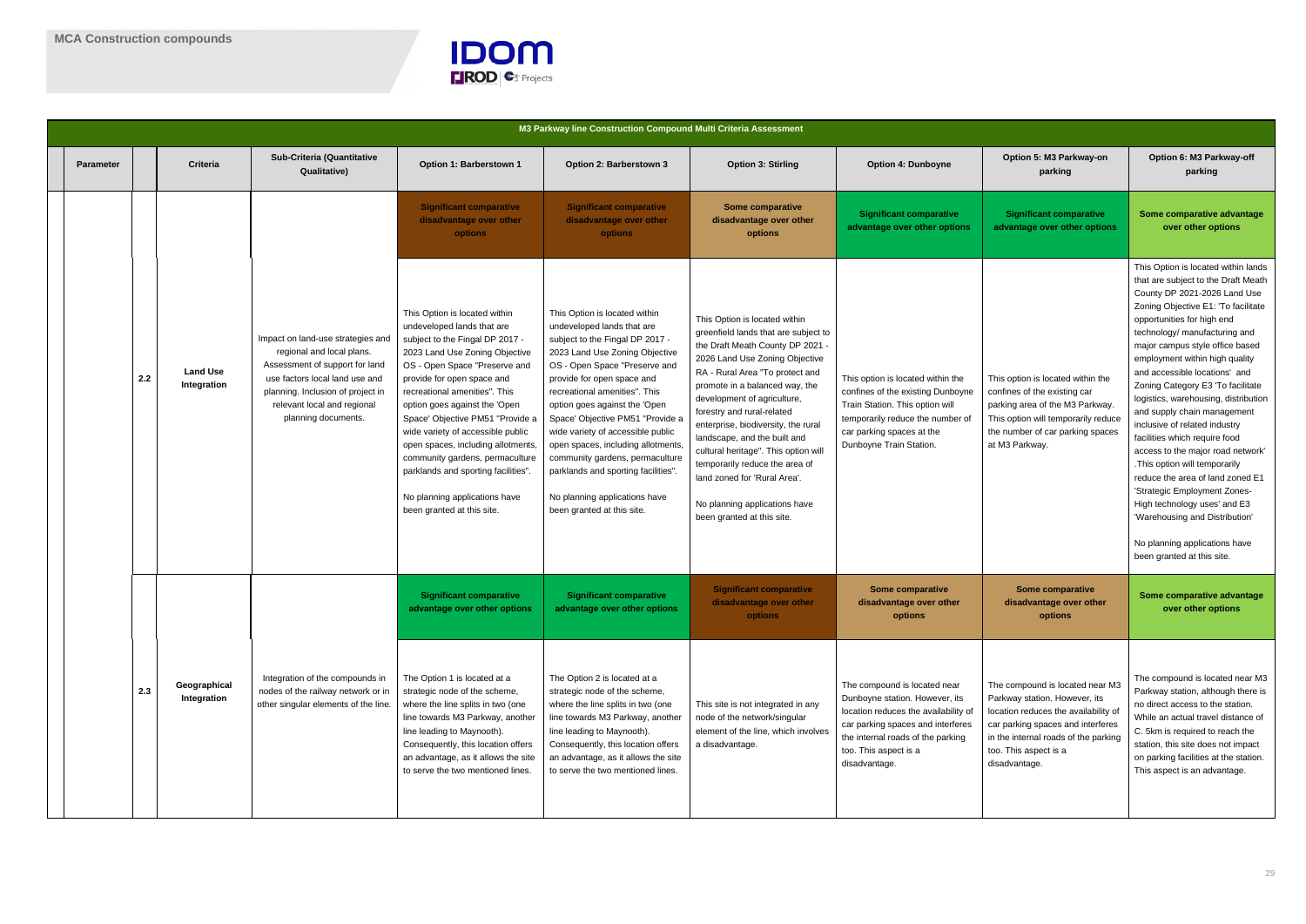

|                  |     |                                |                                                                                                                                                                                                                               |                                                                                                                                                                                                                                                                                                                                                                                                                                                                                                                           | M3 Parkway line Construction Compound Multi Criteria Assessment                                                                                                                                                                                                                                                                                                                                                                                                                                                          |                                                                                                                                                                                                                                                                                                                                                                                                                                                                                                                               |                                                                                                                                                                                                                            |                                                                                                                                                                                                                                 |                                                                                                                                                                                                                                                                                                                                                                                                                                                                                                                                                                                                                                                                                                                                                                                  |
|------------------|-----|--------------------------------|-------------------------------------------------------------------------------------------------------------------------------------------------------------------------------------------------------------------------------|---------------------------------------------------------------------------------------------------------------------------------------------------------------------------------------------------------------------------------------------------------------------------------------------------------------------------------------------------------------------------------------------------------------------------------------------------------------------------------------------------------------------------|--------------------------------------------------------------------------------------------------------------------------------------------------------------------------------------------------------------------------------------------------------------------------------------------------------------------------------------------------------------------------------------------------------------------------------------------------------------------------------------------------------------------------|-------------------------------------------------------------------------------------------------------------------------------------------------------------------------------------------------------------------------------------------------------------------------------------------------------------------------------------------------------------------------------------------------------------------------------------------------------------------------------------------------------------------------------|----------------------------------------------------------------------------------------------------------------------------------------------------------------------------------------------------------------------------|---------------------------------------------------------------------------------------------------------------------------------------------------------------------------------------------------------------------------------|----------------------------------------------------------------------------------------------------------------------------------------------------------------------------------------------------------------------------------------------------------------------------------------------------------------------------------------------------------------------------------------------------------------------------------------------------------------------------------------------------------------------------------------------------------------------------------------------------------------------------------------------------------------------------------------------------------------------------------------------------------------------------------|
| <b>Parameter</b> |     | <b>Criteria</b>                | Sub-Criteria (Quantitative<br>Qualitative)                                                                                                                                                                                    | Option 1: Barberstown 1                                                                                                                                                                                                                                                                                                                                                                                                                                                                                                   | Option 2: Barberstown 3                                                                                                                                                                                                                                                                                                                                                                                                                                                                                                  | <b>Option 3: Stirling</b>                                                                                                                                                                                                                                                                                                                                                                                                                                                                                                     | <b>Option 4: Dunboyne</b>                                                                                                                                                                                                  | Option 5: M3 Parkway-on<br>parking                                                                                                                                                                                              | Option 6: M3 Parkway-off<br>parking                                                                                                                                                                                                                                                                                                                                                                                                                                                                                                                                                                                                                                                                                                                                              |
|                  |     |                                |                                                                                                                                                                                                                               | <b>Significant comparative</b><br>disadvantage over other<br><b>options</b>                                                                                                                                                                                                                                                                                                                                                                                                                                               | <b>Significant comparative</b><br>disadvantage over other<br>options                                                                                                                                                                                                                                                                                                                                                                                                                                                     | <b>Some comparative</b><br>disadvantage over other<br>options                                                                                                                                                                                                                                                                                                                                                                                                                                                                 | <b>Significant comparative</b><br>advantage over other options                                                                                                                                                             | <b>Significant comparative</b><br>advantage over other options                                                                                                                                                                  | Some comparative advantage<br>over other options                                                                                                                                                                                                                                                                                                                                                                                                                                                                                                                                                                                                                                                                                                                                 |
|                  | 2.2 | <b>Land Use</b><br>Integration | Impact on land-use strategies and<br>regional and local plans.<br>Assessment of support for land<br>use factors local land use and<br>planning. Inclusion of project in<br>relevant local and regional<br>planning documents. | This Option is located within<br>undeveloped lands that are<br>subject to the Fingal DP 2017 -<br>2023 Land Use Zoning Objective<br>OS - Open Space "Preserve and<br>provide for open space and<br>recreational amenities". This<br>option goes against the 'Open<br>Space' Objective PM51 "Provide a<br>wide variety of accessible public<br>open spaces, including allotments,<br>community gardens, permaculture<br>parklands and sporting facilities".<br>No planning applications have<br>been granted at this site. | This Option is located within<br>undeveloped lands that are<br>subject to the Fingal DP 2017 -<br>2023 Land Use Zoning Objective<br>OS - Open Space "Preserve and<br>provide for open space and<br>recreational amenities". This<br>option goes against the 'Open<br>Space' Objective PM51 "Provide a<br>wide variety of accessible public<br>open spaces, including allotments,<br>community gardens, permaculture<br>parklands and sporting facilities"<br>No planning applications have<br>been granted at this site. | This Option is located within<br>greenfield lands that are subject to<br>the Draft Meath County DP 2021 -<br>2026 Land Use Zoning Objective<br>RA - Rural Area "To protect and<br>promote in a balanced way, the<br>development of agriculture,<br>forestry and rural-related<br>enterprise, biodiversity, the rural<br>landscape, and the built and<br>cultural heritage". This option will<br>temporarily reduce the area of<br>land zoned for 'Rural Area'.<br>No planning applications have<br>been granted at this site. | This option is located within the<br>confines of the existing Dunboyne<br>Train Station. This option will<br>temporarily reduce the number of<br>car parking spaces at the<br>Dunboyne Train Station.                      | This option is located within the<br>confines of the existing car<br>parking area of the M3 Parkway.<br>This option will temporarily reduce<br>the number of car parking spaces<br>at M3 Parkway.                               | This Option is located within lands<br>that are subject to the Draft Meath<br>County DP 2021-2026 Land Use<br>Zoning Objective E1: 'To facilitate<br>opportunities for high end<br>technology/ manufacturing and<br>major campus style office based<br>employment within high quality<br>and accessible locations' and<br>Zoning Category E3 'To facilitate<br>logistics, warehousing, distribution<br>and supply chain management<br>inclusive of related industry<br>facilities which require food<br>access to the major road network'<br>. This option will temporarily<br>reduce the area of land zoned E1<br>'Strategic Employment Zones-<br>High technology uses' and E3<br>'Warehousing and Distribution'<br>No planning applications have<br>been granted at this site. |
|                  |     |                                |                                                                                                                                                                                                                               | <b>Significant comparative</b><br><b>Solutary of Senary Senarch Strutus</b>                                                                                                                                                                                                                                                                                                                                                                                                                                               | <b>Significant comparative</b><br>advantage over other options                                                                                                                                                                                                                                                                                                                                                                                                                                                           | <b>Significant comparative</b><br>disadvantage over other<br><b>options</b>                                                                                                                                                                                                                                                                                                                                                                                                                                                   | Some comparative<br>disadvantage over other<br>options                                                                                                                                                                     | Some comparative<br>disadvantage over other<br>options                                                                                                                                                                          | Some comparative advantage<br>over other options                                                                                                                                                                                                                                                                                                                                                                                                                                                                                                                                                                                                                                                                                                                                 |
|                  | 2.3 | Geographical<br>Integration    | Integration of the compounds in<br>nodes of the railway network or in<br>other singular elements of the line.                                                                                                                 | The Option 1 is located at a<br>strategic node of the scheme,<br>where the line splits in two (one<br>line towards M3 Parkway, another<br>line leading to Maynooth).<br>Consequently, this location offers<br>an advantage, as it allows the site<br>to serve the two mentioned lines.                                                                                                                                                                                                                                    | The Option 2 is located at a<br>strategic node of the scheme,<br>where the line splits in two (one<br>line towards M3 Parkway, another<br>line leading to Maynooth).<br>Consequently, this location offers<br>an advantage, as it allows the site<br>to serve the two mentioned lines.                                                                                                                                                                                                                                   | This site is not integrated in any<br>node of the network/singular<br>element of the line, which involves<br>a disadvantage.                                                                                                                                                                                                                                                                                                                                                                                                  | The compound is located near<br>Dunboyne station. However, its<br>location reduces the availability of<br>car parking spaces and interferes<br>the internal roads of the parking<br>too. This aspect is a<br>disadvantage. | The compound is located near M3<br>Parkway station. However, its<br>location reduces the availability of<br>car parking spaces and interferes<br>in the internal roads of the parking<br>too. This aspect is a<br>disadvantage. | The compound is located near M3<br>Parkway station, although there is<br>no direct access to the station.<br>While an actual travel distance of<br>C. 5km is required to reach the<br>station, this site does not impact<br>on parking facilities at the station.<br>This aspect is an advantage.                                                                                                                                                                                                                                                                                                                                                                                                                                                                                |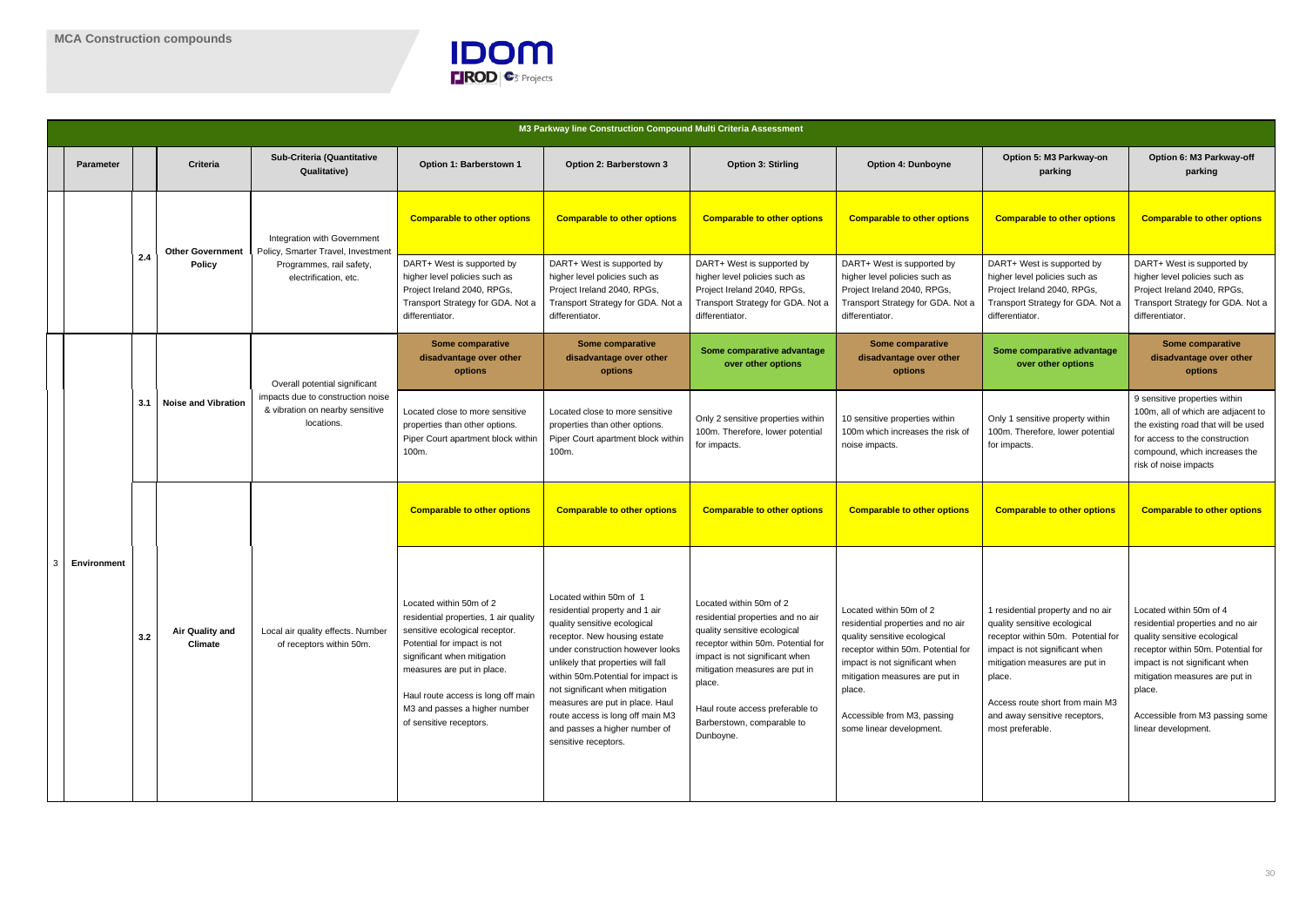

|  |                    |     |                                          |                                                                                    |                                                                                                                                                                                                                                                                                                  | M3 Parkway line Construction Compound Multi Criteria Assessment                                                                                                                                                                                                                                                                                                                                               |                                                                                                                                                                                                                                                                                                |                                                                                                                                                                                                                                                                             |                                                                                                                                                                                                                                                                               |                                                                                                                                                                                                                                                                            |
|--|--------------------|-----|------------------------------------------|------------------------------------------------------------------------------------|--------------------------------------------------------------------------------------------------------------------------------------------------------------------------------------------------------------------------------------------------------------------------------------------------|---------------------------------------------------------------------------------------------------------------------------------------------------------------------------------------------------------------------------------------------------------------------------------------------------------------------------------------------------------------------------------------------------------------|------------------------------------------------------------------------------------------------------------------------------------------------------------------------------------------------------------------------------------------------------------------------------------------------|-----------------------------------------------------------------------------------------------------------------------------------------------------------------------------------------------------------------------------------------------------------------------------|-------------------------------------------------------------------------------------------------------------------------------------------------------------------------------------------------------------------------------------------------------------------------------|----------------------------------------------------------------------------------------------------------------------------------------------------------------------------------------------------------------------------------------------------------------------------|
|  | <b>Parameter</b>   |     | <b>Criteria</b>                          | Sub-Criteria (Quantitative<br>Qualitative)                                         | Option 1: Barberstown 1                                                                                                                                                                                                                                                                          | Option 2: Barberstown 3                                                                                                                                                                                                                                                                                                                                                                                       | <b>Option 3: Stirling</b>                                                                                                                                                                                                                                                                      | <b>Option 4: Dunboyne</b>                                                                                                                                                                                                                                                   | Option 5: M3 Parkway-on<br>parking                                                                                                                                                                                                                                            | Option 6: M3 Parkway-off<br>parking                                                                                                                                                                                                                                        |
|  |                    |     | <b>Other Government</b><br><b>Policy</b> | Integration with Government<br>Policy, Smarter Travel, Investment                  | <b>Comparable to other options</b>                                                                                                                                                                                                                                                               | <b>Comparable to other options</b>                                                                                                                                                                                                                                                                                                                                                                            | <b>Comparable to other options</b>                                                                                                                                                                                                                                                             | <b>Comparable to other options</b>                                                                                                                                                                                                                                          | <b>Comparable to other options</b>                                                                                                                                                                                                                                            | <b>Comparable to other options</b>                                                                                                                                                                                                                                         |
|  |                    | 2.4 |                                          | Programmes, rail safety,<br>electrification, etc.                                  | DART+ West is supported by<br>higher level policies such as<br>Project Ireland 2040, RPGs,<br>Transport Strategy for GDA. Not a<br>differentiator.                                                                                                                                               | DART+ West is supported by<br>higher level policies such as<br>Project Ireland 2040, RPGs,<br>Transport Strategy for GDA. Not a<br>differentiator.                                                                                                                                                                                                                                                            | DART+ West is supported by<br>higher level policies such as<br>Project Ireland 2040, RPGs,<br>Transport Strategy for GDA. Not a<br>differentiator.                                                                                                                                             | DART+ West is supported by<br>higher level policies such as<br>Project Ireland 2040, RPGs,<br>Transport Strategy for GDA. Not a<br>differentiator.                                                                                                                          | DART+ West is supported by<br>higher level policies such as<br>Project Ireland 2040, RPGs,<br>Transport Strategy for GDA. Not a<br>differentiator.                                                                                                                            | DART+ West is supported by<br>higher level policies such as<br>Project Ireland 2040, RPGs,<br>Transport Strategy for GDA. Not a<br>differentiator.                                                                                                                         |
|  |                    |     |                                          | Overall potential significant                                                      | Some comparative<br>disadvantage over other<br>options                                                                                                                                                                                                                                           | <b>Some comparative</b><br>disadvantage over other<br>options                                                                                                                                                                                                                                                                                                                                                 | Some comparative advantage<br>over other options                                                                                                                                                                                                                                               | Some comparative<br>disadvantage over other<br>options                                                                                                                                                                                                                      | Some comparative advantage<br>over other options                                                                                                                                                                                                                              | <b>Some comparative</b><br>disadvantage over other<br>options                                                                                                                                                                                                              |
|  |                    | 3.1 | <b>Noise and Vibration</b>               | impacts due to construction noise<br>& vibration on nearby sensitive<br>locations. | Located close to more sensitive<br>properties than other options.<br>Piper Court apartment block within<br>100m.                                                                                                                                                                                 | Located close to more sensitive<br>properties than other options.<br>Piper Court apartment block within<br>100m.                                                                                                                                                                                                                                                                                              | Only 2 sensitive properties within<br>100m. Therefore, lower potential<br>for impacts.                                                                                                                                                                                                         | 10 sensitive properties within<br>100m which increases the risk of<br>noise impacts.                                                                                                                                                                                        | Only 1 sensitive property within<br>100m. Therefore, lower potential<br>for impacts.                                                                                                                                                                                          | 9 sensitive properties within<br>100m, all of which are adjacent to<br>the existing road that will be used<br>for access to the construction<br>compound, which increases the<br>risk of noise impacts                                                                     |
|  |                    |     |                                          |                                                                                    | <b>Comparable to other options</b>                                                                                                                                                                                                                                                               | <b>Comparable to other options</b>                                                                                                                                                                                                                                                                                                                                                                            | <b>Comparable to other options</b>                                                                                                                                                                                                                                                             | <b>Comparable to other options</b>                                                                                                                                                                                                                                          | <b>Comparable to other options</b>                                                                                                                                                                                                                                            | <b>Comparable to other options</b>                                                                                                                                                                                                                                         |
|  | <b>Environment</b> | 3.2 | Air Quality and<br><b>Climate</b>        | Local air quality effects. Number<br>of receptors within 50m.                      | Located within 50m of 2<br>residential properties, 1 air quality<br>sensitive ecological receptor.<br>Potential for impact is not<br>significant when mitigation<br>measures are put in place.<br>Haul route access is long off main<br>M3 and passes a higher number<br>of sensitive receptors. | Located within 50m of 1<br>residential property and 1 air<br>quality sensitive ecological<br>receptor. New housing estate<br>under construction however looks<br>unlikely that properties will fall<br>within 50m. Potential for impact is<br>not significant when mitigation<br>measures are put in place. Haul<br>route access is long off main M3<br>and passes a higher number of<br>sensitive receptors. | Located within 50m of 2<br>residential properties and no air<br>quality sensitive ecological<br>receptor within 50m. Potential for<br>impact is not significant when<br>mitigation measures are put in<br>place.<br>Haul route access preferable to<br>Barberstown, comparable to<br>Dunboyne. | Located within 50m of 2<br>residential properties and no air<br>quality sensitive ecological<br>receptor within 50m. Potential for<br>impact is not significant when<br>mitigation measures are put in<br>place.<br>Accessible from M3, passing<br>some linear development. | 1 residential property and no air<br>quality sensitive ecological<br>receptor within 50m. Potential for<br>impact is not significant when<br>mitigation measures are put in<br>place.<br>Access route short from main M3<br>and away sensitive receptors,<br>most preferable. | Located within 50m of 4<br>residential properties and no air<br>quality sensitive ecological<br>receptor within 50m. Potential for<br>impact is not significant when<br>mitigation measures are put in<br>place.<br>Accessible from M3 passing some<br>linear development. |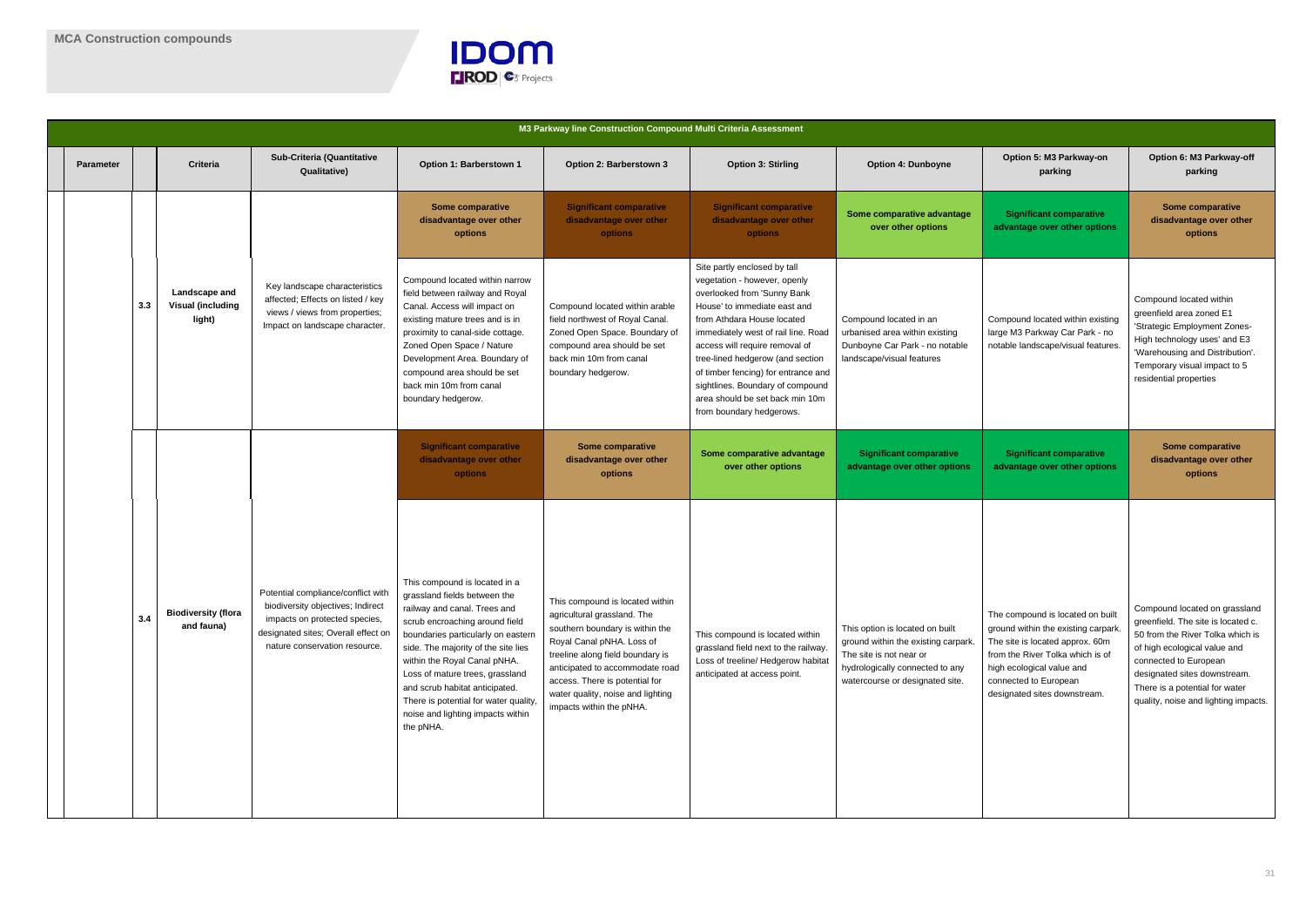

|                  |     |                                                     |                                                                                                                                                                                  |                                                                                                                                                                                                                                                                                                                                                                                                              | M3 Parkway line Construction Compound Multi Criteria Assessment                                                                                                                                                                                                                                          |                                                                                                                                                                                                                                                                                                                                                                                                                  |                                                                                                                                                                         |                                                                                                                                                                                                                                     |                                                                                                                                                                                                                                                                            |
|------------------|-----|-----------------------------------------------------|----------------------------------------------------------------------------------------------------------------------------------------------------------------------------------|--------------------------------------------------------------------------------------------------------------------------------------------------------------------------------------------------------------------------------------------------------------------------------------------------------------------------------------------------------------------------------------------------------------|----------------------------------------------------------------------------------------------------------------------------------------------------------------------------------------------------------------------------------------------------------------------------------------------------------|------------------------------------------------------------------------------------------------------------------------------------------------------------------------------------------------------------------------------------------------------------------------------------------------------------------------------------------------------------------------------------------------------------------|-------------------------------------------------------------------------------------------------------------------------------------------------------------------------|-------------------------------------------------------------------------------------------------------------------------------------------------------------------------------------------------------------------------------------|----------------------------------------------------------------------------------------------------------------------------------------------------------------------------------------------------------------------------------------------------------------------------|
| <b>Parameter</b> |     | Criteria                                            | <b>Sub-Criteria (Quantitative</b><br><b>Qualitative)</b>                                                                                                                         | Option 1: Barberstown 1                                                                                                                                                                                                                                                                                                                                                                                      | Option 2: Barberstown 3                                                                                                                                                                                                                                                                                  | <b>Option 3: Stirling</b>                                                                                                                                                                                                                                                                                                                                                                                        | <b>Option 4: Dunboyne</b>                                                                                                                                               | Option 5: M3 Parkway-on<br>parking                                                                                                                                                                                                  | Option 6: M3 Parkway-off<br>parking                                                                                                                                                                                                                                        |
|                  |     |                                                     | Key landscape characteristics<br>affected; Effects on listed / key<br>views / views from properties;<br>Impact on landscape character.                                           | <b>Some comparative</b><br>disadvantage over other<br>options                                                                                                                                                                                                                                                                                                                                                | <b>Significant comparative</b><br>disadvantage over other<br><b>options</b>                                                                                                                                                                                                                              | <b>Significant comparative</b><br>disadvantage over other<br><b>options</b>                                                                                                                                                                                                                                                                                                                                      | Some comparative advantage<br>over other options                                                                                                                        | <b>Significant comparative</b><br>advantage over other options                                                                                                                                                                      | <b>Some comparative</b><br>disadvantage over other<br>options                                                                                                                                                                                                              |
|                  | 3.3 | Landscape and<br><b>Visual (including</b><br>light) |                                                                                                                                                                                  | Compound located within narrow<br>field between railway and Royal<br>Canal. Access will impact on<br>existing mature trees and is in<br>proximity to canal-side cottage.<br>Zoned Open Space / Nature<br>Development Area. Boundary of<br>compound area should be set<br>back min 10m from canal<br>boundary hedgerow.                                                                                       | Compound located within arable<br>field northwest of Royal Canal.<br>Zoned Open Space. Boundary of<br>compound area should be set<br>back min 10m from canal<br>boundary hedgerow.                                                                                                                       | Site partly enclosed by tall<br>vegetation - however, openly<br>overlooked from 'Sunny Bank<br>House' to immediate east and<br>from Athdara House located<br>immediately west of rail line. Road<br>access will require removal of<br>tree-lined hedgerow (and section<br>of timber fencing) for entrance and<br>sightlines. Boundary of compound<br>area should be set back min 10m<br>from boundary hedgerows. | Compound located in an<br>urbanised area within existing<br>Dunboyne Car Park - no notable<br>landscape/visual features                                                 | Compound located within existing<br>large M3 Parkway Car Park - no<br>notable landscape/visual features.                                                                                                                            | Compound located within<br>greenfield area zoned E1<br>'Strategic Employment Zones-<br>High technology uses' and E3<br>'Warehousing and Distribution'.<br>Temporary visual impact to 5<br>residential properties                                                           |
|                  |     |                                                     |                                                                                                                                                                                  | <b>Significant comparative</b><br>disadvantage over other<br>options                                                                                                                                                                                                                                                                                                                                         | Some comparative<br>disadvantage over other<br>options                                                                                                                                                                                                                                                   | Some comparative advantage<br>over other options                                                                                                                                                                                                                                                                                                                                                                 | <b>Significant comparative</b><br>advantage over other options                                                                                                          | <b>Significant comparative</b><br>advantage over other options                                                                                                                                                                      | <b>Some comparative</b><br>disadvantage over other<br>options                                                                                                                                                                                                              |
|                  | 3.4 | <b>Biodiversity (flora</b><br>and fauna)            | Potential compliance/conflict with<br>biodiversity objectives; Indirect<br>impacts on protected species,<br>designated sites; Overall effect on<br>nature conservation resource. | This compound is located in a<br>grassland fields between the<br>railway and canal. Trees and<br>scrub encroaching around field<br>boundaries particularly on eastern<br>side. The majority of the site lies<br>within the Royal Canal pNHA.<br>Loss of mature trees, grassland<br>and scrub habitat anticipated.<br>There is potential for water quality,<br>noise and lighting impacts within<br>the pNHA. | This compound is located within<br>agricultural grassland. The<br>southern boundary is within the<br>Royal Canal pNHA. Loss of<br>treeline along field boundary is<br>anticipated to accommodate road<br>access. There is potential for<br>water quality, noise and lighting<br>impacts within the pNHA. | This compound is located within<br>grassland field next to the railway.<br>Loss of treeline/ Hedgerow habitat<br>anticipated at access point.                                                                                                                                                                                                                                                                    | This option is located on built<br>ground within the existing carpark.<br>The site is not near or<br>hydrologically connected to any<br>watercourse or designated site. | The compound is located on built<br>ground within the existing carpark<br>The site is located approx. 60m<br>from the River Tolka which is of<br>high ecological value and<br>connected to European<br>designated sites downstream. | Compound located on grassland<br>greenfield. The site is located c.<br>50 from the River Tolka which is<br>of high ecological value and<br>connected to European<br>designated sites downstream.<br>There is a potential for water<br>quality, noise and lighting impacts. |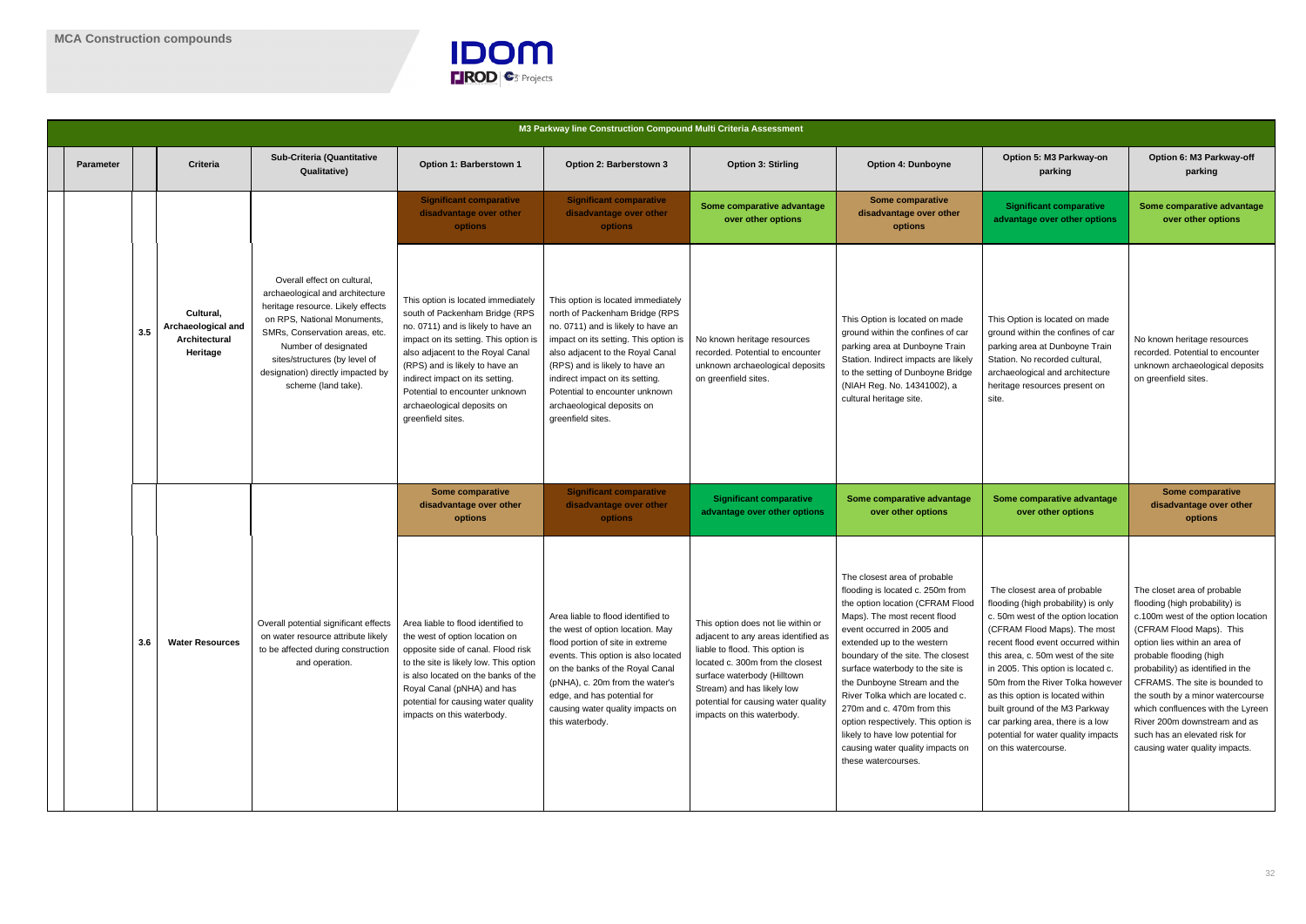

|                  |     |                                                              |                                                                                                                                                                                                                                                                                           |                                                                                                                                                                                                                                                                                                                                                   | M3 Parkway line Construction Compound Multi Criteria Assessment                                                                                                                                                                                                                                                                                   |                                                                                                                                                                                                                                                                                    |                                                                                                                                                                                                                                                                                                                                                                                                                                                                                                                  |                                                                                                                                                                                                                                                                                                                                                                                                                                                                          |                                                                                                                                                                                                                                                                                                                                                                                                                                                |
|------------------|-----|--------------------------------------------------------------|-------------------------------------------------------------------------------------------------------------------------------------------------------------------------------------------------------------------------------------------------------------------------------------------|---------------------------------------------------------------------------------------------------------------------------------------------------------------------------------------------------------------------------------------------------------------------------------------------------------------------------------------------------|---------------------------------------------------------------------------------------------------------------------------------------------------------------------------------------------------------------------------------------------------------------------------------------------------------------------------------------------------|------------------------------------------------------------------------------------------------------------------------------------------------------------------------------------------------------------------------------------------------------------------------------------|------------------------------------------------------------------------------------------------------------------------------------------------------------------------------------------------------------------------------------------------------------------------------------------------------------------------------------------------------------------------------------------------------------------------------------------------------------------------------------------------------------------|--------------------------------------------------------------------------------------------------------------------------------------------------------------------------------------------------------------------------------------------------------------------------------------------------------------------------------------------------------------------------------------------------------------------------------------------------------------------------|------------------------------------------------------------------------------------------------------------------------------------------------------------------------------------------------------------------------------------------------------------------------------------------------------------------------------------------------------------------------------------------------------------------------------------------------|
| <b>Parameter</b> |     | Criteria                                                     | Sub-Criteria (Quantitative<br><b>Qualitative)</b>                                                                                                                                                                                                                                         | Option 1: Barberstown 1                                                                                                                                                                                                                                                                                                                           | Option 2: Barberstown 3                                                                                                                                                                                                                                                                                                                           | <b>Option 3: Stirling</b>                                                                                                                                                                                                                                                          | <b>Option 4: Dunboyne</b>                                                                                                                                                                                                                                                                                                                                                                                                                                                                                        | Option 5: M3 Parkway-on<br>parking                                                                                                                                                                                                                                                                                                                                                                                                                                       | Option 6: M3 Parkway-off<br>parking                                                                                                                                                                                                                                                                                                                                                                                                            |
|                  |     |                                                              |                                                                                                                                                                                                                                                                                           | <b>Significant comparative</b><br>disadvantage over other<br><b>options</b>                                                                                                                                                                                                                                                                       | <b>Significant comparative</b><br>disadvantage over other<br>options                                                                                                                                                                                                                                                                              | Some comparative advantage<br>over other options                                                                                                                                                                                                                                   | <b>Some comparative</b><br>disadvantage over other<br>options                                                                                                                                                                                                                                                                                                                                                                                                                                                    | <b>Significant comparative</b><br>advantage over other options                                                                                                                                                                                                                                                                                                                                                                                                           | Some comparative advantage<br>over other options                                                                                                                                                                                                                                                                                                                                                                                               |
|                  | 3.5 | Cultural,<br>Archaeological and<br>Architectural<br>Heritage | Overall effect on cultural,<br>archaeological and architecture<br>heritage resource. Likely effects<br>on RPS, National Monuments,<br>SMRs, Conservation areas, etc.<br>Number of designated<br>sites/structures (by level of<br>designation) directly impacted by<br>scheme (land take). | This option is located immediately<br>south of Packenham Bridge (RPS<br>no. 0711) and is likely to have an<br>impact on its setting. This option is<br>also adjacent to the Royal Canal<br>(RPS) and is likely to have an<br>indirect impact on its setting.<br>Potential to encounter unknown<br>archaeological deposits on<br>greenfield sites. | This option is located immediately<br>north of Packenham Bridge (RPS<br>no. 0711) and is likely to have an<br>impact on its setting. This option is<br>also adjacent to the Royal Canal<br>(RPS) and is likely to have an<br>indirect impact on its setting.<br>Potential to encounter unknown<br>archaeological deposits on<br>greenfield sites. | No known heritage resources<br>recorded. Potential to encounter<br>unknown archaeological deposits<br>on greenfield sites.                                                                                                                                                         | This Option is located on made<br>ground within the confines of car<br>parking area at Dunboyne Train<br>Station. Indirect impacts are likely<br>to the setting of Dunboyne Bridge<br>(NIAH Reg. No. 14341002), a<br>cultural heritage site.                                                                                                                                                                                                                                                                     | This Option is located on made<br>ground within the confines of car<br>parking area at Dunboyne Train<br>Station. No recorded cultural,<br>archaeological and architecture<br>heritage resources present on<br>site.                                                                                                                                                                                                                                                     | No known heritage resources<br>recorded. Potential to encounter<br>unknown archaeological deposits<br>on greenfield sites.                                                                                                                                                                                                                                                                                                                     |
|                  |     |                                                              |                                                                                                                                                                                                                                                                                           | Some comparative<br>disadvantage over other<br>options                                                                                                                                                                                                                                                                                            | <b>Significant comparative</b><br>disadvantage over other<br>options                                                                                                                                                                                                                                                                              | <b>Significant comparative</b><br>advantage over other options                                                                                                                                                                                                                     | Some comparative advantage<br>over other options                                                                                                                                                                                                                                                                                                                                                                                                                                                                 | Some comparative advantage<br>over other options                                                                                                                                                                                                                                                                                                                                                                                                                         | Some comparative<br>disadvantage over other<br>options                                                                                                                                                                                                                                                                                                                                                                                         |
|                  | 3.6 | <b>Water Resources</b>                                       | Overall potential significant effects<br>on water resource attribute likely<br>to be affected during construction<br>and operation.                                                                                                                                                       | Area liable to flood identified to<br>the west of option location on<br>opposite side of canal. Flood risk<br>to the site is likely low. This option<br>is also located on the banks of the<br>Royal Canal (pNHA) and has<br>potential for causing water quality<br>impacts on this waterbody.                                                    | Area liable to flood identified to<br>the west of option location. May<br>flood portion of site in extreme<br>events. This option is also located<br>on the banks of the Royal Canal<br>(pNHA), c. 20m from the water's<br>edge, and has potential for<br>causing water quality impacts on<br>this waterbody.                                     | This option does not lie within or<br>adjacent to any areas identified as<br>liable to flood. This option is<br>located c. 300m from the closest<br>surface waterbody (Hilltown<br>Stream) and has likely low<br>potential for causing water quality<br>impacts on this waterbody. | The closest area of probable<br>flooding is located c. 250m from<br>the option location (CFRAM Flood<br>Maps). The most recent flood<br>event occurred in 2005 and<br>extended up to the western<br>boundary of the site. The closest<br>surface waterbody to the site is<br>the Dunboyne Stream and the<br>River Tolka which are located c.<br>270m and c. 470m from this<br>option respectively. This option is<br>likely to have low potential for<br>causing water quality impacts on<br>these watercourses. | The closest area of probable<br>flooding (high probability) is only<br>c. 50m west of the option location<br>(CFRAM Flood Maps). The most<br>recent flood event occurred within<br>this area, c. 50m west of the site<br>in 2005. This option is located c.<br>50m from the River Tolka however<br>as this option is located within<br>built ground of the M3 Parkway<br>car parking area, there is a low<br>potential for water quality impacts<br>on this watercourse. | The closet area of probable<br>flooding (high probability) is<br>c.100m west of the option location<br>(CFRAM Flood Maps). This<br>option lies within an area of<br>probable flooding (high<br>probability) as identified in the<br>CFRAMS. The site is bounded to<br>the south by a minor watercourse<br>which confluences with the Lyreen<br>River 200m downstream and as<br>such has an elevated risk for<br>causing water quality impacts. |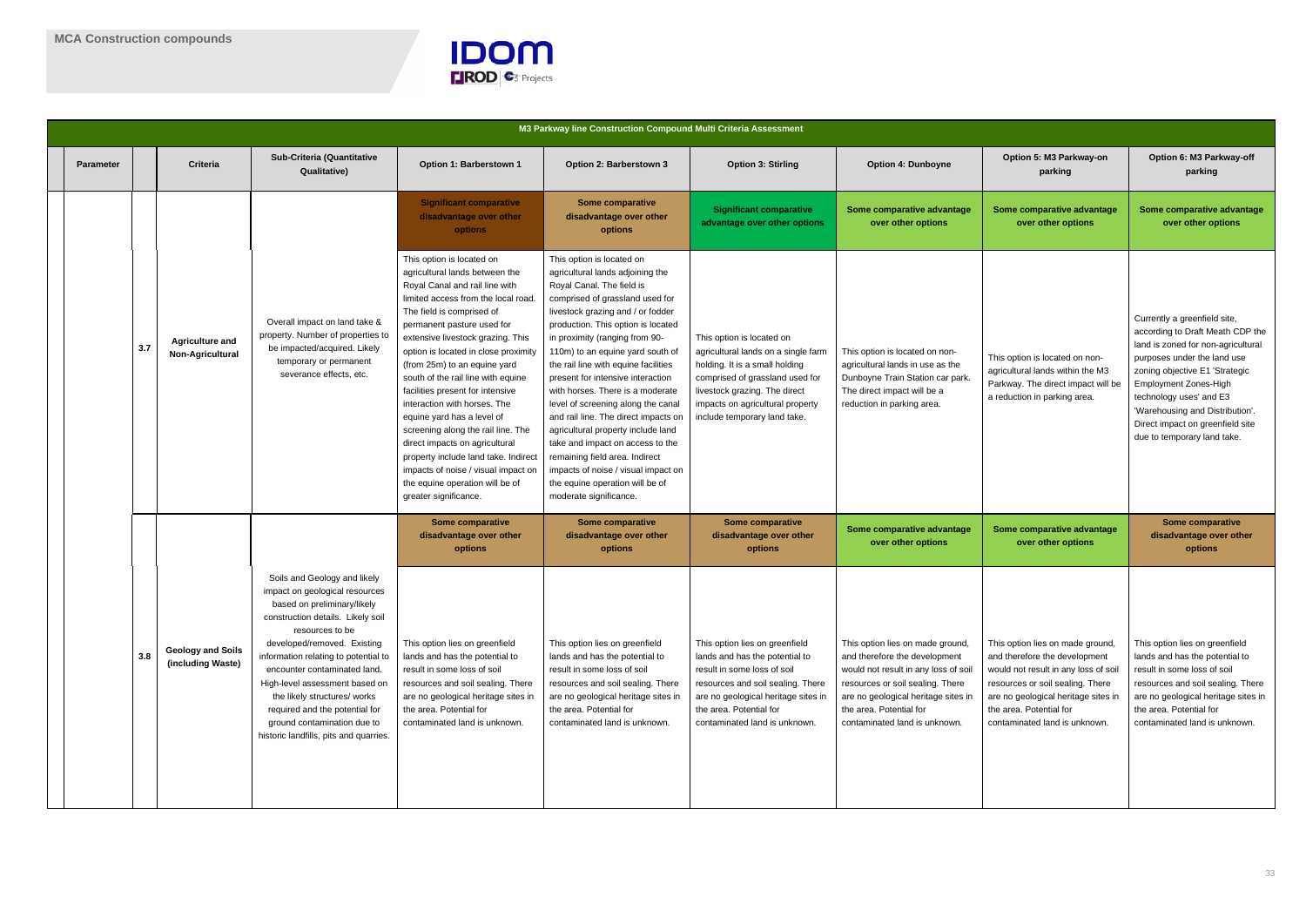

|  | M3 Parkway line Construction Compound Multi Criteria Assessment |     |                                               |                                                                                                                                                                                                                                                                                                                                                                                                                                           |                                                                                                                                                                                                                                                                                                                                                                                                                                                                                                                                                                                                                                                                         |                                                                                                                                                                                                                                                                                                                                                                                                                                                                                                                                                                                                                                                                                               |                                                                                                                                                                                                                                            |                                                                                                                                                                                                                                                 |                                                                                                                                                                                                                                                  |                                                                                                                                                                                                                                                                                                                                   |
|--|-----------------------------------------------------------------|-----|-----------------------------------------------|-------------------------------------------------------------------------------------------------------------------------------------------------------------------------------------------------------------------------------------------------------------------------------------------------------------------------------------------------------------------------------------------------------------------------------------------|-------------------------------------------------------------------------------------------------------------------------------------------------------------------------------------------------------------------------------------------------------------------------------------------------------------------------------------------------------------------------------------------------------------------------------------------------------------------------------------------------------------------------------------------------------------------------------------------------------------------------------------------------------------------------|-----------------------------------------------------------------------------------------------------------------------------------------------------------------------------------------------------------------------------------------------------------------------------------------------------------------------------------------------------------------------------------------------------------------------------------------------------------------------------------------------------------------------------------------------------------------------------------------------------------------------------------------------------------------------------------------------|--------------------------------------------------------------------------------------------------------------------------------------------------------------------------------------------------------------------------------------------|-------------------------------------------------------------------------------------------------------------------------------------------------------------------------------------------------------------------------------------------------|--------------------------------------------------------------------------------------------------------------------------------------------------------------------------------------------------------------------------------------------------|-----------------------------------------------------------------------------------------------------------------------------------------------------------------------------------------------------------------------------------------------------------------------------------------------------------------------------------|
|  | <b>Parameter</b>                                                |     | <b>Criteria</b>                               | <b>Sub-Criteria (Quantitative</b><br><b>Qualitative)</b>                                                                                                                                                                                                                                                                                                                                                                                  | Option 1: Barberstown 1                                                                                                                                                                                                                                                                                                                                                                                                                                                                                                                                                                                                                                                 | Option 2: Barberstown 3                                                                                                                                                                                                                                                                                                                                                                                                                                                                                                                                                                                                                                                                       | <b>Option 3: Stirling</b>                                                                                                                                                                                                                  | <b>Option 4: Dunboyne</b>                                                                                                                                                                                                                       | Option 5: M3 Parkway-on<br>parking                                                                                                                                                                                                               | Option 6: M3 Parkway-off<br>parking                                                                                                                                                                                                                                                                                               |
|  |                                                                 | 3.7 | <b>Agriculture and</b><br>Non-Agricultural    | Overall impact on land take &<br>property. Number of properties to<br>be impacted/acquired. Likely<br>temporary or permanent<br>severance effects, etc.                                                                                                                                                                                                                                                                                   | <b>Significant comparative</b><br>disadvantage over other<br>options                                                                                                                                                                                                                                                                                                                                                                                                                                                                                                                                                                                                    | <b>Some comparative</b><br>disadvantage over other<br>options                                                                                                                                                                                                                                                                                                                                                                                                                                                                                                                                                                                                                                 | <b>Significant comparative</b><br>advantage over other options                                                                                                                                                                             | Some comparative advantage<br>over other options                                                                                                                                                                                                | Some comparative advantage<br>over other options                                                                                                                                                                                                 | Some comparative advantage<br>over other options                                                                                                                                                                                                                                                                                  |
|  |                                                                 |     |                                               |                                                                                                                                                                                                                                                                                                                                                                                                                                           | This option is located on<br>agricultural lands between the<br>Royal Canal and rail line with<br>limited access from the local road.<br>The field is comprised of<br>permanent pasture used for<br>extensive livestock grazing. This<br>option is located in close proximity<br>(from 25m) to an equine yard<br>south of the rail line with equine<br>facilities present for intensive<br>interaction with horses. The<br>equine yard has a level of<br>screening along the rail line. The<br>direct impacts on agricultural<br>property include land take. Indirect<br>impacts of noise / visual impact on<br>the equine operation will be of<br>greater significance. | This option is located on<br>agricultural lands adjoining the<br>Royal Canal. The field is<br>comprised of grassland used for<br>livestock grazing and / or fodder<br>production. This option is located<br>in proximity (ranging from 90-<br>110m) to an equine yard south of<br>the rail line with equine facilities<br>present for intensive interaction<br>with horses. There is a moderate<br>level of screening along the canal<br>and rail line. The direct impacts on<br>agricultural property include land<br>take and impact on access to the<br>remaining field area. Indirect<br>impacts of noise / visual impact on<br>the equine operation will be of<br>moderate significance. | This option is located on<br>agricultural lands on a single farm<br>holding. It is a small holding<br>comprised of grassland used for<br>livestock grazing. The direct<br>impacts on agricultural property<br>include temporary land take. | This option is located on non-<br>agricultural lands in use as the<br>Dunboyne Train Station car park.<br>The direct impact will be a<br>reduction in parking area.                                                                             | This option is located on non-<br>agricultural lands within the M3<br>Parkway. The direct impact will be<br>a reduction in parking area.                                                                                                         | Currently a greenfield site,<br>according to Draft Meath CDP the<br>land is zoned for non-agricultural<br>purposes under the land use<br>zoning objective E1 'Strategic<br>Employment Zones-High<br>technology uses' and E3<br>'Warehousing and Distribution'.<br>Direct impact on greenfield site<br>due to temporary land take. |
|  |                                                                 |     |                                               |                                                                                                                                                                                                                                                                                                                                                                                                                                           | <b>Some comparative</b><br>disadvantage over other<br>options                                                                                                                                                                                                                                                                                                                                                                                                                                                                                                                                                                                                           | <b>Some comparative</b><br>disadvantage over other<br>options                                                                                                                                                                                                                                                                                                                                                                                                                                                                                                                                                                                                                                 | <b>Some comparative</b><br>disadvantage over other<br>options                                                                                                                                                                              | Some comparative advantage<br>over other options                                                                                                                                                                                                | Some comparative advantage<br>over other options                                                                                                                                                                                                 | <b>Some comparative</b><br>disadvantage over other<br>options                                                                                                                                                                                                                                                                     |
|  |                                                                 | 3.8 | <b>Geology and Soils</b><br>(including Waste) | Soils and Geology and likely<br>impact on geological resources<br>based on preliminary/likely<br>construction details. Likely soil<br>resources to be<br>developed/removed. Existing<br>information relating to potential to<br>encounter contaminated land.<br>High-level assessment based on<br>the likely structures/ works<br>required and the potential for<br>ground contamination due to<br>historic landfills, pits and quarries. | This option lies on greenfield<br>lands and has the potential to<br>result in some loss of soil<br>resources and soil sealing. There<br>are no geological heritage sites in<br>the area. Potential for<br>contaminated land is unknown.                                                                                                                                                                                                                                                                                                                                                                                                                                 | This option lies on greenfield<br>lands and has the potential to<br>result in some loss of soil<br>resources and soil sealing. There<br>are no geological heritage sites in<br>the area. Potential for<br>contaminated land is unknown.                                                                                                                                                                                                                                                                                                                                                                                                                                                       | This option lies on greenfield<br>lands and has the potential to<br>result in some loss of soil<br>resources and soil sealing. There<br>are no geological heritage sites in<br>the area. Potential for<br>contaminated land is unknown.    | This option lies on made ground<br>and therefore the development<br>would not result in any loss of soil<br>resources or soil sealing. There<br>are no geological heritage sites in<br>the area. Potential for<br>contaminated land is unknown. | This option lies on made ground,<br>and therefore the development<br>would not result in any loss of soil<br>resources or soil sealing. There<br>are no geological heritage sites in<br>the area. Potential for<br>contaminated land is unknown. | This option lies on greenfield<br>lands and has the potential to<br>result in some loss of soil<br>resources and soil sealing. There<br>are no geological heritage sites in<br>the area. Potential for<br>contaminated land is unknown.                                                                                           |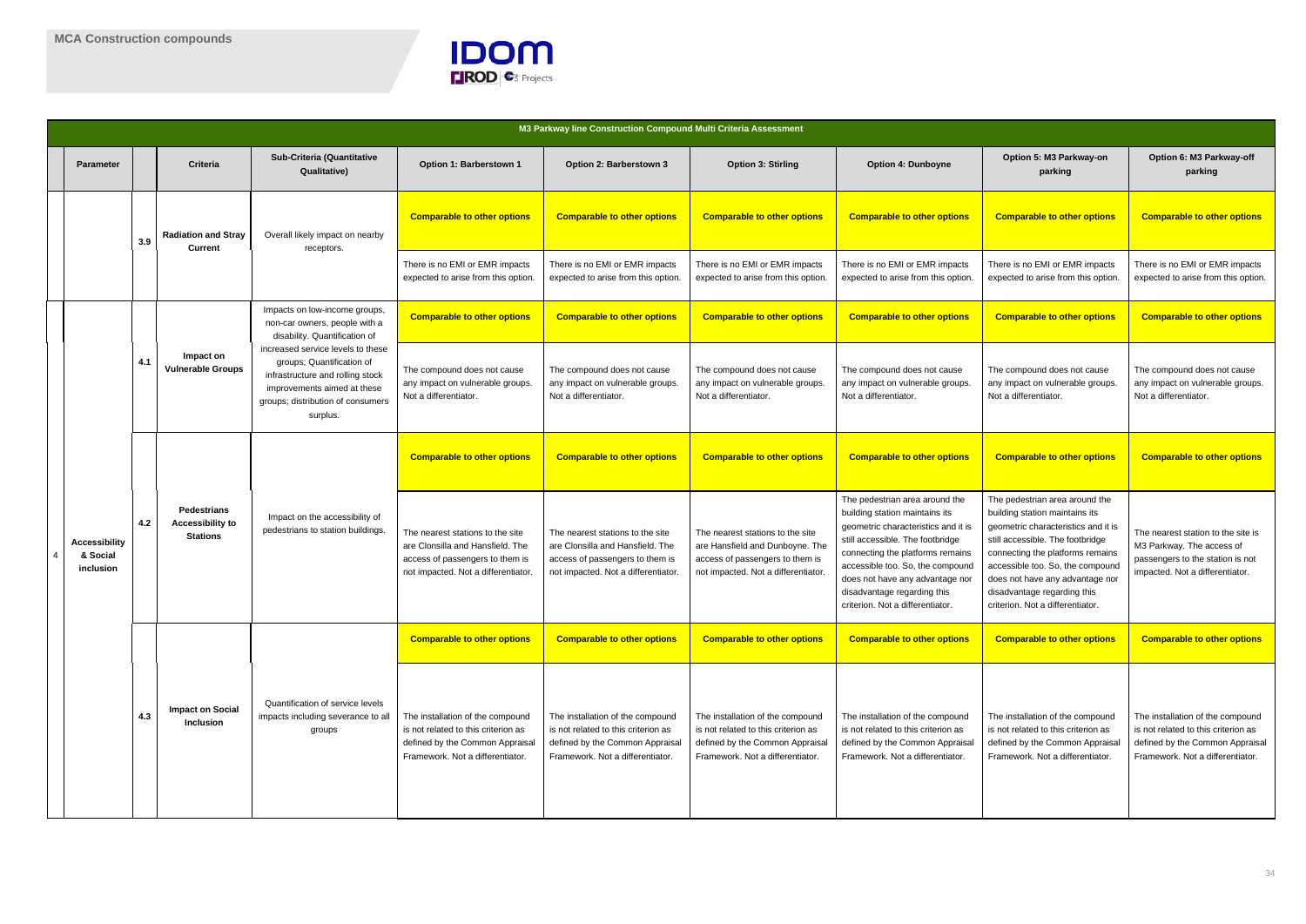

|  | M3 Parkway line Construction Compound Multi Criteria Assessment |     |                                                                  |                                                                                                                                                                                    |                                                                                                                                                |                                                                                                                                                |                                                                                                                                                |                                                                                                                                                                                                                                                                                                                           |                                                                                                                                                                                                                                                                                                                          |                                                                                                                                                |
|--|-----------------------------------------------------------------|-----|------------------------------------------------------------------|------------------------------------------------------------------------------------------------------------------------------------------------------------------------------------|------------------------------------------------------------------------------------------------------------------------------------------------|------------------------------------------------------------------------------------------------------------------------------------------------|------------------------------------------------------------------------------------------------------------------------------------------------|---------------------------------------------------------------------------------------------------------------------------------------------------------------------------------------------------------------------------------------------------------------------------------------------------------------------------|--------------------------------------------------------------------------------------------------------------------------------------------------------------------------------------------------------------------------------------------------------------------------------------------------------------------------|------------------------------------------------------------------------------------------------------------------------------------------------|
|  | <b>Parameter</b>                                                |     | <b>Criteria</b>                                                  | <b>Sub-Criteria (Quantitative</b><br><b>Qualitative)</b>                                                                                                                           | Option 1: Barberstown 1                                                                                                                        | Option 2: Barberstown 3                                                                                                                        | <b>Option 3: Stirling</b>                                                                                                                      | <b>Option 4: Dunboyne</b>                                                                                                                                                                                                                                                                                                 | Option 5: M3 Parkway-on<br>parking                                                                                                                                                                                                                                                                                       | Option 6: M3 Parkway-off<br>parking                                                                                                            |
|  |                                                                 | 3.9 | <b>Radiation and Stray</b><br><b>Current</b>                     | Overall likely impact on nearby<br>receptors.                                                                                                                                      | <b>Comparable to other options</b>                                                                                                             | <b>Comparable to other options</b>                                                                                                             | <b>Comparable to other options</b>                                                                                                             | <b>Comparable to other options</b>                                                                                                                                                                                                                                                                                        | <b>Comparable to other options</b>                                                                                                                                                                                                                                                                                       | <b>Comparable to other options</b>                                                                                                             |
|  |                                                                 |     |                                                                  |                                                                                                                                                                                    | There is no EMI or EMR impacts<br>expected to arise from this option.                                                                          | There is no EMI or EMR impacts<br>expected to arise from this option.                                                                          | There is no EMI or EMR impacts<br>expected to arise from this option                                                                           | There is no EMI or EMR impacts<br>expected to arise from this option                                                                                                                                                                                                                                                      | There is no EMI or EMR impacts<br>expected to arise from this option                                                                                                                                                                                                                                                     | There is no EMI or EMR impacts<br>expected to arise from this option.                                                                          |
|  | <b>Accessibility</b><br>& Social<br>inclusion                   | 4.1 | Impact on<br><b>Vulnerable Groups</b>                            | Impacts on low-income groups,<br>non-car owners, people with a<br>disability. Quantification of                                                                                    | <b>Comparable to other options</b>                                                                                                             | <b>Comparable to other options</b>                                                                                                             | <b>Comparable to other options</b>                                                                                                             | <b>Comparable to other options</b>                                                                                                                                                                                                                                                                                        | <b>Comparable to other options</b>                                                                                                                                                                                                                                                                                       | <b>Comparable to other options</b>                                                                                                             |
|  |                                                                 |     |                                                                  | increased service levels to these<br>groups; Quantification of<br>infrastructure and rolling stock<br>improvements aimed at these<br>groups; distribution of consumers<br>surplus. | The compound does not cause<br>any impact on vulnerable groups.<br>Not a differentiator.                                                       | The compound does not cause<br>any impact on vulnerable groups.<br>Not a differentiator.                                                       | The compound does not cause<br>any impact on vulnerable groups.<br>Not a differentiator.                                                       | The compound does not cause<br>any impact on vulnerable groups<br>Not a differentiator.                                                                                                                                                                                                                                   | The compound does not cause<br>any impact on vulnerable groups<br>Not a differentiator.                                                                                                                                                                                                                                  | The compound does not cause<br>any impact on vulnerable groups.<br>Not a differentiator.                                                       |
|  |                                                                 | 4.2 | <b>Pedestrians</b><br><b>Accessibility to</b><br><b>Stations</b> | Impact on the accessibility of<br>pedestrians to station buildings.                                                                                                                | <b>Comparable to other options</b>                                                                                                             | <b>Comparable to other options</b>                                                                                                             | <b>Comparable to other options</b>                                                                                                             | <b>Comparable to other options</b>                                                                                                                                                                                                                                                                                        | <b>Comparable to other options</b>                                                                                                                                                                                                                                                                                       | <b>Comparable to other options</b>                                                                                                             |
|  |                                                                 |     |                                                                  |                                                                                                                                                                                    | The nearest stations to the site<br>are Clonsilla and Hansfield. The<br>access of passengers to them is<br>not impacted. Not a differentiator. | The nearest stations to the site<br>are Clonsilla and Hansfield. The<br>access of passengers to them is<br>not impacted. Not a differentiator  | The nearest stations to the site<br>are Hansfield and Dunboyne. The<br>access of passengers to them is<br>not impacted. Not a differentiator.  | The pedestrian area around the<br>building station maintains its<br>geometric characteristics and it is<br>still accessible. The footbridge<br>connecting the platforms remains<br>accessible too. So, the compound<br>does not have any advantage nor<br>disadvantage regarding this<br>criterion. Not a differentiator. | The pedestrian area around the<br>building station maintains its<br>geometric characteristics and it is<br>still accessible. The footbridge<br>connecting the platforms remains<br>accessible too. So, the compound<br>does not have any advantage nor<br>disadvantage regarding this<br>criterion. Not a differentiator | The nearest station to the site is<br>M3 Parkway. The access of<br>passengers to the station is not<br>impacted. Not a differentiator.         |
|  |                                                                 |     |                                                                  |                                                                                                                                                                                    | <b>Comparable to other options</b>                                                                                                             | <b>Comparable to other options</b>                                                                                                             | <b>Comparable to other options</b>                                                                                                             | <b>Comparable to other options</b>                                                                                                                                                                                                                                                                                        | <b>Comparable to other options</b>                                                                                                                                                                                                                                                                                       | <b>Comparable to other options</b>                                                                                                             |
|  |                                                                 | 4.3 | <b>Impact on Social</b><br>Inclusion                             | Quantification of service levels<br>impacts including severance to all<br>groups                                                                                                   | The installation of the compound<br>is not related to this criterion as<br>defined by the Common Appraisal<br>Framework. Not a differentiator. | The installation of the compound<br>is not related to this criterion as<br>defined by the Common Appraisal<br>Framework. Not a differentiator. | The installation of the compound<br>is not related to this criterion as<br>defined by the Common Appraisal<br>Framework. Not a differentiator. | The installation of the compound<br>is not related to this criterion as<br>defined by the Common Appraisal<br>Framework. Not a differentiator.                                                                                                                                                                            | The installation of the compound<br>is not related to this criterion as<br>defined by the Common Appraisal<br>Framework. Not a differentiator.                                                                                                                                                                           | The installation of the compound<br>is not related to this criterion as<br>defined by the Common Appraisal<br>Framework. Not a differentiator. |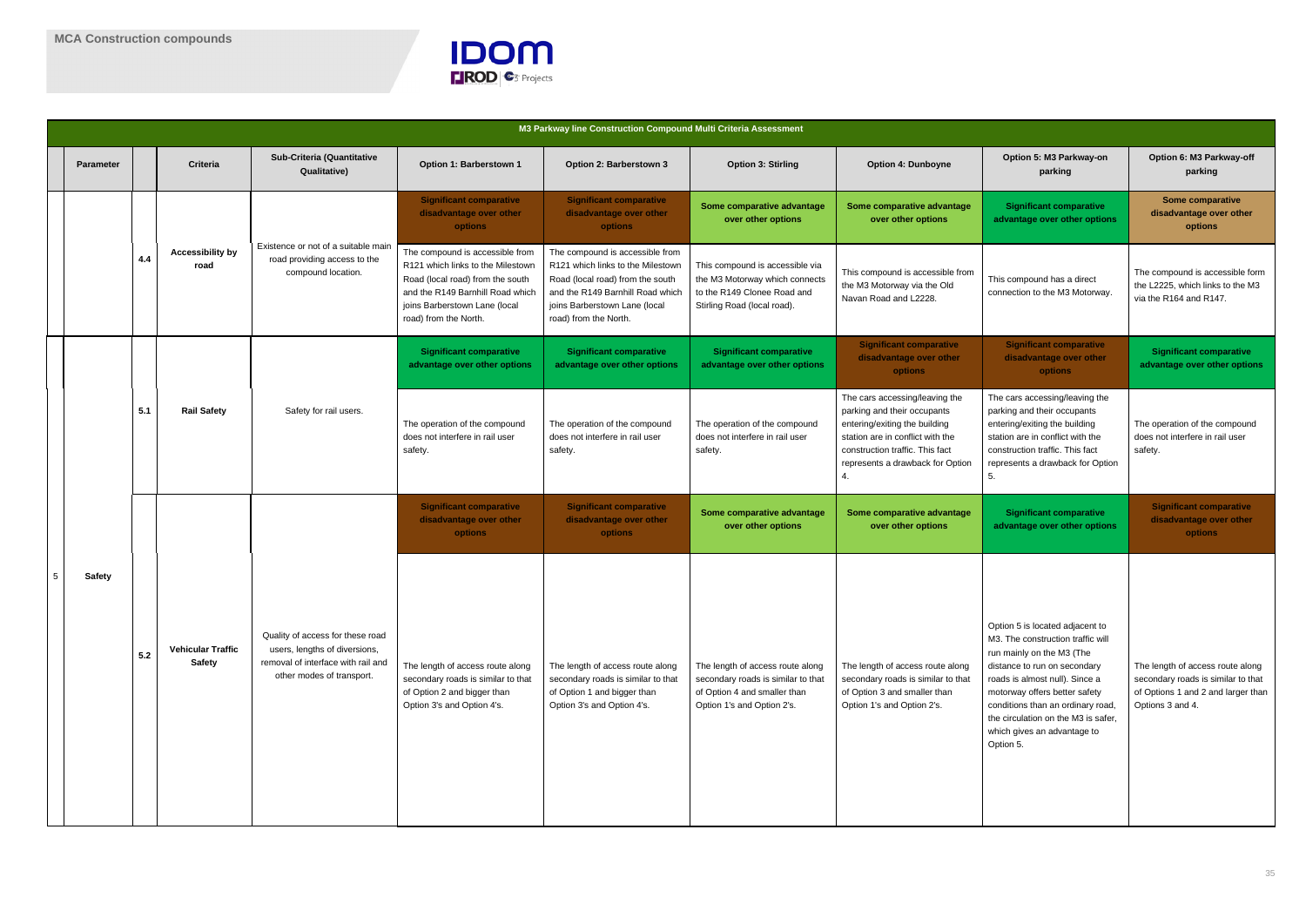

|   | M3 Parkway line Construction Compound Multi Criteria Assessment |     |                                           |                                                                                                                                      |                                                                                                                                                                                                        |                                                                                                                                                                                                        |                                                                                                                                      |                                                                                                                                                                                                           |                                                                                                                                                                                                                                                                                                                              |                                                                                                                                  |
|---|-----------------------------------------------------------------|-----|-------------------------------------------|--------------------------------------------------------------------------------------------------------------------------------------|--------------------------------------------------------------------------------------------------------------------------------------------------------------------------------------------------------|--------------------------------------------------------------------------------------------------------------------------------------------------------------------------------------------------------|--------------------------------------------------------------------------------------------------------------------------------------|-----------------------------------------------------------------------------------------------------------------------------------------------------------------------------------------------------------|------------------------------------------------------------------------------------------------------------------------------------------------------------------------------------------------------------------------------------------------------------------------------------------------------------------------------|----------------------------------------------------------------------------------------------------------------------------------|
|   | Parameter                                                       |     | Criteria                                  | <b>Sub-Criteria (Quantitative</b><br><b>Qualitative)</b>                                                                             | Option 1: Barberstown 1                                                                                                                                                                                | Option 2: Barberstown 3                                                                                                                                                                                | <b>Option 3: Stirling</b>                                                                                                            | <b>Option 4: Dunboyne</b>                                                                                                                                                                                 | Option 5: M3 Parkway-on<br>parking                                                                                                                                                                                                                                                                                           | Option 6: M3 Parkway-off<br>parking                                                                                              |
|   |                                                                 |     |                                           | Existence or not of a suitable main<br>road providing access to the<br>compound location.                                            | <b>Significant comparative</b><br>disadvantage over other<br><b>options</b>                                                                                                                            | <b>Significant comparative</b><br>disadvantage over other<br>options                                                                                                                                   | Some comparative advantage<br>over other options                                                                                     | Some comparative advantage<br>over other options                                                                                                                                                          | <b>Significant comparative</b><br>advantage over other options                                                                                                                                                                                                                                                               | <b>Some comparative</b><br>disadvantage over other<br>options                                                                    |
|   |                                                                 | 4.4 | <b>Accessibility by</b><br>road           |                                                                                                                                      | The compound is accessible from<br>R121 which links to the Milestown<br>Road (local road) from the south<br>and the R149 Barnhill Road which<br>joins Barberstown Lane (local<br>road) from the North. | The compound is accessible from<br>R121 which links to the Milestown<br>Road (local road) from the south<br>and the R149 Barnhill Road which<br>joins Barberstown Lane (local<br>road) from the North. | This compound is accessible via<br>the M3 Motorway which connects<br>to the R149 Clonee Road and<br>Stirling Road (local road).      | This compound is accessible from<br>the M3 Motorway via the Old<br>Navan Road and L2228.                                                                                                                  | This compound has a direct<br>connection to the M3 Motorway.                                                                                                                                                                                                                                                                 | The compound is accessible form<br>the L2225, which links to the M3<br>via the R164 and R147.                                    |
|   |                                                                 |     |                                           |                                                                                                                                      | <b>Significant comparative</b><br>advantage over other options                                                                                                                                         | <b>Significant comparative</b><br>advantage over other options                                                                                                                                         | <b>Significant comparative</b><br>advantage over other options                                                                       | <b>Significant comparative</b><br>disadvantage over other<br>options                                                                                                                                      | <b>Significant comparative</b><br>disadvantage over other<br>options                                                                                                                                                                                                                                                         | <b>Significant comparative</b><br>advantage over other options                                                                   |
|   |                                                                 | 5.1 | <b>Rail Safety</b>                        | Safety for rail users.                                                                                                               | The operation of the compound<br>does not interfere in rail user<br>safety.                                                                                                                            | The operation of the compound<br>does not interfere in rail user<br>safety.                                                                                                                            | The operation of the compound<br>does not interfere in rail user<br>safety.                                                          | The cars accessing/leaving the<br>parking and their occupants<br>entering/exiting the building<br>station are in conflict with the<br>construction traffic. This fact<br>represents a drawback for Option | The cars accessing/leaving the<br>parking and their occupants<br>entering/exiting the building<br>station are in conflict with the<br>construction traffic. This fact<br>represents a drawback for Option<br>5.                                                                                                              | The operation of the compound<br>does not interfere in rail user<br>safety.                                                      |
|   |                                                                 |     |                                           |                                                                                                                                      | <b>Significant comparative</b><br>disadvantage over other<br><b>options</b>                                                                                                                            | <b>Significant comparative</b><br>disadvantage over other<br>options                                                                                                                                   | Some comparative advantage<br>over other options                                                                                     | Some comparative advantage<br>over other options                                                                                                                                                          | <b>Significant comparative</b><br>advantage over other options                                                                                                                                                                                                                                                               | <b>Significant comparative</b><br>disadvantage over other<br>options                                                             |
| 5 | <b>Safety</b>                                                   | 5.2 | <b>Vehicular Traffic</b><br><b>Safety</b> | Quality of access for these road<br>users, lengths of diversions,<br>removal of interface with rail and<br>other modes of transport. | The length of access route along<br>secondary roads is similar to that<br>of Option 2 and bigger than<br>Option 3's and Option 4's.                                                                    | The length of access route along<br>secondary roads is similar to that<br>of Option 1 and bigger than<br>Option 3's and Option 4's.                                                                    | The length of access route along<br>secondary roads is similar to that<br>of Option 4 and smaller than<br>Option 1's and Option 2's. | The length of access route along<br>secondary roads is similar to that<br>of Option 3 and smaller than<br>Option 1's and Option 2's.                                                                      | Option 5 is located adjacent to<br>M3. The construction traffic will<br>run mainly on the M3 (The<br>distance to run on secondary<br>roads is almost null). Since a<br>motorway offers better safety<br>conditions than an ordinary road,<br>the circulation on the M3 is safer,<br>which gives an advantage to<br>Option 5. | The length of access route along<br>secondary roads is similar to that<br>of Options 1 and 2 and larger than<br>Options 3 and 4. |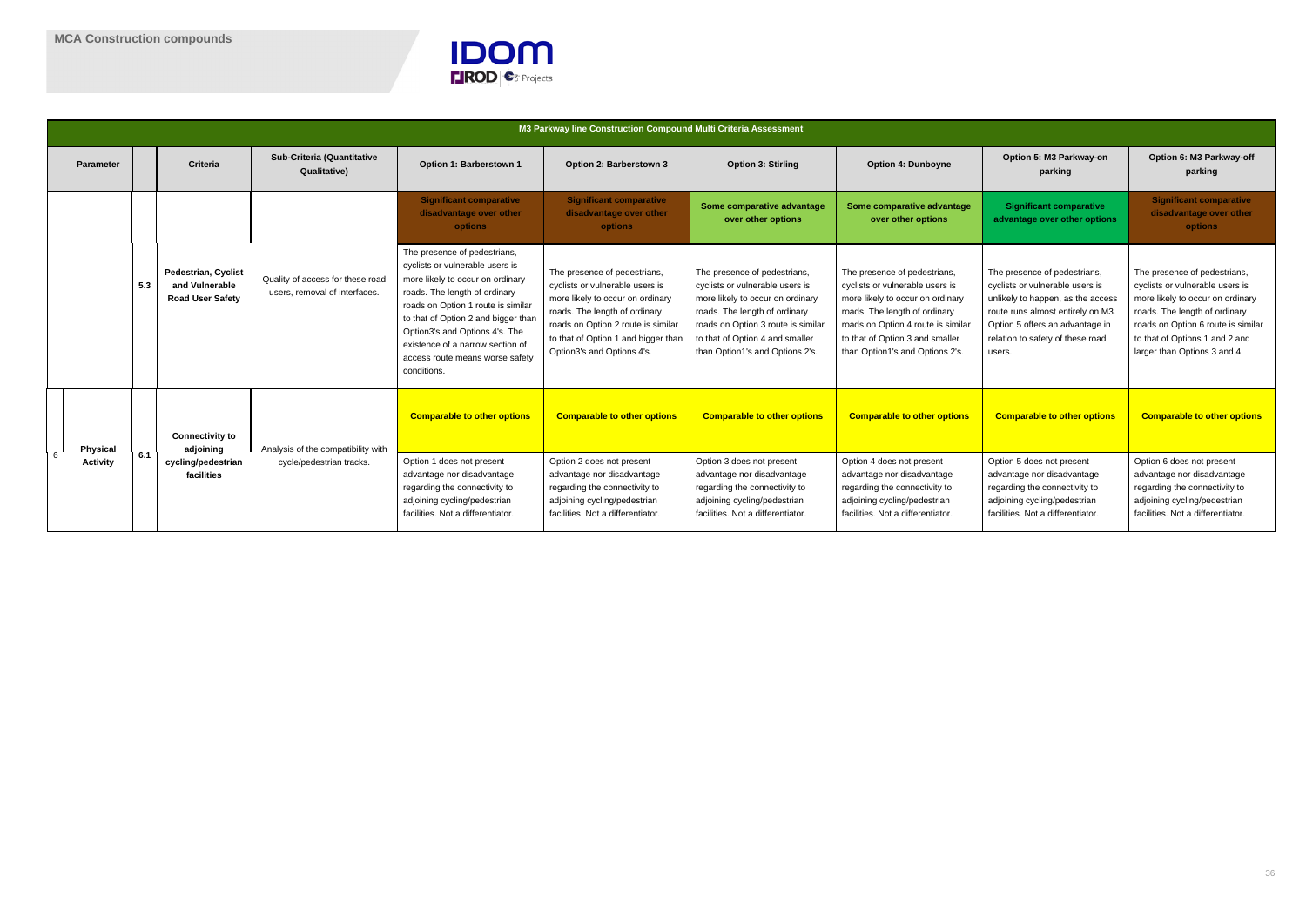

|  | M3 Parkway line Construction Compound Multi Criteria Assessment |     |                                                                         |                                                                   |                                                                                                                                                                                                                                                                                                                                           |                                                                                                                                                                                                                                                 |                                                                                                                                                                                                                                                  |                                                                                                                                                                                                                                                  |                                                                                                                                                                                                                           |                                                                                                                                                                                                                                              |  |
|--|-----------------------------------------------------------------|-----|-------------------------------------------------------------------------|-------------------------------------------------------------------|-------------------------------------------------------------------------------------------------------------------------------------------------------------------------------------------------------------------------------------------------------------------------------------------------------------------------------------------|-------------------------------------------------------------------------------------------------------------------------------------------------------------------------------------------------------------------------------------------------|--------------------------------------------------------------------------------------------------------------------------------------------------------------------------------------------------------------------------------------------------|--------------------------------------------------------------------------------------------------------------------------------------------------------------------------------------------------------------------------------------------------|---------------------------------------------------------------------------------------------------------------------------------------------------------------------------------------------------------------------------|----------------------------------------------------------------------------------------------------------------------------------------------------------------------------------------------------------------------------------------------|--|
|  | <b>Parameter</b>                                                |     | Criteria                                                                | Sub-Criteria (Quantitative<br><b>Qualitative)</b>                 | Option 1: Barberstown 1                                                                                                                                                                                                                                                                                                                   | Option 2: Barberstown 3                                                                                                                                                                                                                         | <b>Option 3: Stirling</b>                                                                                                                                                                                                                        | Option 4: Dunboyne                                                                                                                                                                                                                               | Option 5: M3 Parkway-on<br>parking                                                                                                                                                                                        | Option 6: M3 Parkway-off<br>parking                                                                                                                                                                                                          |  |
|  |                                                                 | 5.3 | <b>Pedestrian, Cyclist</b><br>and Vulnerable<br><b>Road User Safety</b> | Quality of access for these road<br>users, removal of interfaces. | <b>Significant comparative</b><br>disadvantage over other<br>options                                                                                                                                                                                                                                                                      | <b>Significant comparative</b><br>disadvantage over other<br>options                                                                                                                                                                            | Some comparative advantage<br>over other options                                                                                                                                                                                                 | Some comparative advantage<br>over other options                                                                                                                                                                                                 | <b>Significant comparative</b><br>advantage over other options                                                                                                                                                            | <b>Significant comparative</b><br>disadvantage over other<br>options                                                                                                                                                                         |  |
|  |                                                                 |     |                                                                         |                                                                   | The presence of pedestrians,<br>cyclists or vulnerable users is<br>more likely to occur on ordinary<br>roads. The length of ordinary<br>roads on Option 1 route is similar<br>to that of Option 2 and bigger than<br>Option3's and Options 4's. The<br>existence of a narrow section of<br>access route means worse safety<br>conditions. | The presence of pedestrians,<br>cyclists or vulnerable users is<br>more likely to occur on ordinary<br>roads. The length of ordinary<br>roads on Option 2 route is similar<br>to that of Option 1 and bigger than<br>Option3's and Options 4's. | The presence of pedestrians,<br>cyclists or vulnerable users is<br>more likely to occur on ordinary<br>roads. The length of ordinary<br>roads on Option 3 route is similar<br>to that of Option 4 and smaller<br>than Option1's and Options 2's. | The presence of pedestrians,<br>cyclists or vulnerable users is<br>more likely to occur on ordinary<br>roads. The length of ordinary<br>roads on Option 4 route is similar<br>to that of Option 3 and smaller<br>than Option1's and Options 2's. | The presence of pedestrians,<br>cyclists or vulnerable users is<br>unlikely to happen, as the access<br>route runs almost entirely on M3<br>Option 5 offers an advantage in<br>relation to safety of these road<br>users. | The presence of pedestrians,<br>cyclists or vulnerable users is<br>more likely to occur on ordinary<br>roads. The length of ordinary<br>roads on Option 6 route is similar<br>to that of Options 1 and 2 and<br>larger than Options 3 and 4. |  |
|  | <b>Physical</b>                                                 | 6.1 | <b>Connectivity to</b><br>adjoining                                     | Analysis of the compatibility with                                | <b>Comparable to other options</b>                                                                                                                                                                                                                                                                                                        | <b>Comparable to other options</b>                                                                                                                                                                                                              | <b>Comparable to other options</b>                                                                                                                                                                                                               | <b>Comparable to other options</b>                                                                                                                                                                                                               | <b>Comparable to other options</b>                                                                                                                                                                                        | <b>Comparable to other options</b>                                                                                                                                                                                                           |  |
|  | <b>Activity</b>                                                 |     | cycling/pedestrian<br>facilities                                        | cycle/pedestrian tracks.                                          | Option 1 does not present<br>advantage nor disadvantage<br>regarding the connectivity to<br>adjoining cycling/pedestrian<br>facilities. Not a differentiator.                                                                                                                                                                             | Option 2 does not present<br>advantage nor disadvantage<br>regarding the connectivity to<br>adjoining cycling/pedestrian<br>facilities. Not a differentiator.                                                                                   | Option 3 does not present<br>advantage nor disadvantage<br>regarding the connectivity to<br>adjoining cycling/pedestrian<br>facilities. Not a differentiator.                                                                                    | Option 4 does not present<br>advantage nor disadvantage<br>regarding the connectivity to<br>adjoining cycling/pedestrian<br>facilities. Not a differentiator.                                                                                    | Option 5 does not present<br>advantage nor disadvantage<br>regarding the connectivity to<br>adjoining cycling/pedestrian<br>facilities. Not a differentiator.                                                             | Option 6 does not present<br>advantage nor disadvantage<br>regarding the connectivity to<br>adjoining cycling/pedestrian<br>facilities. Not a differentiator.                                                                                |  |